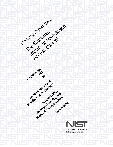

Planning Report 02.1

**Prepared by:**

**RIT**

**National Institute of** 

Standards & Technology

Program Office

Strategic Planning and

Economic Analysis Group

**March 2002** 

**for**

The Economic

Impact of Role-Based

Access Control

**U.S Department of Commerce** Technology Administration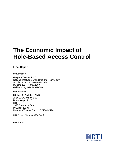# **The Economic Impact of Role-Based Access Control**

### **Final Report**

**SUBMITTED TO:**

**Gregory Tassey, Ph.D.** National Institute of Standards and Technology Acquisition and Assistance Division Building 101, Room A1000 Gaithersburg, MD 20899-0001

**SUBMITTED BY:**

**Michael P. Gallaher, Ph.D. Alan C. O'Connor, B.A. Brian Kropp, Ph.D.** RTI 3040 Cornwallis Road P.O. Box 12194 Research Triangle Park, NC 27709-2194

RTI Project Number 07007.012

**March 2002**

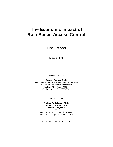## **The Economic Impact of Role-Based Access Control**

**Final Report**

**March 2002**

**SUBMITTED TO:**

**Gregory Tassey, Ph.D.** National Institute of Standards and Technology Acquisition and Assistance Division Building 101, Room A1000 Gaithersburg, MD 20899-0001

#### **SUBMITTED BY:**

**Michael P. Gallaher, Ph.D. Alan C. O'Connor, B.A. Brian Kropp, Ph.D.** RTI Health, Social, and Economics Research Research Triangle Park, NC 27709

RTI Project Number: 07007.012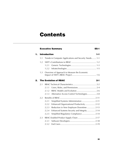## **Contents**

#### **Executive Summary EXES-1**

| 1. |     | <b>Introduction</b><br>$1 - 1$                         |
|----|-----|--------------------------------------------------------|
|    | 1.1 | Trends in Computer Applications and Security Needs 1-1 |
|    | 1.2 | 1.2.1<br>1.2.2                                         |
|    | 1.3 | Overview of Approach to Measure the Economic           |
| 2. |     | <b>The Evolution of RBAC</b><br>$2 - 1$                |
|    | 2.1 |                                                        |
|    |     | 2.1.1                                                  |
|    |     | 2.1.2                                                  |
|    |     | Alternative Access Control Technologies 2-8<br>2.1.3   |
|    | 2.2 |                                                        |
|    |     | Simplified Systems Administration  2-11<br>2.2.1       |
|    |     | Enhanced Organizational Productivity  2-12<br>2.2.2    |
|    |     | Reduction in New Employee Downtime  2-13<br>2.2.3      |
|    |     | Enhanced Systems Security and Integrity 2-14<br>2.2.4  |
|    |     | Simplified Regulatory Compliance 2-14<br>2.2.5         |
|    | 2.3 | RBAC-Enabled Product Supply Chain  2-17                |
|    |     | 2.3.1                                                  |
|    |     | 2.3.2                                                  |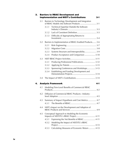| 3. |     | <b>Barriers to RBAC Development and</b><br><b>Implementation and NIST's Contributions</b><br>3-1 |
|----|-----|--------------------------------------------------------------------------------------------------|
|    | 3.1 | Barriers to Technology Development and Integration                                               |
|    |     | Technical Expertise Outside the Software<br>3.1.1                                                |
|    |     | 3.1.2                                                                                            |
|    |     | Difficulty of Appropriating Returns to<br>3.1.3                                                  |
|    | 3.2 | Barriers to Implementation of RBAC-Enabled Products 3-6                                          |
|    |     | 3.2.1                                                                                            |
|    |     | 3.2.2                                                                                            |
|    |     | Systems Structure and Interoperability 3-9<br>3.2.3                                              |
|    |     | Product Acceptance and Comparison  3-10<br>3.2.4                                                 |
|    | 3.3 |                                                                                                  |
|    |     | Producing Professional Publications 3-12<br>3.3.1                                                |
|    |     | 3.3.2                                                                                            |
|    |     | Sponsoring Conferences and Workshops 3-13<br>3.3.3                                               |
|    |     | Establishing and Funding Development and<br>3.3.4                                                |
|    | 3.4 |                                                                                                  |
| 4. |     | <b>Analysis Framework</b><br>4-1                                                                 |
|    | 4.1 | Modeling Firm-Level Benefits of Commercial RBAC                                                  |
|    | 4.2 | Diffusion of Commercial RBAC Products-Industry-<br>$4 - 5$                                       |
|    | 4.3 | Summary of Impact Hypothesis and Cost Metrics  4-7<br>4.3.1                                      |
|    | 4.4 | NIST's Impact on the Development and Adoption of                                                 |
|    | 4.5 | Conceptual Approach to Modeling the Economic                                                     |
|    |     | Expressing the Net Benefits of RBAC  4-11<br>4.5.1                                               |
|    |     | Modeling the Impact of NIST/ITL's RBAC<br>4.5.2                                                  |
|    |     | Calculating Measures of Economic Return  4-13<br>4.5.3                                           |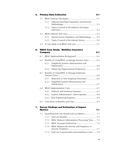|       |                                                   | $5 - 1$                                                                                                                                                                                                                                                                                                    |
|-------|---------------------------------------------------|------------------------------------------------------------------------------------------------------------------------------------------------------------------------------------------------------------------------------------------------------------------------------------------------------------|
| 5.1   |                                                   |                                                                                                                                                                                                                                                                                                            |
| 5.1.1 | Software Developer Population and Interview       |                                                                                                                                                                                                                                                                                                            |
| 5.1.2 | Topics Covered in the Software Developer          |                                                                                                                                                                                                                                                                                                            |
| 5.2   |                                                   |                                                                                                                                                                                                                                                                                                            |
| 5.2.1 | Internet Survey Population and Methodology 5-5    |                                                                                                                                                                                                                                                                                                            |
| 5.2.2 | Topics Covered in the Internet Survey 5-6         |                                                                                                                                                                                                                                                                                                            |
| 5.3   |                                                   |                                                                                                                                                                                                                                                                                                            |
|       |                                                   | $6 - 1$                                                                                                                                                                                                                                                                                                    |
| 6.1   |                                                   |                                                                                                                                                                                                                                                                                                            |
| 6.2   |                                                   |                                                                                                                                                                                                                                                                                                            |
| 6.2.1 | Simplifying Systems Administration and            |                                                                                                                                                                                                                                                                                                            |
| 6.2.2 | Enhancing Organizational Productivity  6-5        |                                                                                                                                                                                                                                                                                                            |
| 6.3   |                                                   |                                                                                                                                                                                                                                                                                                            |
| 6.3.1 | Reduction in New Employee Downtime 6-6            |                                                                                                                                                                                                                                                                                                            |
| 6.3.2 | Simplified Systems Administration and             |                                                                                                                                                                                                                                                                                                            |
| 6.4   |                                                   |                                                                                                                                                                                                                                                                                                            |
| 6.4.1 |                                                   |                                                                                                                                                                                                                                                                                                            |
| 6.4.2 | Systems Administrators' Labor Expenses 6-8        |                                                                                                                                                                                                                                                                                                            |
| 6.4.3 |                                                   |                                                                                                                                                                                                                                                                                                            |
| 6.5   |                                                   |                                                                                                                                                                                                                                                                                                            |
|       |                                                   |                                                                                                                                                                                                                                                                                                            |
|       |                                                   | $7 - 1$                                                                                                                                                                                                                                                                                                    |
|       |                                                   |                                                                                                                                                                                                                                                                                                            |
|       |                                                   |                                                                                                                                                                                                                                                                                                            |
|       |                                                   |                                                                                                                                                                                                                                                                                                            |
| 7.1.4 | RBAC Reduces the Severity and Frequency of        |                                                                                                                                                                                                                                                                                                            |
| 7.1.5 | End-User Customization and Installation Costs 7-8 |                                                                                                                                                                                                                                                                                                            |
|       | <b>Metrics</b><br>7.1<br>7.1.1<br>7.1.2<br>7.1.3  | <b>Primary Data Collection</b><br><b>RBAC Case Study: Multiline Insurance</b><br><b>Company</b><br>Benefits of Using RBAC to Manage Extranet Users 6-2<br>Benefits of Using RBAC to Manage Employees<br><b>Survey Findings and Estimation of Impact</b><br>RBAC Reduces Administrative Processing Time 7-3 |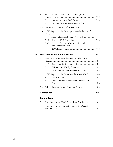|    | 7.2 |       | R&D Costs Associated with Developing RBAC           |
|----|-----|-------|-----------------------------------------------------|
|    |     | 7.2.1 |                                                     |
|    |     | 7.2.2 | In-house End-User Development Costs  7-11           |
|    | 7.3 |       |                                                     |
|    | 7.4 |       | NIST's Impact on the Development and Adoption of    |
|    |     | 7.4.1 | Accelerated Adoption and Availability 7-15          |
|    |     | 7.4.2 |                                                     |
|    |     | 7.4.3 | Reduced End User Customization and                  |
|    |     | 7.4.4 |                                                     |
|    |     |       |                                                     |
| 8. |     |       | <b>Measures of Economic Return</b><br>$8 - 1$       |
|    | 8.1 |       | Baseline Time Series of the Benefits and Costs of   |
|    |     | 8.1.1 |                                                     |
|    |     | 8.1.2 |                                                     |
|    |     | 8.1.3 | Time Series of RBAC Benefits and Costs 8-4          |
|    | 8.2 |       | NIST's Impact on the Benefits and Costs of RBAC 8-4 |
|    |     | 8.2.1 |                                                     |
|    |     | 8.2.2 | Time Series of Counterfactual Benefits and          |
|    | 8.3 |       | Calculating Measures of Economic Return 8-6         |

#### **Appendixes**

| A Questionnaire for RBAC Technology Developers A-1  |  |
|-----------------------------------------------------|--|
| B Questionnaire for Information and System Security |  |
|                                                     |  |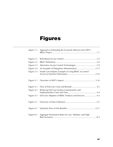# **Figures**

| Figure 1-1 | Approach to Estimating the Economic Returns from NIST's |
|------------|---------------------------------------------------------|
| Figure 2-1 |                                                         |
| Figure 2-2 |                                                         |
| Figure 2-3 |                                                         |
| Figure 2-4 |                                                         |
| Figure 2-5 | Heath Care Industry Example of Using RBAC to Control    |
| Figure 3-1 |                                                         |
| Figure 4-1 |                                                         |
| Figure 4-2 | Reducing End-User System Customization and              |
| Figure 4-3 | End-User Adoption of RBAC Products and Services 4-5     |
| Figure 5-1 |                                                         |
| Figure 6-1 |                                                         |
| Figure 8-1 | Aggregate Penetration Rates for Low, Medium, and High   |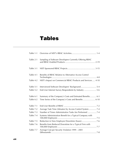## **Tables**

| Table 1-1                                                                                                                          |  |
|------------------------------------------------------------------------------------------------------------------------------------|--|
| Table 2-1<br>Sampling of Software Developers Currently Offering RBAC                                                               |  |
| Table 3-1                                                                                                                          |  |
| Table 4-1<br>Benefits of RBAC Relative to Alternative Access Control                                                               |  |
| NIST's Impact on Commercial RBAC Products and Services  4-10<br>Table 4-2                                                          |  |
| Table 5-1<br>Interviewed Software Developers' Background 5-4<br>End-User Internet Survey Respondents by Industry  5-6<br>Table 5-2 |  |
| Table 6-1<br>Summary of the Company's Costs and Estimated Benefits 6-3                                                             |  |
| Time Series of the Company's Costs and Benefits  6-10<br>Table 6-2                                                                 |  |
| Table 7-1                                                                                                                          |  |
| Table 7-2<br>Average Task Time (Minutes) by Access Control System  7-4                                                             |  |
| Number of Times Administrative Tasks Are Performed  7-4<br>Table 7-3                                                               |  |
| Table 7-4<br>Systems Administration Benefit for a Typical Company with                                                             |  |
| Table 7-5                                                                                                                          |  |
| Table 7-6<br>Benefits from Reduced Downtime for a Typical Firm with                                                                |  |
| Average Cost per Security Violation 1999 - 2001<br>Table 7-7                                                                       |  |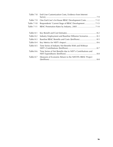| Table 7-8         | End-User Customization Costs, Evidence from Internet        |  |
|-------------------|-------------------------------------------------------------|--|
| Table 7-9         | One End-User's In-House RBAC Development Costs 7-12         |  |
| <b>Table 7-10</b> |                                                             |  |
| <b>Table 7-11</b> |                                                             |  |
|                   |                                                             |  |
| Table 8-1         |                                                             |  |
| Table 8-2         | Industry Employment and Baseline Diffusion Scenarios 8-3    |  |
| Table 8-3         |                                                             |  |
| Table 8-4         |                                                             |  |
| Table 8-5         | Time Series of Industry Net Benefits With and Without       |  |
| Table 8-6         | Time Series of Net Benefits due to NIST's Contributions and |  |
| Table 8-7         | Measures of Economic Return to the NIST/ITL RBAC Project    |  |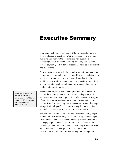# **Executive Summary**

Information technology has enabled U.S. businesses to improve their employees' productivity, integrate their supply chains, and automate and improve their interactions with customers. Increasingly, more functions, including inventory management, invoice payments, and customer support, are handled over intranets and the Internet.

As organizations increase the functionality and information offered on internal and external networks, controlling access to information and other resources becomes more complex and costly. In addition, security failures can disrupt an organization's operations and can have financial, legal, human safety, personal privacy, and public confidence impacts.

Access control systems within a computer network are used to control the actions, functions, applications, and operations of legitimate users within an organization and to protect the integrity of the information stored within the system. Role-based access control (RBAC) is a relatively new access control system that maps to organizational-specific structures in a way that reduces direct and indirect administrative costs and improves security.

The National Institute of Standards and Technology (NIST) began working on RBAC in the early 1990s after a study of federal agency security needs identified the need to develop a better method for managing large networked systems and complex access issues (Ferraiolo, Gilbert, and Lynch, 1992). Over the past decade, NIST's RBAC project has made significant contributions to the development and adoption of RBAC through publishing in the

This study quantifies the benefits of role-based access control (RBAC) and estimates NIST's impact on the development and adoption of RBAC.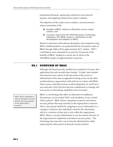professional literature, sponsoring conferences and outreach projects, and supplying infrastructure tools to industry.

The objectives of this study was to conduct a microeconomics impact assessment of the

- $\blacktriangleright$  benefits of RBAC relative to alternative access control systems, and
- $\blacktriangleright$  economic return from the NIST/Information Technology Laboratory (ITL) RBAC project's contributions to the development and adoption of RBAC.

Based on interviews with software developers and companies using RBAC-enabled products, we projected that the net present value of RBAC through 2006 will be approximately \$671 million. NIST's contributions were estimated to account for 44 percent of the benefits of RBAC, leading to a social rate of return to the NIST/RBAC project of approximately 62 percent.

## **ES.1 OVERVIEW OF RBAC**

Although role-based security models have existed for 20 years, their application has until recently been limited. To date, most systems have based access control on the discretion of the owner or administrator of the data as opposed to basing access on the often nondiscretionary organization-wide policies as is done with RBAC. These owner-controlled systems worked adequately for small local area networks (LAN) but have become cumbersome to manage and error prone as networking capabilities have increased.

RBAC is a technology that offers an alternative to traditional discretionary access control (DAC) and mandatory access control (MAC) policies. RBAC allows companies to specify and enforce security policies that map naturally to the organization's structure. That is, the natural method for assigning access to information in a company is based on the individual's need for the information, which is a function of their job or role within the organization. RBAC allows a security administrator to use the natural structure of the organization to implement and enforce security policy. This technology decreases the cost of network administration while improving the enforcement of network security policies.

RBAC allows companies to specify and enforce security policies that map naturally to the organization's structure.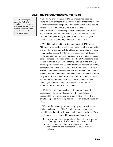#### **ES.2 NIST'S CONTIBUIONS TO RBAC**

One software company stated that "…NIST's contribution was critical in establishing a taxonomy and a shared vocabulary for us, our customers and the industry as a whole."

NIST's RBAC project responded to a demonstrated need for improved security mechanisms and the related standards to support the development and adoption of new complex networked security systems. At that time industry believed that a lack of standardization was hampering the development of appropriate access control products, and that a key to the success of such a system would be its ability to operate across a wide range of operating systems (Ferraiolo, Gilbert, and Lynch, 1992).

In 1992 NIST published the first comprehensive RBAC model. Although the concept of roles has been used in software application and mainframe environments for at least 25 years, it has only been within the last decade that RBAC has emerged as a full-fledged model as mature as traditional mandatory and discretionary access control concepts. The roots of NIST's early RBAC model included the use of groups in UNIX and other operating systems, privilege groupings in database management systems, and separation of duty concepts described in early papers. The modern concept of RBAC as used within the research community and implemented within a growing number of commercial implementation originates from this early work. The impact of this work includes the ability to specify and enforce a wider range of access control policies, thereby reducing the number of illicit user accesses as well increasing administrative and end-user productivity.

NIST's RBAC project has accelerated the introduction and acceptance of RBAC-based products in the marketplace. In addition, NIST's contributions have reduced the cost of R&D for private companies developing network security products based on RBAC.

NIST's contributions range from developing and formalizing the fundamental concepts of RBAC models to demonstrating their capabilities and providing implementation tools to industry. These contributions can be grouped into two general categories:

- $\blacktriangleright$  the development of generic technologies that provide the technology base for RBAC market applications, and
- $\blacktriangleright$  the development of infratechnologies that support implementation and interoperability across different systems.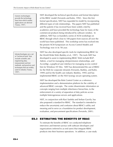Generic technologies provide the technology base from which market applications are derived (Tassey, 1997).

Infratechnologies are a set of "technical tools" that include scientific and engineering data, measurement and test methods, and practices and techniques that are widely used in industry (Tassey, 1997).

NIST developed the technical specifications and formal description of the RBAC model (Ferraiolo and Kuhn, 1992). Since the first formal specification, NIST has expanded its model by incorporating different types of role relationships. The papers NIST has published and the patents it has received have been widely cited by academics and have provided the technology base for many of the commercial products being introduced by software vendors. In addition, NIST has co-founded a series of ACM workshops on RBAC through which close to 100 papers from sources all over the world have been published. This workshop series has evolved into the present ACM Symposium on Access Control Models and Technology now in its 7th year.

NIST has also developed specific tools for implementing RBAC for the World Wide Web (Barkley et al., 1997). The tools NIST has developed to assist in implementing RBAC Web include RGP-Admin, a tool for managing role/permission relationships, and AccesMgr, a graphical user interface for managing access control lists for Windows NT files. NIST has demonstrated the use of RBAC for the Web for corporate intranets (Ferraiolo, Barkley, and Kuhn, 1999) and for the health care industry (Barkley, 1995) and has implemented RBAC on the NSA Synergy secure operating system.

NIST has developed the Role Control Center as a reference implementation and a demonstration platform for the viability of advanced RBAC concepts. The center disseminates information on concepts ranging from multiple inheritance hierarchies, to the enforcement of a variety of separation of duty policies across multiple heterogeneous servers and applications.

NIST, in conjunction with Ravi Sanhdu and Serban Gavrila, has also proposed a standard for RBAC. The standard is intended to reduce the uncertainty and confusion about RBAC's utility and meaning and to serve as a foundation for product development, evaluation, and procurement specifications (Ferraiolo, 2001).

## **ES.3 ESTIMATING THE BENEFITS OF RBAC**

To estimate the benefits of RBAC we conducted telephone interviews and Internet surveys with software developers and organizations (referred to as end users) that integrate RBAC products into their business operations. In addition, a case study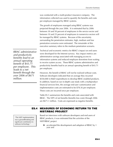was conducted with a multi-product insurance company. The information collected was used to quantify the benefits and costs per employee managed by RBAC systems.

The growth of employees managed using RBAC systems was projected through the year 2006. It is estimated that by 2006 between 30 and 50 percent of employees in the service sector and between 10 and 25 percent of employees in nonservice sectors will be managed by RBAC systems. Because of the uncertainty surrounding the penetration estimates, high, medium and low penetration scenarios were estimated. The remainder of this executive summary refers to the medium penetration scenario.

*RBAC administrative and productivity benefits lead to an annual operating benefit of \$43.71 per employee. This leads to a net benefit through the year 2006 of \$671 million.* 

Technical and economic metrics for RBAC's impact on end users were developed for the Internet surveys. Key impact metrics are administrative savings associated with managing access to information systems and reduced employee downtime from waiting to receive system access. These RBAC systems administrative and productivity benefits lead to an annual operating benefit of \$43.71 per employee.

However, the benefit of RBAC will not be realized without costs. Software developers indicated that on average they incurred \$550,000 in R&D expenditures to develop RBAC-enabled products. In addition, based on our in-depth case study with a multiproduct financial services firm, the average end-user customization and implementation costs are estimated to be \$78.36 per employee. These costs are incurred once per employee.

Table ES-1 summarizes the benefits and costs associated with RBAC. The NPV of net benefits (benefits less costs) through 2006 are \$671.1 million. Costs are expressed as negative benefits.

## **ES.4 MEASURES OF ECONOMIC RETURN TO THE NIST/RBAC PROJECT**

"The NIST implementation was a groundbreaking and significant contribution to software technology."

Based on interviews with software developers and end users of RBAC products, it was estimated that the activities of the NIST/RBAC project

 $\triangleright$  accelerated the development and adoption of RBAC by 1 year and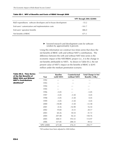|                                                                | NPV through 2006 (\$2000) |
|----------------------------------------------------------------|---------------------------|
| R&D expenditures: software developers and in-house development | $-53.2$                   |
| End-users' customization and implementation costs              | $-161.7$                  |
| End-users' operation benefits                                  | 886.0                     |
| Net benefits of RBAC                                           | 671.1                     |

#### **Table ES-1. NPV of Benefits and Costs of RBAC through 2006**

 $\blacktriangleright$  lowered research and development costs for software vendors by approximately 6 percent.

Using this information we construct two times series that show the net benefits of RBAC with and without NIST's contributions. The difference between the with and without NIST time series is the economic impact of the NIST/RBAC project (i.e., it is the change in net benefits attributable to NIST). As shown in Table ES-2, the net present value of NIST's impact on the benefits of RBAC is \$295 million under the medium penetration scenario.

| <b>Table ES-2. Time Series</b><br>of the Net Benefits of<br><b>RBAC With and Without</b> | Year              | <b>Baseline</b><br>(with NIST) | Counterfactual<br>(without NIST) | <b>Total Change in Net</b><br>Benefits $(\Delta NB_t)$ |
|------------------------------------------------------------------------------------------|-------------------|--------------------------------|----------------------------------|--------------------------------------------------------|
| <b>NIST's Contributions</b>                                                              | 1992              |                                |                                  |                                                        |
| (\$millions) <sup>a</sup>                                                                | 1993              |                                |                                  |                                                        |
|                                                                                          | 1994              |                                |                                  |                                                        |
|                                                                                          | 1995              |                                |                                  |                                                        |
|                                                                                          | 1996              | $-5.05$                        |                                  | $-5.05$                                                |
|                                                                                          | 1997              | $-5.05$                        | $-5.50$                          | 0.45                                                   |
|                                                                                          | 1998              | $-5.05$                        | $-5.50$                          | 0.45                                                   |
|                                                                                          | 1999              | $-5.05$                        | $-5.50$                          | 0.45                                                   |
|                                                                                          | 2000              | $-18.08$                       | $-5.50$                          | $-12.58$                                               |
|                                                                                          | 2001              | $-0.36$                        | $-16.90$                         | 16.54                                                  |
|                                                                                          | 2002              | 19.84                          | $-0.33$                          | 20.17                                                  |
|                                                                                          | 2003              | 60.26                          | 18.54                            | 41.72                                                  |
|                                                                                          | 2004              | 207.08                         | 56.32                            | 150.76                                                 |
|                                                                                          | 2005              | 308.51                         | 193.53                           | 114.97                                                 |
|                                                                                          | 2006              | 337.85                         | 288.33                           | 49.52                                                  |
|                                                                                          | <b>NPV (2000)</b> | 671.08                         | 376.31                           | 294.77                                                 |

aAll numbers have been adjusted to 2000 dollars.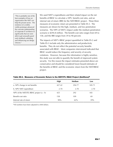"This is probably one of the best examples of how an organization like NIST can help the private sector. The existence of a widely visible prototype advanced the concrete understanding of corporate IT architects so significantly that we were able to get unusually good early feedback validating and influencing our design choices."

We used NIST's expenditures and their related impact on the net benefits of RBAC to calculate a NPV, benefit-cost ratio, and an internal rate of return (IRR) for the NIST/RBAC project. These three measures of economic return are presented in Table ES-3. The measures are shown for the high, medium, and low penetration scenarios. The NPV of NIST's impact under the medium penetration scenario is \$294.8 million. The benefit-cost ratio ranges from 69 to 158, and the IRR ranges from 39 to 90 percent.

The impacts of NIST's RBAC project quantified in Table ES-2 and Table ES-3 include only the administrative and productivity benefits. They do not reflect the potential security benefits associated with RBAC. Most companies interviewed indicated that RBAC would reduce the frequency and severity of security violations. However, because this information is highly sensitive, this study was not able to quantify the benefit of improved system security. For this reason the impact estimates presented above are conservative and should be considered lower-bound estimates of the benefits of RBAC and the economic return from the NIST/RBAC project.

#### **Table ES-3. Measures of Economic Return to the NIST/ITL RBAC Project (\$millions)a**

|                                            | High   | Medium | Low    |
|--------------------------------------------|--------|--------|--------|
| a. NPV change in net benefits              | 427.42 | 294.77 | 185.71 |
| b. NPV NIST expenditure                    | 2.70   | 2.70   | 2.70   |
| NPV of the NIST/ITL RBAC project $(a - b)$ | 425    | 292    | 183    |
| Benefit-cost ratio                         | 158    | 109    | 69     |
| Internal rate of return                    | 90%    | $62\%$ | 39%    |

<sup>a</sup>All numbers have been adjusted to 2000 dollars.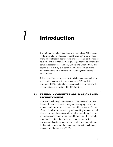## *1* **Introduction**

The National Institute of Standards and Technology (NIST) began working on role-based access control (RBAC) in the early 1990s after a study of federal agency security needs identified the need to develop a better method for managing large networked systems and complex access issues (Ferraiolo, Gilbert, and Lynch, 1992). The objective of this study is to conduct a microeconomics impact assessment of the NIST/Information Technology Laboratory (ITL) RBAC project.

This section discusses some of the trends in computer applications and security needs, provides an overview of NIST's role in developing RBAC, and outlines the approach used to estimate the economic impact of the NIST/ITL RBAC project.

#### **1.1 TRENDS IN COMPUTER APPLICATIONS AND SECURITY NEEDS**

Information technology has enabled U.S. businesses to improve their employees' productivity, integrate their supply chains, and automate and improve their interactions with customers. The use of external web sites for marketing and recruiting is common, and internal corporate intranets provide employees and suppliers easy access to organizational resources and information. Increasingly, more functions, including inventory management, invoice payments, and customer support, are handled over intranets and the Internet, regardless of the underlying information technology infrastructure (Barkley et al., 1997).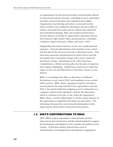As organizations increase the functionality and information offered on internal and external networks, controlling access to information and other resources becomes more important and complex. Organizations must develop and enforce access policies that protect sensitive and confidential information; prevent conflict of interest; and protect the system and its contents from intentional and unintentional damage, theft, and unauthorized disclosure. Security failures can disrupt an organization's operations and can have financial, legal, human safety, personal privacy, and public confidence impacts (Ferraiolo, Gilbert, and Lynch, 1992).

Safeguarding information resources can be very complicated and expensive. Network administrators must maintain access control lists that specify the resources each user is allowed to access. They must issue passwords and permissions to enforce the access lists and update them as personnel change and as users' needs and permissions change. Maintaining access while enforcing a comprehensive, coherent security policy has become an expensive and complex undertaking. Simplifying it could have an important impact on the cost and effectiveness of electronic resource access policies.

RBAC is a technology that offers an alternative to traditional discretionary access control (DAC) and mandatory access control (MAC) policies. RBAC allows companies to specify and enforce security policies that map naturally to the organization's structure. That is, the natural method for assigning access to information in a company is based on the individual's need for the information, which is a function of his job, or role, within the organization. RBAC allows a security administrator to use the natural structure of the organization to implement and enforce security policy. This technology decreases the cost of network administration while improving the enforcement of network security policies.

#### **1.2 NIST'S CONTRIBUTIONS TO RBAC**

NIST's RBAC project responded to a demonstrated need for improved security mechanisms and the related standards to support the development and adoption of new complex networked security systems. At that time industry believed that a lack of standardization was hampering the development of appropriate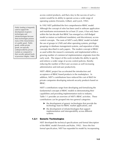access control products, and that a key to the success of such a system would be its ability to operate across a wide range of operating systems (Ferraiolo, Gilbert, and Lynch, 1992).

In 1992 NIST published the first comprehensive RBAC model. Although the concept of roles has been used in software application and mainframe environments for at least 25 years, it has only been within the last decade that RBAC has emerged as a full-fledged model as mature as traditional mandatory and discretionary access control concepts. The roots of NIST's early RBAC model included the use of groups in UNIX and other operating systems, privilege groupings in database management systems, and separation of duty concepts described in early papers. The modern concept of RBAC as used within the research community and implemented within a growing number of commercial implementation originates from this early work. The impact of this work includes the ability to specify and enforce a wider range of access control policies, thereby reducing the number of illicit user accesses as well increasing administrative and end-user productivity.

NIST's RBAC project has accelerated the introduction and acceptance of RBAC-based products in the marketplace. In addition, NIST's contributions have reduced the cost of R&D for private companies developing network security products based on RBAC.

NIST's contributions range from developing and formalizing the fundamental concepts of RBAC models to demonstrating their capabilities and providing implementation tools to industry. Table 1-1 provides an overview of NIST's RBAC activities. These contributions can be grouped into two general categories:

- $\blacktriangleright$  the development of generic technologies that provide the technology base for RBAC market applications, and
- $\blacktriangleright$  the development of infratechnologies that support implementation and interoperability across different systems.

#### **1.2.1 Generic Technologies**

NIST developed the technical specifications and formal description of the RBAC model (Ferraiolo and Kuhn, 1992). Since the first formal specification, NIST has expanded its model by incorporating

Public funding is frequently used to support the development of generic technologies and infratechnologies because these technologies possess many of the characteristics of a public good. Public goods, unlike private goods, are typically underprovided by private markets as compared to their socially optimal levels of provision (Stiglitz, 1988).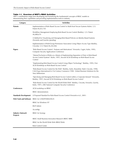#### **Table 1-1. Overview of NIST's RBAC Activities**

NIST's contributions range from developing and formalizing the fundamental concepts of RBAC models to demonstrating their capabilities and providing implementation tools to industry.

| Category                                    | <b>Activities</b>                                                                                                                                                                                       |
|---------------------------------------------|---------------------------------------------------------------------------------------------------------------------------------------------------------------------------------------------------------|
| <b>Patents</b>                              | Implementation of Role Based Access Control in Multi-level Secure Systems (Kuhn). U.S.<br>Patent #6,023,765                                                                                             |
|                                             | Workflow Management Employing Role-Based Access Control (Barkley). U.S. Patent<br>#6,088,679                                                                                                            |
|                                             | A Method for Visualizing and Managing Role-Based Policies on Identity-Based Systems<br>(Ferraiolo and Gavrila) (pending)                                                                                |
|                                             | Implementation of Role/Group Permission Association Using Object Access Type (Barkley,<br>Cincotta). U.S. Patent #6,202,066                                                                             |
| <b>Papers</b>                               | "Role Based Access Control: Features and Motivations" (Ferraiolo, Cugini, Kuhn, 1995),<br><b>Computer Security Applications Conference</b>                                                              |
|                                             | "Mutual Exclusion of Roles as a Means of Implementing Separation of Duty in Role-Based<br>Access Control Systems" (Kuhn, 1997), Second ACM Workshop on Role-Based Access<br>Control                     |
|                                             | "Implementing Role Based Access Control Using Object Technology" (Barkley, 1995), First<br>ACM Workshop on Role-Based Access Control                                                                    |
|                                             | "Role-Based Access Control for the Web" (Barkley, Kuhn, Rosenthal, Skall, Cincotta, 1998),<br>CALS Expo International & 21st Century Commerce 1998: Global Business Solutions for the<br>New Millennium |
|                                             | "Specifying and Managing Role-Based Access Control within a Corporate Intranet" (Ferraiolo,<br>Barkley, 1997), Second ACM Workshop on Role-Based Access Control                                         |
|                                             | "Role Based Access Control for the World Wide Web" (Barkley, Cincotta, Ferraiolo, Gavrila,<br>Kuhn, 1997), 20th National Computer Security Conference                                                   |
| Conferences                                 | ACM workshop on RBAC                                                                                                                                                                                    |
|                                             | RBAC demonstrations                                                                                                                                                                                     |
| <b>Standards Development</b>                | A Proposed Standard for Role-Based Access Control (Ferraiolo et al., 2001)                                                                                                                              |
| <b>Web Tools and Software</b>               | RBAC for UNIX/POSIX/LINUX                                                                                                                                                                               |
|                                             | <b>RBAC</b> for Windows NT                                                                                                                                                                              |
|                                             | RGP-Admin                                                                                                                                                                                               |
|                                             | AccesMgr                                                                                                                                                                                                |
| <b>Industry Outreach</b><br><b>Projects</b> | RBAC for Synergy                                                                                                                                                                                        |
|                                             | RBAC Small Business Innovation Research (RBAC SBIR)                                                                                                                                                     |
|                                             | RBAC for the World Wide Web (RBAC/Web)                                                                                                                                                                  |
|                                             | Role Control Center                                                                                                                                                                                     |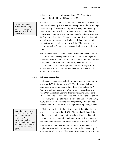Generic technologies provide the technology base from which market applications are derived (Tassey, 1997).

different types of role relationships (Kuhn, 1997; Gavrila and Barkley, 1998; Barkley and Cincotta, 1998).

The papers NIST has published and the patents it has received have been widely cited by academics and have provided the technology base for many of the commercial products being introduced by software vendors. NIST has presented its work at a number of professional conferences and has co-founded a series of Association for Computing Machinery (ACM) workshops on RBAC. Now in its seventh year, this workshop series has published close to 100 papers from sources all over the world. NIST has received two patents for its RBAC models and has applications pending for two more.

Most of the companies interviewed indicated that they would not have pursued the development of these generic technologies on their own. Thus, by demonstrating the technical feasibility of RBAC through its publications and conferences, NIST has reduced development uncertainty and provided the technology base to accelerate the introduction of RBAC features into commercial access control systems.

#### **1.2.2 Infratechnologies**

NIST has developed specific tools for implementing RBAC for the World Wide Web (Barkley et al., 1997). The tools NIST has developed to assist in implementing RBAC Web include RGP-Admin, a tool for managing role/permission relationships, and AccesMgr, a graphical user interface for managing access control lists for Windows NT files. NIST has demonstrated the use of RBAC for the Web, for corporate intranets (Ferraiolo, Barkley, and Kuhn, 1999), and for the health care industry (Barkley, 1995) and has implemented RBAC on the NSA Synergy secure operating system.

NIST, in conjunction with Ravi Sanhdu and Serban Gavrila, has also proposed a standard for RBAC. The standard is intended to reduce the uncertainty and confusion about RBAC's utility and meaning and to serve as a foundation for product development, evaluation, and procurement specifications (Ferraiolo et al., 2001).

NIST has developed the Role Control Center as a reference implementation and a demonstration platform for the viability of advanced RBAC concepts. The center disseminates information on

Infratechnologies are a set of "technical tools" that include scientific and engineering data, measurement and test methods, and practices and techniques that are widely used in industry (Tassey, 1997).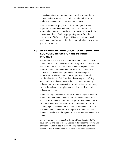concepts ranging from multiple inheritance hierarchies, to the enforcement of a variety of separation of duty policies across multiple heterogeneous servers and applications.

NIST's role in developing RBAC infratechnologies has been important because these technology tools cannot easily be embodied in commercial products or processes. As a result, the private sector has difficulty appropriating returns from the development of infratechnologies. This market failure typically leads to an underinvestment in infratechnologies in the absence of government support.

#### **1.3 OVERVIEW OF APPROACH TO MEASURE THE ECONOMIC IMPACT OF NIST'S RBAC PROJECT**

The approach to measure the economic impact of NIST's RBAC project consists of the five steps shown in Figure 1-1. The first step (discussed in Section 2) compared the technical specifications of the RBAC model with other methods for access control. This comparison provided the input needed for modeling the incremental benefits of RBAC. The analysis also included a detailed description of NIST's role in developing and defining RBAC and the market failures that led to underinvestment by industry. Information was obtained from interviews with industry experts throughout the supply chain and from academic and industry publications.

In the next step (presented in Section 3) we developed a detailed model of the incremental benefits of RBAC relative to the other access control methods. The model captures the benefits of RBAC's simplification of network administration and defines metrics for quantifying these benefits. RBAC's potential benefits of increasing the effectiveness of network security policy are included in the theoretical model even though empirical data on these benefits are limited.

Step 3 required that we quantify the benefits and cost of RBAC development and deployment. Section 4 describes the surveys and case studies used to obtain the data and presents the quantified benefit and cost impact metrics we used to estimate economic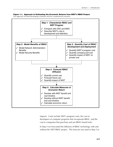#### **Figure 1-1. Approach to Estimating the Economic Returns from NIST's RBAC Project**

Our approach involved developing a baseline and two counterfactual scenarios.



impacts. Costs include NIST's program costs, the cost to developers of computer programs that incorporate RBAC, and the cost to companies that purchase and use RBAC-based tools.

In Step 4 we forecasted the diffusion of RBAC technology with and without the NIST RBAC project. This forecast was used in Step 5 to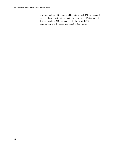develop timelines of the costs and benefits of the RBAC project, and we used these timelines to estimate the return to NIST's investment. This step captures NIST's impact on the timing of RBAC development and the speed and extent of its diffusion.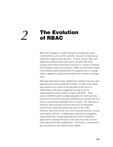# **The Evolution** *2* **of RBAC**

RBAC has emerged as a viable alternative to traditional access control policies, such as DAC and MAC, because it is based on an enterprise's organizational structure. As such, systems, data, and applications administrators and owners can more effectively manage and maintain information resources in a manner consistent with enterprise-wide security policies. RBAC has the further benefit of facilitating systems administration by assigning roles to manage users as opposed to using each individual user's identity to manage users.

Although role-based security models have existed for 20 years, their application has until recently been limited. To date, most systems have based access control on the discretion of the owner or administrator of the data as opposed to basing access on organizational or policy needs as is done with RBAC. These owner-controlled systems worked adequately for small local area networks (LAN) but have become cumbersome to manage and error prone as networking capabilities have increased. The explosion of electronic data exchange and interconnection of information systems led to significant productivity gains in the 1990s. However, these same factors have also increased electronic security and integrity concerns. Confidentiality restriction and regulatory requirements have caused organizations to look for improved approaches to manage the types of users that may have access to which data and to which applications. The result is a renewed and growing interest in role-based security models.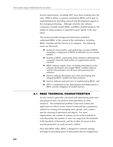Several organizations, including NIST, have been working since the early 1990s to define a common standard for RBAC and to spur its implementation by providing research and development support to this emerging technology. Although relatively few software companies currently market RBAC and RBAC-enabled products, the market for these products is expected to grow rapidly in the near future.

This section provides background information needed to understand RBAC in the context of the marketplace, including RBAC's benefits and the barriers to its adoption. The following issues are discussed:

- $\blacktriangleright$  technical characteristics and underlying concepts of RBAC, including a comparison of RBAC to defender access control models;
- $\blacktriangleright$  benefits of RBAC, particularly those related to administering computer networks, both within an organization and its extranet;
- $\triangleright$  RBAC industry supply chain, including information on the software developers who supply RBAC-enabled software and the characteristics of end users who purchase this software;
- $\blacktriangleright$  barriers software developers face when developing and integrating RBAC models into their products;
- $\triangleright$  barriers software end users face in implementing RBAC; and
- $\triangleright$  NIST's contribution to the development and deployment of RBAC and the mitigation of market barriers.

### **2.1 RBAC TECHNICAL CHARACTERISTICS**

Access control is generally concerned with determining what users and groups of users can perform what operations on what resources. The fundamental problem is that each system and application for which access control is enforced has a proprietary method for creating and managing users, groups, and a systemspecific meaning of operations and objects. For many organizations, the number of systems can be in the hundreds or even thousands, the number of users can range from the hundreds to the hundreds of thousands, and the number of resources that must be protected can easily exceed a million.

How does RBAC help? RBAC is designed to centrally manage privileges by providing layers of abstractions that are mapped one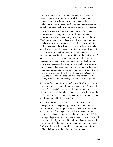to-many to real users and real operations and real resources. Managing permissions in terms of the abstractions reduces complexity and provides visualization and a context for implementing complex access control policies. Abstractions can be centrally managed resulting in real permissions on real systems.

In taking advantage of these abstractions RBAC offers greater administrative efficiency as well as the ability to intuitively administer and enforce a wide range of access control policies. In RBAC, permissions are associated with roles, and users are made members of roles, thereby acquiring the role's permissions. The implementation of this basic concept has been shown to greatly simplify access control management. Roles are centrally created for the various job functions in an organization, and users are assigned roles based on their responsibilities and qualifications. As such, users can be easily reassigned from one role to another. Users can be granted new permissions as new applications and systems are incorporated, and permissions can be revoked from roles as needed. For example, if a user moves to a new function within the organization, the user can simply be assigned to the new role and removed from the old one, whereas in the absence of RBAC, the user's old privileges would have to be individually located, revoked, and new privileges would have to be granted.

To provide further administrative efficiency, RBAC allows roles to inherit other roles and as such form role hierarchies. For example, the role "cardiologist" is hierarchically superior to the role "doctor," if the cardiologist has (inherits) all of the privileges of the doctor, and the users that are authorized for the "cardiologist" role are also authorized for the "doctor" role.

RBAC provides the capability to visualize and manage user privileges across heterogonous platforms and applications. By centrally storing and managing roles as both collections of users and collections of privileges, RBAC is able to define, constrain, review, and enforce access control policies as user/role, role/role, or role/privilege relations. RBAC is considered to be policy-neutral in the sense that, by using role hierarchies and constraints, a wide range of security policies can be expressed to include traditional DAC as well as a variety of nondiscretionary separation of duty (SOD) policies through the definition of constraints.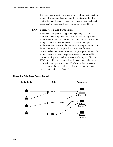This remainder of section provides more details on the interaction among roles, users, and permissions. It also discusses the RBAC models that have been developed and compares them to alternative access control models, such as access control lists and MAC.

#### **2.1.1 Users, Roles, and Permissions**

Traditionally, the prevalent approach to granting access to information within a particular database or access to a particular application is to establish specific permissions for each user within an organization. If the user must have access to multiple applications and databases, the user must be assigned permissions for each resource. This approach is problematic for several reasons. When users enter, leave, or change responsibilities within an organization, updating the permissions of each user is difficult, time consuming, and possibly error-prone (Barkley and Cincotta, 1998). In addition, this approach leads to potential violations of information and system security. RBAC avoids these problems because it uses the user's role as the key to access rather than the user's identification (see Figure 2-1).



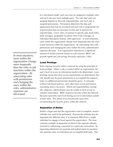In a role-based model, each user may be assigned to multiple roles, and each role may have multiple users. The roles that users are assigned depend on their job responsibilities, and each role is assigned permissions. Permissions determine the data and applications that may be accessed and each role is assigned the set of permissions that are necessary for the user to perform his required tasks. Users' roles can pertain to specific jobs (bank teller, bank manager), geographic locations (New York, Chicago), or individual descriptors (trainee, shift supervisor). In most situations, users within the organization change more frequently than the roles or job functions within the organization. By associating roles with permissions and changing the users within the roles, administrative expenses decrease. If an organization experiences a significant amount of worker turnover relative to role turnover, RBAC can provide significant cost savings (Ferraiolo and Kuhn, 1992).

#### *Least Privilege*

Roles improve security within a network by using the principle of least privilege. When a role is created within an organization, the user's level of access to information needs to be determined. Least privilege means that once access requirements are determined, that role should only be given permissions to accomplish the required tasks; no additional permissions should be given. In networks without role-based policies, users often have access permissions exceeding what is necessary. Where job responsibilities overlap job categories, administrators may be unable to limit access to sensitive information. RBAC improves security within the network because it prevents users from having access to information outside of their roles. This denial of access prevents users from circumventing the security policy within the network.

#### *Separation of Duties*

Within a larger task that the organization must accomplish, several subtasks may need to be performed. Because the subtasks may be separated into different roles, it is extremely difficult for a single individual to engage in fraud against the organization. The most common example of separation of duties is the separate subtasks involved in authorizing a payment for a particular transaction. By separating submission for payment and authorization for payment into separate roles, no individual can accomplish both tasks. This

*In most situations, users within the organization change more frequently than the roles or job functions within the organization. By associating roles with permissions and changing the users within the roles, administrative expenses are decreased.*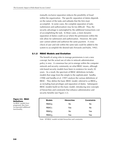mutually exclusive separation reduces the possibility of fraud within the organization. The specific separation of duties depends on the nature of the tasks and subtasks that the firm must accomplish. In some cases, the complete separation of tasks (submission and authorization) may be too difficult. Thus, the security advantage is outweighed by the additional transactions cost of accomplishing the task. In these cases, a more dynamic separation of duties could occur where the permissions within the role allow for submission and authorization. However, the same user cannot submit and authorize the same payment. A crosscheck of user and role within the same task could be added to the system to accomplish the desired task (Ferraiolo and Kuhn, 1992).

#### **2.1.2 RBAC Models and Evolution**

The benefit of using roles to manage permissions is not a new concept, but the actual use of roles in network administration policy is new. A consensus has yet to emerge within the computer network and security community on what RBAC means, although role-based security models have been in existence for nearly 20 years. As a result, the spectrum of RBAC definitions includes models that range from the simple to the sophisticated. Sandhu (1998) and Sandhu et al. (1997) analyze the various definitions of RBAC. They define the basic RBAC model, referred to as  $RBAC<sub>0</sub>$ , as including least privileges and separation of duties. Subsequent RBAC models build on this basic model, introducing new concepts of hierarchies and constraints that enhance administrative and security benefits (see Figure 2-2).

| <b>Models</b>     | <b>Hierarchies</b> | <b>Constraints</b> |
|-------------------|--------------------|--------------------|
| RBAC <sub>0</sub> | No                 | No                 |
| RBAC <sub>1</sub> | Yes                | No                 |
| RBAC <sub>2</sub> | No                 | Yes                |
| RBAC <sub>3</sub> | Yes                | Yes                |

Note: All RBAC models include hierarchies and constraints.

#### **Figure 2-2. RBAC Definitions**

As RBAC models have progressed, they have incorporated additional functionality.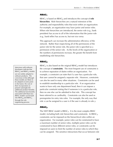#### *RBAC1*

RBAC<sub>1</sub> is based on RBAC<sub>0</sub> and introduces the concept of **role hierarchies**. Role hierarchies are a natural extension of the authority and responsibility roles that exist within an organization. For example, an organization may have junior and senior roles. When role hierarchies are introduced, the senior role (e.g., bank president) has access to all of the information that the junior role (e.g., bank teller) has access to, but not vice versa.

This approach can increase the administrative efficiency of the network. Rather than respecifying all of the permissions of the junior role for the senior role, the junior role is specified as a permission of the senior role. As the levels of the organization or the numbers of permissions increase, the greater the benefit from establishing role hierarchies.

#### *RBAC2*

 $RBAC<sub>2</sub>$  is also based on the original  $RBAC<sub>0</sub>$  model but introduces the concept of **constraints**. The most frequent use of constraints is to achieve separation of duties within an organization. For example, a constraint can state that if a user has a particular role, that user cannot be assigned a separate role. However, constraints can also be used in many other situations. Constraints can be used to establish membership to a particular role. If an organization wants to have only one department head, then it can impose a particular constraint stating that if someone is in a particular role, then no one else can be admitted to that role. This concept has been referred to as cardinality. Constraints can also be used as prerequisites for entry into roles. For example, the only way that role *x* can be assigned to a user is if the user is already in role *y*.

#### *RBAC3*

The NIST RBAC model is  $RBAC<sub>3</sub>$ . It is the most complex RBAC model, including both role hierarchies and constraints. In RBAC<sub>3</sub>, constraints can be imposed on the hierarchical roles within an organization. For example, junior roles can be constrained to have a maximum number of senior roles, multiple junior roles can be constrained to have different senior roles, or constraints can be imposed on users to limit the number of senior roles to which they can be assigned. The sensitive interactions that occur between role

developers indicate that  $RBAC<sub>2</sub>$  and  $RBAC<sub>3</sub>$  models are not widely adopted in software products. The concensus is that although these models are likely to be adopted at some point in the future, the cost of their incorporation at present outweighs the additional product benefits. The additional functionality associated with these two RBAC models can be built into  $RBAC<sub>0</sub>$  and  $RBAC<sub>1</sub>$ through the role engineering process.

Interviews with software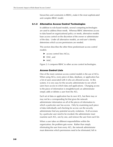hierarchies and constraints in  $RBAC<sub>3</sub>$  make it the most sophisticated and complex RBAC model.

#### **2.1.3 Alternative Access Control Technologies**

In addition to role-based models, several competing technologies are used to address these needs. Whereas RBAC determines access to data based on organizational policy or needs, alternative models base access control on the discretion of the owner or administrator of the data. Under all alternative models, an end-user's identity determines which access permissions are needed.

This section describes the other three predominant access control models:

- $\blacktriangleright$  access control lists (ACLs),
- $\blacktriangleright$  DAC, and
- $>$  MAC.

Figure 2-3 compares RBAC to other access control technologies.

#### *Access Control Lists*

One of the most common access control models is the use of ACLs. When using ACLs, every piece of data, database, or application has a list of users associated with it who are allowed access. In this system, it is very easy for the security administrator to see which users have access to which data and applications. Changing access to the piece of information is straightforward; an administrator simply adds or deletes a user from the ACL.

Each set of data or application has its own ACL, but there may or may not be a corresponding list that gives the network administrator information on all of the pieces of information to which a particular user has access. Only by examining each piece of data individually and checking for access can the security administrator find any potential security violations. If all accesses by a particular user need to be revoked, the administrator must examine each ACL, one by one, and remove the user from each list.

When a user takes on different responsibilities within the organization, the problem gets worse. Rather than simply eliminating the user from every ACL, the network administrator must determine which permissions need to be eliminated, left in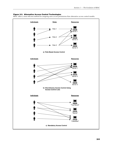#### **Figure 2-3. Alternative Access Control Technologies**

RBAC offers a more efficient method for assigning users access permissions than alternative access control models.

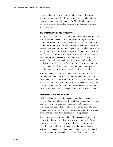place, or altered. Network administrators have made several attempts to improve ACLs. In some cases, users can be put into groups, making it easier to change the ACL. In other cases, elaborate rules can be applied to ACLs to limit access to particular pieces of data.

#### *Discretionary Access Control*

The main concept of DAC is that the individual who owns the data is able to control access to the data. ACLs are regarded as one implementation of DAC. DAC governs access to information based on the user's identity and rules that specify which users have access to which pieces of information. Whereas ACLs are lists that specify which users can access a particular piece of data, DAC consists of a set of rules that specify which users are allowed to access the data. When a user requests access to a particular piece of data, the server searches for a rule that specifies which users are allowed to access the information. If the rule is found, the user is given access; if not, the user is denied. For example, a rule may state that users from a certain group are not allowed to read a particular data file.

Rule-based DAC is an improvement over ACLs, but it is still susceptible to human error and therefore suffers from potential security violations. DAC does not impose any restrictions on data access for a particular user. Once users can access data, they can change or pass that information onto any other user without the security administrator's knowledge (Sandhu and Samarati, 1994).

#### *Mandatory Access Control*

MAC is a departure from other access control mechanisms because it is based on hierarchical security labels and assigns each user and each piece of information or application a particular security level (e.g., classified, secret, top secret). Two common principles are then applied to determine if a user has access to a particular piece of information: read down access and write up access.

Read down access gives users the ability to access any piece of information that is at or below their own security level. If a user has a secret security level, they are able to access secret and classified material but not top secret material. Write up access states that a subject's clearance must be dominated by the security level of the data or information generated. For example, someone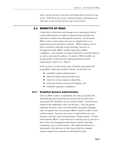with a secret clearance can only write things that are secret or top secret. With these two access control principles, information can only flow across security levels or up security levels.

#### **2.2 BENEFITS OF RBAC**

Using roles to determine and manage access permissions allows system administrators to better incorporate least privilege and separation of duties into administrative policies. As discussed, RBAC exists in many forms, but even its simplest form is an improvement over alternative methods. "RBAC features such as policy neutrality, principle of least privilege, and ease of management make [RBAC models] especially suitable candidates…Such models can express both DAC and MAC policies, as well as user-specific policies. In essence, RBAC models can provide generic framework for expressing diverse security requirements" (Joshi et al., 2001a).

In this section, we discuss the types of benefits associated with using RBAC rather than another method. Key benefits are

- $\blacktriangleright$  simplified systems administration,
- $\blacktriangleright$  enhanced organizational productivity,
- $\blacktriangleright$  reduction in new employee downtime,
- $\blacktriangleright$  enhanced systems security and integrity, and
- $\blacktriangleright$  simplified regulatory compliance.

#### **2.2.1 Simplified Systems Administration**

Once an RBAC system is established, the costs associated with administering and monitoring the network are less than those associated with alternative access control models. Several factors influence the magnitude of the cost decrease. First, the greater employee turnover, and in turn the number of people changing roles, the greater the cost savings of RBAC relative to other access control systems. Second, some firms or organizations are very dynamic, and user roles and permissions change quickly. In these environments, RBAC is more efficient in moving users in and out of given roles and changing the permissions of given roles than competing access control systems. This improved efficiency is observable in the decrease in labor hours that the computer network support team spends on administrative tasks.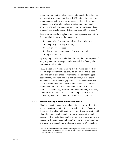In addition to reducing system administration costs, the automated access control systems supported by RBAC reduce the burden on upper management. In alternative access control systems, upper management is integrally involved in determining individual privileges and authorizing access for each new employee. RBAC's organizational structure supports the automation of this process.1

Several issues must be weighed when granting access permissions. Security administrators need to balance the

- $\triangleright$  complexity of the position being assigned privileges,
- $\blacktriangleright$  complexity of the organization,
- $\blacktriangleright$  security level required,
- $\blacktriangleright$  data and application needs of the position, and
- $\blacktriangleright$  organizational issues.

By assigning a predetermined role to the user, the labor expense of assigning permissions is significantly reduced, thus freeing labor resources for other tasks.

RBAC is a scalable model, meaning that the model can work as well in large environments covering several offices and classes of users as it can in one-office environments. Roles matching job positions may be determined in a central office, but the actual assigning of roles to or changing of roles for new employees can occur at each branch office by an administrator. This concept, frequently referred to as delegated administration, can be of particular benefit to organizations with several branch, subsidiary, or contractor locations, such as health care plans, insurance companies, banks, and similar organizations (see Figure 2-4).

# **2.2.2 Enhanced Organizational Productivity**

-

RBAC also has the potential to enhance the system by which firms and organizations structure their information systems. Because of the greater flexibility and breadth of network design associated with RBAC, the model can be adapted to mirror the organizational structure. This creates the potential for new and innovative ways of structuring the organization, altering the routing of information, or changing the organization's production processes. Organizations

<sup>&</sup>lt;sup>1</sup>Industry experts indicated that automation was possible with alternative access control methods; however, the concept of roles greatly enhanced the benefits associated with automation.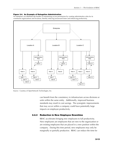#### **Figure 2-4. An Example of Delegation Administration**

An enterprise can distribute the burden of maintaining access permissions by creating administrative roles for its constituent organizations and locations, thereby reducing turnaround times and enhancing productivity.



Source: Courtesy of OpenNetwork Technologies, Inc.

can benefit from the consistency in infrastructure across divisions or units within the same entity. Additionally, improved business standards may result in cost savings. The synergistic improvements that may occur within a company could have potentially large impacts on employee productivity.

#### **2.2.3 Reduction in New Employee Downtime**

RBAC accelerates bringing new employees to full productivity. New employees are employees that are new to the organization or are existing employees that are placed in a new position within the company. During this time period, new employees may only be marginally or partially productive. RBAC can reduce the time for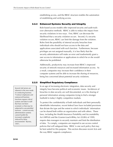establishing access, and the RBAC structure enables the automation of establishing and verifying access.

#### **2.2.4 Enhanced Systems Security and Integrity**

Role-based access models offer improved security and audit trails over alternative methods. RBAC is able to reduce the impact from security violations in two ways. First, RBAC can decrease the likelihood that a security violation occurs. Second, if a security violation occurs, RBAC can limit the damage from the violation. Roles limit the possibility of internal security breaches from individuals who should not have access to the data and applications associated with each function. Furthermore, because privileges are not assigned manually, it is less likely that the security administrator will make an error and inadvertently grant a user access to information or applications to which he or she would otherwise be prohibited.

Additionally, productivity may increase from RBAC's improved security of network resources and increased information access. As a result, companies may increase their confidence in their computer systems and be able to increase the sharing of resources, being less concerned about potential security violations.

### **2.2.5 Simplified Regulatory Compliance**

In an age of increasing electronic integration, data security and integrity have become political and economic issues. Incidences of breaches in data security are well documented, as is the sharing of personal information among companies trying to find a stronger foothold in today's highly competitive markets.

To protect the confidentiality of both individuals and their personally identifiable information, recent federal laws have included provisions that dictate the type and the extent to which individuals' information can be shared both within an organization and with others. These laws, including the Health Insurance Portability and Accountability Act (HIPAA) and the Gramm-Leach-Bliley Act (GLBA) of 1999, require data managers to securely maintain and limit the distribution of data. To comply, companies are required to use access control policies that will safeguard data. RBAC is one such policy that may be best suited for this purpose. This section discusses recent Acts and the way RBAC supports compliance.

inherent in the new mode of conducting business. "Contract employees and outsourced business functions expose critical systems and data to staff that have not been screened, or that may be subjected to uncontrolled turnover…current security administration systems

Several risk factors are

cannot handle the increased complexity induced by these environments" (Byrnes, 1997).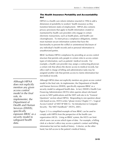# *The Health Insurance Portability and Accountability Act*

HIPAA is a health care reform initiative enacted in 1996 to add a dimension of portability to workers' health insurance as they transition between states of employment. HIPAA also contains privacy provisions that apply to health information created or maintained by health care providers who engage in certain electronic transactions, such as health plans, and health care clearinghouses. To meet privacy compliance obligations, entities must maintain secure information systems that have the functionality to prevent the willful or unintentional disclosure of any individual's health records and or personal information to unauthorized parties.

RBAC facilitates HIPAA compliance by providing an access control structure that permits only people in certain roles to access certain types of information, such as patients' medical records. For example, a health care provider may assign a contracting physician a certain role that allows the doctor access to medical records, but office staff in charge of billing and administrative tasks may be assigned another role that permits access to claims information but not medical records.

*Although HIPAA does not explicitly mention any given access control model in the final rule, its implementer, the Department of Health and Human Services (DHHS), specifically espouses RBAC as a security model to safeguard health data.* 

Although HIPAA does not explicitly mention any given access control model in the final rule, its implementer, the Department of Health and Human Services (DHHS), specifically espouses RBAC as a security model to safeguard health data. In fact, DHHS's Health Care Financing Administration (HCFA) refers queries about role-based access to NIST publications and the NIST web site in its "General Questions" section about HIPAA. Responding to one question about role-based access, HCFA writes "please review Chapter 17—'Logical Access Control' of NIST SP 800-12, 'An Introduction to Computer Security: The NIST Handbook'" (HCFA, 2001).

Figure 2-5 is a simplified example of how RBAC can be used to comply with HIPPA from the perspective of the health care organization (HCO). Using an RBAC system, the HCO can limit which users can access which types of data. For example, a billing clerk at a doctor's office may access a patient's contact and billing information but not her medical history. A doctor, on the other hand, has full access to the patient's medical history.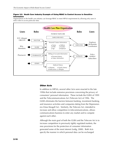#### **Figure 2-5. Heath Care Industry Example of Using RBAC to Control Access to Sensitive Information**

Organizations in the health care industry can leverage RBAC to meet HIPAA requirements by allowing only users in select roles to access particular data.



#### *Other Acts*

In addition to HIPAA, several other Acts were enacted in the late 1990s that include extensive provisions concerning the privacy of consumers' personal information. These include the GLBA of 1999 and the Telecommunications Act (Telecom Act) of 1996. The GLBA eliminates the barriers between banking, investment banking, and insurance activities and companies dating from the Depressionera Glass-Steagall Act. Similarly, the Telecom Act, intended to increase and allow competition in telecommunications, allows communications business to enter any market and to compete against each other.

Although the main goal of both the GLBA and the Telecom Act is to increase competition in previously tightly regulated markets, the new provisions for the protection of consumer information generated some of the most interest (Ledig, 2000). Both Acts specify the manner in which personal data can be exchanged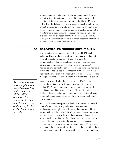among companies and among divisions of companies. They also lay out which information must be held in confidence and which may be distributed in aggregate form, if at all. The GLBA goes further than the Telecom Act by giving consumers the authority to block the exchange of any information concerning themselves or their accounts among or within companies except as concerns the maintenance of their accounts. Although neither Act indicates or explicitly requires an access control method, RBAC is one way through which companies can restrict which classes of information may be viewed by certain types of users.

# **2.3 RBAC-ENABLED PRODUCT SUPPLY CHAIN**

Several software companies produce RBAC and RBAC-enabled software. These products range from commercially available offthe-shelf to custom-designed software. The majority of commercially available products are designed to manage access permissions to information resources within an enterprise's networked environments, such as local-area or wide-area networks, referred to collectively as the intranet environment. However, a significant growth area in the near future will be for RBAC products managing Internet-accessible systems, also referred to as extranets.

*Although Internetbased applications would have existed with or without RBAC, RBAC decreases the administration and maintenance costs of these applications and enhances their security.* 

Most of the examples in this report approach RBAC from the perspective of its use in the intranet environment. However, neither RBAC's application and technical characteristics nor its benefits or costs differ by environment. There is little difference in the technology or methodology of defining and creating roles and incorporating applications between the intranet and the Internet environments.

RBAC via the Internet supports and enhances business activities by more efficiently connecting end users to Internet-based applications. Although Internet-based applications would have existed with or without RBAC, RBAC decreases the administration and maintenance costs of these applications and enhances their security (Joshi et al., 2001b). To deliver these applications over the Internet, different classes of end users, such as customers or contractors, may be assigned roles to maintain or verify their own accounts, reducing the administrative load on the firm. Once these end users have enrolled, they may be able to register and maintain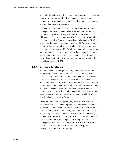account information, alter their product or service packages, submit requests or questions, and settle payments. In such a large computing environment, it may be desirable to have users register and maintain their own accounts.

It should be stated here that RBAC's application is not limited to managing permissions in networked environments. Individual databases or applications may also have an RBAC system. Although the economic benefits of RBAC are hypothesized to be concentrated in RBAC's use in networked environments, RBAC will also be used to manage access to any form of information resource, including data sets, applications, or other systems. An enterprise does not need to have an RBAC policy mapped to its organizational structure in these instances, but a policy that is naturally mapped against that particular resource's user structure. Even in such a focused application, the owner of that resource accrues both the benefits and costs of RBAC.

#### **2.3.1 Software Developers**

Software developers design, program, and market systems and applications software to manage user access. These software packages may or may not have the ability to control user access using roles. Those that do are said to be RBAC-enabled or have RBAC functionality. Software that is RBAC-enabled has a module or administrative tool feature that allows an administrator to create and restrict access to roles. Some software vendors offer an optional RBAC module that can be integrated with their customers' software suites. Presently, most software systems with RBAC functionality are systems software.

At the time this study was completed, relatively few software developers had RBAC-enabled products commercially available. However, software developers forecast that the market for such products will increase significantly, driven by information security and privacy concerns. Table 2-1 lists some firms that currently market RBAC and RBAC-enabled software. These firms' software products fall into several categories, including security management, electronic commerce infrastructure and platforms, operating systems, and access control, with most products belonging to more than one category.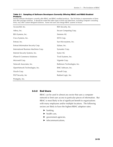#### **Table 2-1. Sampling of Software Developers Currently Offering RBAC and RBAC-Enabled Products**

Several software developers currently offer RBAC and RBAC-enabled products. The list below is representative of firms that offer package solutions. It should be noted that other types of firms not listed here, including computer consulting firms, may offer custom-designed solutions. Some end users also design RBAC systems in-house.

| Access360, Inc.                       | RSA Security, Inc.           |
|---------------------------------------|------------------------------|
| Adexa, Inc.                           | Secure Computing Corp.       |
| BEA Systems, Inc.                     | Siemens AG                   |
| Cisco Systems, Inc.                   | SETA Corp.                   |
| Entrust, Inc.                         | Sun Microsytems, Inc.        |
| Entrust Information Security Corp.    | Sybase, Inc.                 |
| International Business Machines Corp. | Symantec Corp.               |
| Internet Security Systems, Inc.       | Systor AG                    |
| iPlanet E-Commerce Solutions          | Tivoli Systems, Inc.         |
| Microsoft Corp.                       | Vignette Corp.               |
| Network Associates, Inc.              | Baltimore Technologies, Inc. |
| OpenNetwork Technologies, Inc.        | BMC Software, Inc.           |
| Oracle Corp.                          | Novell Corp.                 |
| PGP Security, Inc.                    | Radiant Logic, Inc.          |
| Protegrity, Inc.                      |                              |

#### **2.3.2 End Users**

RBAC can be used in almost any sector that uses a computer network to limit user access to particular pieces of information. But RBAC is most likely to be of significant benefit to organizations with many employees and/or multiple locations. The following sectors are likely to have the highest RBAC adoption rates:

- $\blacktriangleright$  banking,
- $\blacktriangleright$  health care,
- $\blacktriangleright$  government agencies,
- $\blacktriangleright$  telecommunications,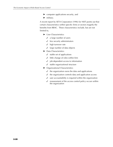- $\blacktriangleright$  computer applications security, and
- $\blacktriangleright$  military.

A recent report by SETA Corporation (1996) for NIST points out that certain characteristics within specific firms or sectors magnify the benefits from RBAC. These characteristics include, but are not limited to,

- $\blacktriangleright$  User Characteristics
	- $\checkmark$  a large number of users
	- $\checkmark$  few security administrators
	- $\checkmark$  high turnover rate
	- $\checkmark$  large number of data objects
- $\blacktriangleright$  Data Characteristics
	- $\checkmark$  stable set of applications
	- $\checkmark$  little change of roles within firm
	- $\checkmark$  job-dependent access to information
	- $\checkmark$  stable organizational structure
- $\blacktriangleright$  Organizational Characteristics
	- $\checkmark$  the organization owns the data and applications
	- $\checkmark$  the organization controls data and application access
	- $\checkmark$  user accountability is required within the organization
	- $\checkmark$  reassessment of the access control policy occurs within the organization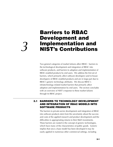# **Barriers to RBAC Development and Implementation and** *3* **NIST's Contributions**

Two general categories of market failures affect RBAC: barriers to the technological development and integration of RBAC into software products, and barriers to adoption and implementation of RBAC-enabled products by end users. We address the first set of barriers, which primarily affect software developers (and in-house developers) of RBAC-enabled products and are in large part due to RBAC's generic technology attributes. We discuss RBAC's infratechnology-related market barriers that primarily affect adoption and implementation by end users. The section concludes with an overview of NIST's response to these market failures through its RBAC project.

# **3.1 BARRIERS TO TECHNOLOGY DEVELOPMENT AND INTEGRATION OF RBAC MODELS INTO SOFTWARE PRODUCTS**

The barriers to private-sector development and integration of RBAC into software products stem from the uncertainty about the success and costs of the applied research and product development and the difficulties in appropriating returns to their R&D investments. These barriers are rooted in the concept of generic technologies, which have many of the characteristics of public goods. Generic implies that once a base model has been developed it may be easily applied in numerous other commercial settings, including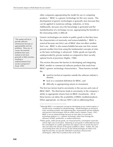other companies appropriating the model for use in competing products.1 RBAC is a generic technology for this very reason. The development of generic technologies is generally slow because they can be applied in numerous settings, industries, or firms. Additionally, because once the knowledge is generated and the standardization of a technique occurs, appropriating the benefits to the innovating entity is difficult.

Generic technologies are similar to public goods in that they have the characteristics of nonrivalry and nonexcludability.2 RBAC is nonrival because one firm's use of RBAC does not affect another firm's use. RBAC is also nonexcludable because one firm cannot prevent another firm from using the fundamental concepts of roles as the basic technology is advanced. Public goods are typically underprovided by private markets as compared to their socially optimal levels of provision (Stiglitz, 1988).

This section discusses the barriers to developing and integrating RBAC models in commercial software products that result from RBAC's generic technology characteristics. These barriers include the

- $\triangleright$  need for technical expertise outside the software industry's domain,
- $\blacktriangleright$  lack of a consistent definition for RBAC, and
- $\blacktriangleright$  difficulty in appropriating returns to investment.

The first two factors lead to uncertainty in the success and costs of RBAC R&D. The third factor leads to uncertainty in the company's ability to appropriate returns from its RBAC investments. All of these factors can delay the availability of RBAC-enabled products. When appropriate, we discuss NIST's role in addressing these

"The market will fail to provide sufficient infrastructure because of appropriability and risk problems. These are, of course, the essential problems that cause markets to fail more generally in R&D activities, resulting in underinvestment from society's perspective" (Scott, 1999).

-

 $<sup>1</sup>$ Although RBAC is an important concept for developing access control systems, it</sup> should not be considered an infratechnology. Infratechnologies are technical tools, including scientific and engineering data, measurement and test methods, and practices and techniques, that are widely used in industry (Tassey, 1997). RBAC is not an infratechnology because its main effect is to provide a technology platform (i.e., a generic technology) rather than leverage the efficiency of R&D, production, or market transactions.

<sup>&</sup>lt;sup>2</sup>Public goods, unlike private goods, are characterized by consumption nonrivalry and by high costs of exclusion. Rationing of such goods is undesirable because the consumption of a public good does not impose costs on society because it does not reduce the amount of the good available to others. Further, the costs of excluding those who do not pay for the infratechnologies are likely to be high because they are typically embodied in products and processes (techniques), rather than in products that can be sold.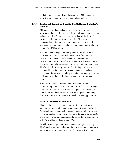market failures. A more detailed discussion of NIST's specific activities and expenditures is included in Section 3.3.

# **3.1.1 Technical Expertise Outside the Software Industry's Domain**

Although the fundamental concepts of roles are common knowledge, the capability to formalize model specifications needed to implement RBAC models is beyond the knowledge base of existing staff in many software companies. The lack of understanding of the programming requirements or a lack of awareness of RBAC models makes software companies hesitant to commit to RBAC development.

The lack of knowledge and staff expertise in the area of RBAC increases the uncertainty of both the technical feasibility of developing successful RBAC-enabled products and the development costs and time frame. These uncertainties increase the project risk and create significant barriers to investment in new RBAC-enabled software products. The risk impacts are further magnified by the fact that most business managers (decision makers) are risk adverse, weighing potential downsides greater than equivalent potential upsides in the probability distribution of returns.

NIST's RBAC project addresses these market failures by demonstrating the technical feasibility of RBAC products through its programs. In addition, NIST's patents, papers, and the conferences it has sponsored disseminate the basic RBAC generic technology from which private companies can develop market applications.

# **3.1.2 Lack of Consistent Definition**

RBAC is a broad open-ended technology that ranges from very simple role structures to complicated hierarchies and constraints. As a result, the development of a single model is not appropriate. However, the lack of agreement on a set of fundamental concepts and underlying terminologies created a barrier to the development of RBAC-enabled products in the 1990s.

As with the development of many new technologies, evolving RBAC models have typically used different terminology to describe similar concepts and functionalities. The fact that RBAC has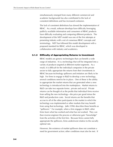simultaneously emerged from many different commercial and academic backgrounds has also contributed to the lack of consistent definitions and has increased confusion.

The lack of consistent definitions has slowed the implementation of RBAC. As a result, software develops have difficulty leveraging publicly available information and consumers of RBAC products have difficulty evaluating and comparing different products. The development of the NIST model was one of the first attempts at presenting industry with a set of consensus RBAC concepts and terminology. NIST has followed this model development with a proposed standard for RBAC, which was developed in collaboration with industry and academics.

# **3.1.3 Difficulty of Appropriating Returns to Investment**

RBAC models are generic technologies that can benefit a wide range of industries. It is a technology that will be integrated into a variety of products targeted at different market segments. As a result, it is difficult for the individual companies in the private sector to fully appropriate the returns from their investments in RBAC because technology spillovers and imitation are likely to be high. For firms to engage in R&D to develop a new technology, several conditions need to be in place. One of these is the ability to appropriate the market returns that are generated when a new technology is introduced into the marketplace. Market returns to R&D can take two separate forms: private and social. Private returns can be thought of as the profits that individual firms receive from selling the new technology—the price per good minus the R&D and production costs. Social returns are the benefits that accrue to all of the other participants in the market in which the technology was implemented or other markets that may benefit from using that technology. Jaffe (1996) describes these benefits as "spillovers." For example, when a firm engages in R&D, other firms learn what has worked and what has not worked. They can than reverse-engineer the process or otherwise gain "knowledge" from the activities of the first firm. Because firms cannot fully appropriate the spillovers, firms underinvest relative to the socially optimal rate.

However, the existence of market spillovers does not constitute a need for government action; other conditions must also be met. If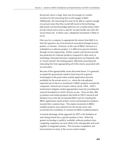the private return is large, there may be enough of a market incentive for the innovating firm to still engage in R&D. Additionally, the innovating firm may be be able to capture enough of a private return that they would still invest in the technology. Jaffe points out that knowledge spillovers are a market failure when private returns fail to reach a specific societal hurdle rate when the social returns do. In these cases, suboptimal investment is likely to occur.

One way for a company to appropriate the returns from R&D is to limit the spread or use of its technical innovations through secrecy, patents, or licenses. However, in the case of RBAC, because it is embodied as a software product, it is difficult to prevent imitation through reverse engineering. Similar, patents and licenses provide less protection for software products compared to other areas of technology innovation because competing firms are frequently able to "invent around" the existing patent, effectively preventing the innovating firm from appropriating all of the returns associated with an innovation.

Because of the appropriablity issues discussed above, it is generally accepted that government needs to fund research in generic technologies to the point where market applications become profitable for the private sector (i.e., where the risk-adjusted expected rate of return to investment in RBAC products exceeds the companies' internal rate of return criteria) (Scott, 1999). NIST's involvement mitigates market appropriation issues by providing the research foundation to which all have access. Firms are then able to produce and market products that build on NIST's research and therefore incur only the incremental R&D costs for orienting the RBAC applications needs of their current and prospective products towards their customer base. This makes investment in RBACenabled products more attractive for the private sector and accelerates the availability of commercial RBAC-enabled products.

A second advantage of this approach by NIST is the limitation of users being locked into a specific product or firm. When the generic technology is publicly available, software products from competing companies are more likely to be interoperable and work together in integrated systems. This increases competition and lowers barriers to entry in the access control market.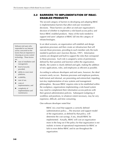# **3.2 BARRIERS TO IMPLEMENTATION OF RBAC-ENABLED PRODUCTS**

The second category of barriers to developing and adopting RBAC is implementation barriers that affect end-user investment decisions. These barriers can affect an end-user organization's decision of whether to implement a role-based access policy and hence RBAC-enabled products. Many of the tools needed to support end users' adoption of RBAC fall into the category of infratechnologies.

In an ideal scenario, an organization will establish and design operations processes and then create an infrastructure that will execute those processes, providing to each member only the tools needed to perform one's function (Byrnes, 1997). Information systems are designed and built to support the roles that correspond to these processes. Each role is assigned a series of permissions defined by their position and function within the organization. Ideally, the system is clearly defined and agile, making the addition of new applications, roles, and employees as efficient as possible.

According to software developers and end users, however, the ideal scenario rarely occurs. Business processes and employee positions, both formal and informal, are preexisting and entrenched, impeding turn-key implementation of new systems and management philosophies. Because RBAC requires roles to be established within the workplace, organizations implementing a role-based system may need to complement their information access policies with their general administration policies. Subsequent realigning of workflow and positions, to whatever extent necessary, may be very expensive, difficult, and time consuming.

One software developer noted that

RBAC [is] a tool that supports a correctly defined [administrative] policy….The structure and support model of the organization, as defined by that policy, will determine the cost savings, if any, should RBAC be implemented. Actually, RBAC will cost an organization more in the long run if the policy for that organization is not realistic in terms of operational requirements for RBAC or fails to even define RBAC and its use throughout the organization.

Software end users who responded to our Internet survey concurred on the factors that are important in choosing an access control technology. These factors are

- $\blacktriangleright$  ease of installation and management,
- $\blacktriangleright$  level of security provided,
- $\blacktriangleright$  ability to cover most platforms,
- $\blacktriangleright$  scalability,
- ease of use,
- $\triangleright$  costs of implementation, and
- $\blacktriangleright$  complexity of implementation and maintenance.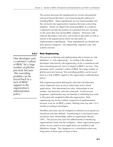This section discusses the impediments for current and potential end users beyond the direct cost of purchasing the software of installing RBAC. These impediments are not insurmountable, but they do factor into organizations' business decisions concerning adoption. Herein we depart from analyzing RBAC as a software component and take the position of a potential end user, focusing on the issues that arise during RBAC adoption. Interviews with software developers, end users, and technical specialists as well as articles in the popular press inform our discussion of implementation impediments. These impediments are divided into three general categories: role engineering, migration costs, and systems structure.

#### **3.2.1 Role Engineering**

*One developer said a customer's rollout of RBAC hit a large number of glitches precisely because "the overriding problem can be traced back to a lack of RBAC support in the organization's administration policy."* 

The process of defining and implementing roles is known as "role definition" or "role engineering." According to the software developers interviewed, role engineering can be a contentious and time-consuming process, but it is integral to RBAC's success. One developer said a customer's rollout of RBAC hit a large number of glitches precisely because "the overriding problem can be traced back to a lack of RBAC support in the organization's administration policy."

Role engineering entails defining the roles that will determine which employees have access to which data and to which applications. Also determined are roles' relationships to one another, role hierarchy, and role constraints. As this process progresses, implementers may see benefits in rethinking how work is allocated and completed within the organization. Role engineering may be the costliest component of implementation because, even for an RBAC<sub>0</sub> system, defining roles may take 3 to 4 months according to developers.

Workflow processes may be realigned as informal access grants are formalized and roles defined. Transitioning to a role-based system formalizes many relationships within an organization (Byrnes, 1997). This process may have the added benefit of introducing organizational clarity into the workplace. Many organizations grant ad-hoc access control as new applications are installed or job definitions change. The changeover to a centralized system may bring many of those types of issues to bear.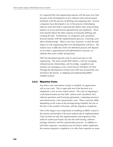It is expected that role-engineering expense will decrease over time because of the development of new software tools and increased familiarity with the process of defining and assigning roles. Several companies have developed or are in the process of developing software tools that help to automatically define roles using existing patterns of access permissions gleaned from user databases. These tools should reduce the labor expense of manually defining and creating all roles. Furthermore, as companies and consultants become familiar with the implementation process, a learning curve effect should emerge. What is not clear, however, is what the total impact on role engineering these two developments will have. The relative ease or difficulty of the role definition process will depend on an entity's organizational and administrative structure, an attribute that varies widely among firms.

NIST has developed specific tools to assist end users in role engineering. The tools include RGP-Admin, a tool for managing role/permission relationships, and AccesMgr, a graphical user interface for managing access control lists for Windows NT files. Through the development of these tools NIST has lowered the cost, and hence the barrier, to adopting and implementing RBACenabled systems.

### **3.2.2 Migration Costs**

Any time a new information system is installed, an organization will accrue costs. This is especially true if the decision is to implement a new access control system. The costs of migrating to a role-based system are four fold: salaries and consultants' fees, software purchases and licensing agreements, computing resources and infrastructure, and customization costs. These costs may differ depending on the scope of the package being installed, the size of the firm or the number of licenses, and the migration complexity.

One of the largest cost components of installing an RBAC system is the salaries and benefits of the team tasked with its implementation. Tasks include not only the implementation and migration of the software system purchased, but also the staff training, software package selection, and the customization process. In addition to staff labor expenses, consultants may be hired to either implement the systems migration completely or to offer their expertise on some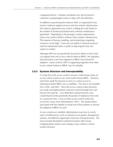component therein. Outside consultants may also be hired to customize a prepackaged system or help with role definition.

In addition to purchasing the software itself, an organization may invest in software support services and new systems infrastructure. The software agreement may involve a sliding fee scale based on the number of licenses purchased and a software maintenance agreement. Depending on the package's system requirements, buyers may need to build or enhance their systems' infrastructure. The expense of buying, installing, and maintaining computing resources can be high. Costs may rise further if network resources must be maintained solely or partly to help migrate from one system to another.

Although NIST has not specifically focused its efforts on how firms can migrate from one access control system to RBAC, the migration and transaction costs from migration to RBAC have slowed its adoption. Future work by NIST in supporting migration from other access control systems to RBAC may be valuable.

# **3.2.3 Systems Structure and Interoperability**

If a large firm with access control concerns could choose today an access control system to use, most would choose RBAC. However, most firms made the decision on how to control access to information before RBAC was a candidate. The choice set included ACLs, DAC, and MAC. Once the access control system decision was made and implemented, networks evolved through time and became firm specific. User definitions and permissions were created based on the potentially thousands of employees that work for a particular firm. Lock-in of the access control system has occurred in many firms (Hilchenbach, 1997). The market failure associated with this inability to break-out of this problem as slowed the adoption of RBAC by users.

As new systems are installed, administrators may have to rectify years of inefficiencies, such as informal access grants, disorganized systems, and different organization structures among divisions. The move towards disciplined centralized systems often means realigning these systems and creating a more cohesive, formal systems structure.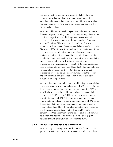Because of the time and cost involved, it is likely that a large organization will adopt RBAC at an incremental pace. By spreading out implementation over a period of time or only when new applications or systems come online, companies avoid the risk-prone full rollout.

An additional barrier to developing commercial RBAC products is the wide range of operating systems that users employ. Even within one firm or organization, multiple operating systems are often needed. As firm size increases, so does the number of operating systems (Ferraiolo, Gilbert, and Lynch, 1992). As firm size increases, the importance of access control also grows (*Infosecurity Magazine*, 1999). Because they combine these effects, larger firms need an access control system that is able to operate across multiple operating systems. In addition, security features need to be effective across sectors of the firm or organization without being overly intrusive to the user. This trait is referred to as interoperability. Interoperability is the ability to communicate and transfer data or information across different activities and platforms. For example, an access control system that displays perfect interoperability would be able to communicate with the security and administrative network across an entire firm without any disruptions or complications.

Without a framework or architecture for addressing interoperability problem, firms may be unable to implement RBAC and benefit from the reduced administrative costs and improved security. NIST's activities have been influential in remedying these market failures. Hilchenbach (1997) agrees, "NIST is a driving force behind the move to standardize RBAC." By developing common standards, firms in different industries are now able to implement RBAC across the multiple platforms within their organization, and lessen the lock-in effect. In addition, the development of common standards lays the groundwork for future network externalities across companies. Once a common playing field is established, software developers and network administrators are able to engage in activities that will offer future improvements to RBAC.

#### **3.2.4 Product Acceptance and Comparison**

When making purchasing decisions, buyers of software products gather information about the various potential products and then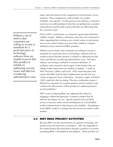make a decision based on the comparison of characteristics across products. These comparisons could include cost, quality, reliability, and capacity. For this process to be effective, consumers must have an understanding of what they are getting from a product and producers must be able to prove that they are delivering what the consumer wants.

Prior to NIST's involvement, no commonly agreed upon definition of RBAC existed. Without a definition, firms that were interested in either upgrading their existing access control system or purchasing new access control systems may have been unable to compare attributes across commercial RBAC products.

Without a set of metrics that consumers are willing to accept as standards for a particular piece of technology, software firms are unable to prove that their product is reliable in addressing security issues and effective at reducing administrative costs. The entire industry was lacking a yardstick or common definition. If producers and consumers cannot agree on the product they are selling, market transactions are unlikely to happen. A study by NIST (Ferraiolo, Gilbert, and Lynch, 1992) found that part of the reason why RBAC had not been implemented was the lack of a "stamp of approval" from a third party. Ferraiolo, Cugini, and Kuhn (1995) make this clear by stating "The lack of definition makes it difficult for consumers to compare products and for vendors to get credit for the effectiveness of their products in addressing known security problems."

NIST's work at defining RBAC has addressed this failure by engaging in efforts that generate a common yardstick that all software developers can use. Specific projects have included surveys of security needs and the development of a formal RBAC model to demonstrate its effectiveness and reliability. Developing a formal RBAC model is a strategy that has proven successful in other markets.

# **3.3 NIST RBAC PROJECT ACTIVITIES**

Because RBAC has the characteristics of a generic technology, the private sector has been slow to develop it. NIST has responded to the market failures discussed above through a portfolio of activities promoting RBAC's development and adoption. These activities are

*Without a set of metrics that consumers are willing to accept as standards for a particular piece of technology, software firms are unable to prove that their product is reliable in addressing security issues and effective at reducing administrative costs.*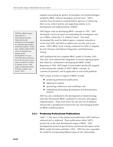targeted at providing the generic technologies and infratechnologies needed by RBAC software developers and end users. NIST's activities have focused on assisting federal agencies in enhancing their access control systems and supporting industry in its development and implementation of RBAC.

NIST began work on developing RBAC concepts in 1991. NIST developed a technical report recommending the investigation and use of RBAC within the U.S. Federal Criteria. This study documented the need for federal agency computer networks to evolve from DAC and MAC to address new security and access issues. NIST's RBAC work is being conducted via NIST's Computer Security Division and Software Diagnostics and Performance Testing.

NIST published the first complete RBAC model in October 1992. This early work reflected the integration of several ongoing projects that indirectly contributed to developing the RBAC model. Beginning in 1994, NIST began to fund studies specifically targeted to demonstrate the viability of NIST's RBAC concepts, its commercial potential, and its application to real-world problems.

NIST's major activities in support of RBAC include

- $\blacktriangleright$  producing professional publications,
- $\blacktriangleright$  applying for patents,
- $\blacktriangleright$  sponsoring conferences and workshops, and
- $\blacktriangleright$  establishing and funding development and demonstration projects.

NIST has also contributed to the development of infratechnology tools that demonstrate RBAC's potential to end users and support implementation. These tools lower the risk and cost of adoption and provide a springboard to launch the new and emerging market for RBAC-enabled products.

# **3.3.1 Producing Professional Publications**

Table 1-1 lists many of the professional publications NIST staff have authored and co-authored. These publications reflect NIST's pivotal role in the early development stages of RBAC. NIST developed the technical specifications and formal description of the RBAC model (Ferraiolo and Kuhn, 1992). NIST has since expanded the model by incorporating different types of role relationships

NIST/ITL's RBAC project responded to a demonstrated need for improved security mechanisms and standards for administering complex networked systems. At that time, industry believed that a lack of standards was hampering the development of access control products and that a key to the success of such a system would be its ability to operate across a wide range of operating systems (Ferraiolo, Gilbert, and Lynch, 1992).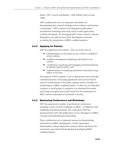(Kuhn, 1997; Gravila and Barkley, 1998; Barkley and Cincotta, 1998).

NIST's publications were an important mechanism for disseminating their research findings to the academic and business communities. NIST's research and subsequent publications provided the technology base from which market applications could be developed. By leveraging NIST's basic research, software developers were able to lower their development costs and accelerate the introduction of RBAC-enabled products.

# **3.3.2 Applying for Patents**

NIST has applied for four patents. They are in the areas of

- $\blacktriangleright$  implementation of role-based access control in multilevel secure systems,
- $\triangleright$  workflow management employing role-based access control,
- $\blacktriangleright$  a method for visualizing and managing role-based policies on identity-based systems, and
- $\blacktriangleright$  implementation of role/group permission association using object access type.

The purpose of NIST's patents is not to appropriate returns through commercialization of licensing agreements but to ensure that its research would remain in the public domain and be available for all developers of RBAC-enabled products. In this way no individual company or small group of companies can dominate the market and charge monopoly prices that would slow the penetration of RBAC and the realization of its benefits to society.

# **3.3.3 Sponsoring Conferences and Workshops**

NIST has sponsored a number of professional conferences, including a series of ACM workshops on RBAC. In addition to the workshops and demonstrations, the conferences NIST has sponsored have led to the publication of over 100 papers on RBAC concepts and implementation procedures.

These conferences are an important avenue for disseminating information on RBAC development. Timely information dissemination reduces duplicative research efforts and lowers the uncertainty associated with developing and adopting RBACenabled products.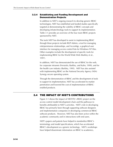## **3.3.4 Establishing and Funding Development and Demonstration Projects**

In addition to NIST's ongoing research to develop generic RBAC technologies, NIST has established and funded studies specifically targeted at demonstrating the viability of RBAC concepts and developing infratechnology tools to support its implementation. Table 3-1 provides an overview of the four main RBAC projects sponsored by NIST.

The tools NIST has developed to assist in implementing RBAC through these projects include RGP-Admin, a tool for managing role/permission relationships, and AccesMgr, a graphical user interface for managing access control lists for Windows NT files. Other examples include the development of specific tools for implementing RBAC for the World Wide Web (Barkley et al., 1997).

In addition, NIST has demonstrated the use of RBAC for the web, for corporate intranets (Ferraiolo, Barkley, and Kuhn, 1999), and for the health care industry (Barkley, 1995). NIST has also assisted with implementing RBAC on the National Security Agency (NSA) Synergy secure operating system.

Through the demonstration of RBAC and the development of tools to support its implementation, NIST has accelerated its market penetration and lowered the cost of implementation of RBACenabled products.

# **3.4 THE IMPACT OF NIST'S CONTRIBUTIONS**

Figure 3-1 shows the impact of NIST/ITL's RBAC project on the access control model development chain and the pathways to benefits attributable to NIST's activities. NIST's role in developing RBAC has primarily been through supporting software designers and implementation companies in developing commercial RBAC software products. However, NIST has also been active within the academic community and in interactions with end users.

NIST's papers and patents have helped to standardize RBAC's terminology and model specifications, which has accelerated RBAC's development as a generic technology. NIST's workshops have helped disseminate information on RBAC to academics,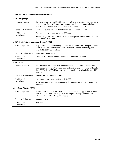| <b>RBAC</b> for Synergy                               |                                                                                                                                                                                                                                         |  |  |
|-------------------------------------------------------|-----------------------------------------------------------------------------------------------------------------------------------------------------------------------------------------------------------------------------------------|--|--|
| Project Objective                                     | To demonstrate the viability of RBAC concepts and its application to real world<br>problems, the first RBAC prototype was developed on the Synergy platform.<br>This work was performed through using external research funds.          |  |  |
| Period of Performance                                 | Developed during the period of October 1994 to December 1996                                                                                                                                                                            |  |  |
| <b>NIST Project</b>                                   | Purchased hardware and software: \$50,000                                                                                                                                                                                               |  |  |
| Expenditures                                          | System design and specification, software development and demonstration, and<br>publications: \$750,000                                                                                                                                 |  |  |
| <b>RBAC Small Business Innovation Research (SBIR)</b> |                                                                                                                                                                                                                                         |  |  |
| Project Objective                                     | To promote innovative thinking and investigate the commercial implications of<br>RBAC technology, an SBIR topic was developed, selected for funding, and<br>awarded to SETA Corporation.                                                |  |  |
| Period of Performance                                 | September 1994 to June 1997                                                                                                                                                                                                             |  |  |
| <b>NIST Project</b><br>Expenditures                   | Develop RBAC model and experimentation software: \$250,000                                                                                                                                                                              |  |  |
| <b>RBAC/Web</b>                                       |                                                                                                                                                                                                                                         |  |  |
| Project Objective                                     | To develop an RBAC reference implementation of NIST's RBAC model and<br>demonstrate that the RBAC model applies to networking environment RBAC for<br>the WWW. (RBAC/Web) project was established and was funded using NIST<br>funding. |  |  |
| Period of Performance                                 | January 1997 to December 1998                                                                                                                                                                                                           |  |  |
| <b>NIST Project</b>                                   | Purchased hardware and software: \$40,000                                                                                                                                                                                               |  |  |
| Expenditures                                          | RBAC/Web design and implementation, documentation, APIs, and publications:<br>\$574,000                                                                                                                                                 |  |  |
| <b>Role Control Center (RCC)</b>                      |                                                                                                                                                                                                                                         |  |  |
| Project Objective                                     | The RCC was implemented based on a provisional patent application that was<br>filed in August 1998. The purpose of the project is to implement RCC as a<br>Windows NT and Windows 2000 application.                                     |  |  |
| Period of Performance                                 | January 1998 to present                                                                                                                                                                                                                 |  |  |
| <b>NIST Project</b><br>Expenditures                   | \$150,000                                                                                                                                                                                                                               |  |  |

#### **Table 3-1. NIST-Sponsored RBAC Projects**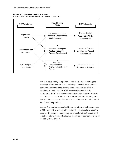#### **Figure 3-1. Overview of NIST's Impact**

NIST's activities have affected all levels of the RBAC supply chain.



software developers, and potential end users. By promoting the exchange of information these workshops lowered development costs and accelerated the development and adoption of RBACenabled products. Finally, NIST projects demonstrated the feasibility of RBAC and provided infratechnology tools to software developers and end users. The demonstrations and resulting tools lowered the cost and accelerated the development and adoption of RBAC-enabled products.

Section 4 presents a conceptual framework from which the impacts of NIST's activities are formally modeled. The model provides the basis for the technical and economic impact metrics that are used to collect information and calculate measures of economic return to the NIST/RBAC project.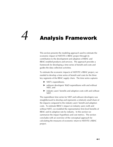# *4* **Analysis Framework**

This section presents the modeling approach used to estimate the economic impact of NIST/ITL's RBAC project through its contribution to the development and adoption of RBAC and RBAC-enabled products and services. The approach provides a framework for developing a time series of benefit and costs and guides the data collection activities.

To estimate the economic impacts of NIST/ITL's RBAC project, we needed to develop a time series of benefit and costs for the three key segments of the RBAC supply chain. The time series captures

- $\blacktriangleright$  NIST's expenditures,
- $\triangleright$  software developers' R&D expenditures with and without NIST, and
- $\blacktriangleright$  industry users' benefits and adoption costs with and without NIST.

The expenditure time series for NIST and software developers was straightforward to develop and represents a relatively small share of the impacts compared to the industry users' benefit and adoption costs. To estimate RBAC's impact on industry users (with and without NIST), we modeled the representative firm-level benefits of RBAC and its adoption rate by industry. In this section we summarize the impact hypothesis and cost metrics. The section concludes with an overview of the conceptual approach for calculating the measures of economic return to NIST/ITL's RBAC project.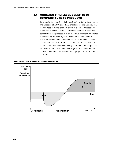# **4.1 MODELING FIRM-LEVEL BENEFITS OF COMMERCIAL RBAC PRODUCTS**

To estimate the impact of NIST's contributions to the development and adoption of RBAC and RBAC-enabled products and services, we first need to model the flow of benefits and costs associated with RBAC systems. Figure 4-1 illustrates the flow of costs and benefits from the perspective of an individual company associated with installing an RBAC system. These costs and benefits are measured relative to the counterfactual of an alternative access control system such as an ACL, DAC, or MAC that is already in place. Traditional investment theory states that if the net present value (NPV) of the flow of benefits is greater than zero, then the company will undertake the investment project subject to a budget constraint.



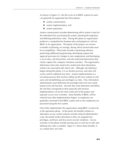As shown in Figure 4-1, the life-cycle of an RBAC system for users can generally be segmented into three phases:

- $\blacktriangleright$  system customization,
- $\blacktriangleright$  system implementation, and
- $\blacktriangleright$  system operations.

System customization includes determining which system is best for the individual firm, purchasing the system, planning the migration, and defining preliminary roles. During this phase an organization produces a comprehensive business plan and prepares to roll out RBAC in its organization. This phase of the project can involve 6 months of planning, on average, during which several tasks must be accomplished. These tasks include customizing software; performing additional programming; developing request and approval processes for changes in user assignments; and developing a set of roles, role hierarchies, and role restriction/interactions that clearly capture the company's business activities. The organization determines what roles need to be created and what information needs to be associated with which role. Although role definition begins during this phase, it is an iterative process, and roles will evolve and be redefined over time. System implementation is a two-phase process that involves rolling out the new systems to end users and reestablishing user privileges via roles. First, information administrators must determine the privileges that each user needs based on her job function. Second, they must determine and define the role that corresponds to their particular job function. Implementation can be the most costly part of the project and typically occurs over 6 months. Some benefits of RBAC will be realized soon after implementation begins, as employees are gradually converted to the RBAC system and as new employees are processed using the new system.

Once fully implemented, the organization using RBAC is said to be in the operations phase. At this point, the benefits (relative to alternative access control systems) include reduced administrative costs, decreased worker downtime as they are assigned new privileges, and fewer and less severe security violations. Access activities in this phase include moving users in and out of roles and defining new roles as needed. Figure 4-1 shows these benefits, Z, as a steady flow over time.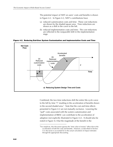The potential impact of NIST on users' costs and benefits is shown in Figure 4-2. In Figure 4-2, NIST's contributions have

- (a) reduced customization costs and time: These cost reductions are shown by the shaded square area. Time reductions are shown as a shift in the curve to the left.
- (b) reduced implementation costs and time: The cost reductions are reflected in the nonparallel shift in the implementation stage.

**Figure 4-2. Reducing End-User System Customization and Implementation Costs and Time** 



j

Combined, the two time reductions shift the entire life-cycle curve to the left by time "t" resulting in the acceleration of benefits shown in the second shaded area.<sup>1</sup> Note that the cost and time effects presented in Figure 4-2 are not mutually exclusive. Lowering the "pull" costs associated with the system customization and implementation of RBAC can contribute to the acceleration of adoption (not explicitly illustrated in Figure 4-2). It should also be noted in Figure 4-2 that the magnitude of the benefit in the

<sup>&</sup>lt;sup>1</sup>For simplicity, this discussion ignores the "time value of money" effect due to the acceleration of both the costs and benefits. However, as described in Section 4.4, this factor is accounted for in the actual calculation of impact estimates through the appropriate discounting.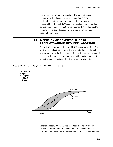operations stage (Z) remains constant. During preliminary interviews with industry experts, all agreed that NIST's contributions did not have an impact on the attributes or functionality of the final RBAC systems installed. Hence, for data collection and impact estimation we assumed that product quality remains constant and focused our investigation on cost and acceleration impacts.

# **4.2 DIFFUSION OF COMMERCIAL RBAC PRODUCTS—INDUSTRY-LEVEL ADOPTION**

Figure 4-3 illustrates the adoption of RBAC systems over time. The vertical axis indicates the cumulative share of adoptions through a given year, and the horizontal axis is time. Adoptions are measured in terms of the percentage of employees within a given industry that are being managed using an RBAC system at any given time.



**Figure 4-3. End-User Adoption of RBAC Products and Services** 

Because adopting an RBAC system is not a discrete event and employees are brought on line over time, the penetration of RBAC is modeled as a continuous diffusion curve. The S-shaped diffusion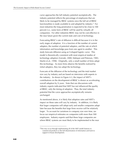curve approaches the full industry potential asymptotically. The industry potential reflects the percentage of employees that are likely to be managed by RBAC systems once the full set of RBAC functionalities is made available to and adopted by industry.2 For most industries the long penetration is expected to be close to 100 percent (i.e., some form of RBAC will be used by virtually all companies). For other industries RBAC may not be cost-effective in the near future given the current state and cost of technology.

Forecasting RBAC's rate of diffusion is difficult because it is in the early stages of adoption. It is a function of the number of current adopters, the number of potential adopters, and the rate at which information and knowledge pass from one agent to another. This study forecasts diffusion using an S-shaped logistic curve. This model is theoretically consistent with most empirical studies of technology adoption (Geroski, 2000; Mahajan and Peterson, 1985; Martin et al., 1998). Originally, only a small number of firms adopt this technology. As more firms observe the benefits realized by initial adopters, they too adopt the technology.

Forecasts of the diffusion of the technology and the total market size vary by industry and are based on interviews with experts in the industry. As shown in Figure 4-3, the impact of NIST's contributions on the development of RBAC is shown as accelerating overall adoption by X years. Note that our discussions with industry experts indicated that NIST has not influenced the quality of RBAC, only the timing of adoption. Thus, the total industry potential that the curve approaches asymptotically remains unchanged.

As mentioned above, it is likely that adoption rates and NIST's impact on these rates will vary by industry. In addition, it is likely that larger companies will adopt early and smaller companies adopt later because the benefits that large firms receive will be relatively larger. To account for variations in company size over time, we focus our empirical estimates on companies with more than 500 employees. Industry experts said that these large companies are where RBAC systems are most likely to be implemented in the near

-

<sup>&</sup>lt;sup>2</sup>This may occur through implementing all of the NIST model features in commercial products or the full dissemination of information and tools to support in-house development.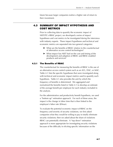future because larger companies realize a higher rate of return to their investment.

# **4.3 SUMMARY OF IMPACT HYPOTHESIS AND COST METRICS**

Prior to collecting data to quantify the economic impact of NIST/ITL's RBAC project, we developed a series of impact hypotheses and cost metrics to be investigated during the interviews with industry experts. These impact hypotheses and technical and economic metrics are separated into two general categories:

- $\triangleright$  What are the benefits of RBAC relative to the counterfactual of alternative access control technologies?
- $\triangleright$  What impact has NIST had on the cost and timing of the development and adoption of RBAC and RBAC-enabled products and services?

#### **4.3.1 The Benefits of RBAC**

The counterfactual for measuring the benefits of RBAC is the use of an alternative access control system such as an ACL, DAC, or MAC. Table 4-1 lists the specific hypotheses that were investigated along with technical and economic impact metrics used to quantify each hypothesis. Table 4-1 also provides the unit by which the frequency of benefits is determined. We aggregated and normalized the benefits listed in Table 4-1 to develop an estimate of the average benefit per employee for each industry included in the analysis.

For the administrative and productivity benefit hypothesis, we used a "bottom up" estimation approach. For each of these areas, the impact is the change in labor time that is then linked to the employee's labor rate (\$/hour).

To evaluate the potential economic impact of RBAC on the frequency and severity of security violations, we first asked companies what they would be willing to pay to totally eliminate security violations; then we asked about the share of violations RBAC can potentially eliminate. A "top down" estimation approach is more appropriate for investigating security violations because of the difficulty in eliciting specific information on the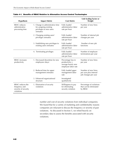| <b>Hypothesis</b>                                                       | <b>Impact Metric</b>                                                                               | <b>Cost Metric</b>                                                                | <b>Unit Scaling Factor or</b><br>Weight                               |
|-------------------------------------------------------------------------|----------------------------------------------------------------------------------------------------|-----------------------------------------------------------------------------------|-----------------------------------------------------------------------|
| <b>RBAC</b> reduces<br>administrative<br>processing time                | 1. Change in administrative time<br>for assigning existing<br>privileges to new users<br>(minutes) | Fully loaded<br>administrative labor<br>rate per hour                             | Number of new hires<br>per year                                       |
|                                                                         | 2. Changing existing users'<br>privileges (minutes)                                                | Fully loaded<br>administrative labor<br>rate per hour                             | Number of internal job<br>changes per year                            |
|                                                                         | 3. Establishing new privileges to<br>existing users (minutes)                                      | Fully loaded<br>administrative labor<br>rate per hour                             | Number of new job<br>functions                                        |
|                                                                         | 4. Terminating privileges                                                                          | Fully loaded<br>administrative labor<br>rate per hour                             | Number of employee<br>terminations per year                           |
| <b>RBAC</b> increases<br>productivity                                   | 1. Decreased downtime for new<br>employees (days)                                                  | Percentage loss in<br>productivity ×<br>average hourly new<br>employee labor rate | Number of new hires<br>per year                                       |
|                                                                         | 2. Reduced time for upper<br>management (minutes)                                                  | Fully loaded upper<br>management labor<br>rate                                    | Number of new hires<br>per year plus internal<br>job changes per year |
|                                                                         | 3. Enhanced organizational<br>structure                                                            | Investigated<br>qualitatively                                                     |                                                                       |
| RBAC reduces the<br>frequency and<br>severity of security<br>violations | 1. Elimination of security<br>violations                                                           | Willingness to pay<br>for eliminating<br>security violation                       | Percentage of violations<br>that can be eliminated<br>by RBAC         |

number and cost of security violations from individual companies. We found that for a variety of marketing and confidentiality reasons companies are reluctant to discuss the frequency or severity of past violations. As discussed in Section 5, we relied heavily on secondary data to assess the benefits associated with security violations.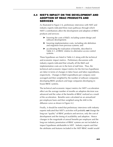# **4.4 NIST'S IMPACT ON THE DEVELOPMENT AND ADOPTION OF RBAC PRODUCTS AND SERVICES**

As illustrated in Figure 2-6, preliminary interviews with NIST and industry experts indicated three main pathways through which NIST's contributions affect the development and adoption of RBAC products and services:

- $\triangleright$  lowering the costs of R&D, including system design and software development;
- $\blacktriangleright$  lowering implementation costs, including role definition and migration from previous systems; and
- $\blacktriangleright$  accelerating the realization of benefits, described in Table 4-1, of RBAC relative to alternative access control systems.

These hypotheses are listed in Table 4-2 along with the technical and economic impact metrics. Preliminary discussions with industry experts indicated that virtually all the R&D and implementation costs are in the form of staff time. Thus, the technical and economic impact metrics for the first two hypotheses are labor in terms of changes in labor hours and labor expenditures, respectively. Changes in R&D expenditures per company were averaged and then weighted by the number of software companies developing RBAC products and large companies developing inhouse RBAC systems.

The technical and economic impact metrics for NIST's acceleration effect are the average number of months an adoption decision was advanced and the value of the benefits of RBAC realized as a result of the acceleration. Benefits were calculated on an annualized per-employee basis and then weighted using the shift in the diffusion curve as shown in Figure 4-2.

Finally, it should be noted that preliminary interviews with industry experts indicated that NIST's activities will probably *not* change the long-run "quality" of RBAC products and services, only the cost of development and the timing of availability and adoption. Hence changes in the magnitude of annual benefits per employee and the long-run industry penetration of RBAC systems are not included as impact hypotheses attributable to NIST. Industry experts said that the attributes and features included in the NIST RBAC model would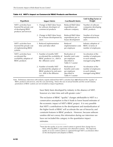| <b>Hypothesis</b>                                                                                 | <b>Impact Metric</b>                                                                                                             | <b>Cost/Benefit Metric</b>                                                                 | <b>Unit Scaling Factor or</b><br>Weight                                              |
|---------------------------------------------------------------------------------------------------|----------------------------------------------------------------------------------------------------------------------------------|--------------------------------------------------------------------------------------------|--------------------------------------------------------------------------------------|
| NIST's activities have<br>lowered the private cost<br>of developing RBAC<br>products and services | 1. Change in R&D labor hours<br>for software developers of<br>commercial products                                                | Reduced R&D labor<br>expenditures per<br>software company                                  | Number of software<br>companies developing<br>RBAC products                          |
|                                                                                                   | 2. Change in R&D labor hours<br>for in-house development by<br>users                                                             | Reduced R&D labor<br>expenditures per in-<br>house development                             | Number of in-house<br>implementations by<br>users                                    |
| NIST's activities have<br>lowered the private cost<br>of implementing RBAC<br>systems             | 1. Reduced implementation<br>time and labor effort                                                                               | Reduced<br>implementation costs<br>per employee                                            | Industry adoption of<br>RBAC in terms of<br>number of employees                      |
| NIST's activities have<br>accelerated the<br>availability adoption of<br>RBAC products            | 1. Number of months NIST<br>accelerated the availability of<br>RBAC products (i.e., shift in<br>the diffusion curve)             | Realization of<br>benefits (and costs)<br>per employee<br>described in<br>Table 4-1 sooner | Acceleration of the<br>number of employees<br>in each industry<br>managed using RBAC |
|                                                                                                   | 2. Number of months NIST<br>accelerated the adoption of<br>RBAC products by end users<br>(i.e., shift in the diffusion<br>curve) | Realization of<br>benefits (and costs)<br>per employee<br>described in<br>Table 4-1 sooner | Acceleration of the<br>number of employees<br>in each industry<br>managed using RBAC |

#### **Table 4-2. NIST's Impact on Commercial RBAC Products and Services**

Note: Preliminary interviews with industry experts indicted that NIST's activities have *not* influenced the "quality" of RBAC products and services, only the cost and timing. Hence the size of annual benefits and the overall industry penetration of RBAC systems are not included as impact hypotheses.

j

have likely been developed by industry in the absence of NIST, however at a later time and with greater costs.<sup>3</sup>

The exclusion of RBAC "quality" changes attributable to NIST is a conservative assumption in that it leads to lower bound estimates of the economic impact of NIST's RBAC project. It is very possible that NIST's contributions to the development and standardization of the higher levels of RBAC will accelerate the use of hierarchy and constraint features in RBAC products. However, because software vendors did not convey this information during our interviews we have not included this category in the quantitative impact estimates.

 $3$ Note that the quality of access control systems in general does change due to NIST, reflecting RBAC's superiority over alternative systems. The improved quality of access control systems is captured through NIST's acceleration effect on the development and adoption of RBAC.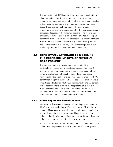The applicability of RBAC and the long-run market penetration of RBAC for a given industry are a function of several factors, including computer and network technologies, basic characteristics of their business operations, and future reductions in hardware costs. These findings, gathered from preliminary industry interviews, were also investigated as part of the Internet surveys and case study discussed in the following sections. The surveys and case study confirmed that it is unlikely NIST affected the long-run benefits of RBAC. However, several respondents indicated that the NIST model has affected the short-run quality of RBAC products and services available to industry. This effect is captured in our model as part of the acceleration of realized benefits.

# **4.5 CONCEPTUAL APPROACH TO MODELING THE ECONOMIC IMPACTS OF NIST/ITL'S RBAC PROJECT**

The empirical model of the economic impact of NIST's contributions is based on the hypotheses presented in Table 4-1 and Table 4-2. From the impact and cost metrics listed in these tables, we calculated individual company-level R&D costs, normalized by the number of employees, and per-employee RBAC benefits resulting from the NIST/ITL project. These employee-level impacts are adjusted for inflation and discounted using a 7 percent social discount rate to estimate the net present value (NPV) of NIST's contributions. This is compared to the NPV of NIST's expenditures to estimate the return to the NIST/ITL project. The estimation procedure is explained in detail below.

#### **4.5.1 Expressing the Net Benefits of RBAC**

We begin by developing equations representing the net benefit of RBAC to society (excluding NIST's expenditures). This includes private R&D costs of software developers and users; customization and implementation costs by users; and benefits to users from reduced administrative processing time, increased productivity, and reduced frequency and severity of security violations.

The benefits of RBAC, as described in Table 4-1, are defined as the flow of operating benefits (OB) over time. Benefits are expressed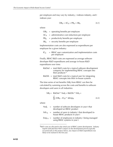per employee and may vary by industry, i indexes industry, and t indexes year:

$$
OB_{it} = AC_{it} + PB_{it} + SB_{it}
$$
 (4.1)

where

|  | $OB_{it}$ = operating benefits per employee             |
|--|---------------------------------------------------------|
|  | $AC_{it}$ = administrative cost reductions per employee |
|  | $PB_{it}$ = productivity benefits per employee          |

 $SB_{it}$  = security benefits per employee

Implementation costs are also expressed as expenditures per employee for a given industry:

 $IC_{it}$  = RBAC user customization and implementation costs per employee

Finally, RBAC R&D costs are expressed as average software developer R&D expenditures and average in-house R&D expenditures over time:

- R&Dsd = total R&D costs for a typical software development company for implementing RBAC concepts into their products 4
- $R&D$ ih = total  $R&D$  costs for a typical user for integrating RBAC concepts into their in-house systems

The time series of net benefits  $(NB_t)$  from RBAC can then be calculated by summing across the costs and benefits to software developers and users in all industries:

$$
NB_{t} = R&Dsd * Nsd_{t} + R&Dih * Nih_{t} +
$$
  
\n
$$
\sum_{i} (OB_{it} - IC_{it}) * \Delta Emp_{it}
$$
 (4.2)

where

j

|  | $Nsd_t$ = number of software developers in year t that<br>developed an RBAC product                 |
|--|-----------------------------------------------------------------------------------------------------|
|  | Nih $_{it}$ = number of users in industry i that developed in-<br>house RBAC products in year t     |
|  | Emp <sub>it</sub> = number of employees in industry i being managed<br>using RBAC systems in year t |

<sup>4</sup>R&D costs are allocated to the initial year of RBAC system development. Industry experts indicated that NIST's impact on the development process typically occurred early in the project; hence, any impact on R&D expenditures was likely to be realized in the first year.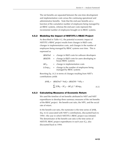The net benefits are separated between the one-time development and implementation costs versus the continuing operational and administrative benefits. Note that the end-user benefits are a function of the cumulative number of employees being managed by an RBAC systems, whereas the end-user costs represent the incremental number of employees brought on to RBAC systems.

#### **4.5.2 Modeling the Impact of NIST/ITL's RBAC Project**

As described in Table 4-2, the potential economic impact of NIST/ITL's RBAC project results from changes in R&D costs, changes in implementation costs, and changes in the number of employees being managed by RBAC systems over time. This is expressed as

|                            | $\triangle$ R&Dsd = change in R&D costs for software developers                        |
|----------------------------|----------------------------------------------------------------------------------------|
|                            | $\triangle$ R&Dih = change in R&D costs for users developing in-<br>house RBAC systems |
| $\Delta$ IC <sub>it</sub>  | $=$ change in implementation costs                                                     |
| $\Delta$ Emp <sub>it</sub> | $=$ change in the number of employees being<br>managed by RBAC systems                 |

Rewriting Eq. (4.2) in terms of changes resulting from NIST's contributions yields

$$
\Delta NB_t = \Delta R \& Dsd * Nsd_t + \Delta R \& Dih * Nih_t +
$$
  
\n
$$
\sum_{i} [OB_{it} - (IC_{it} - \Delta IC_{it})] * \Delta Emp_{it}
$$
 (4.3)

#### **4.5.3 Calculating Measures of Economic Return**

We used the timeline of net benefits attributed to NIST and NIST expenditures to develop three summary measures of the net benefits of the RBAC project: the benefit-cost ratio, the NPV, and the social rate of return.

In the benefit-cost ratio, the numerator is the time series of  $\Delta NB_t$ (Eq. [4.3]) associated with NIST's contributions, discounted back to 1994—the year in which NIST/ITL's RBAC project was initiated. The denominator of the benefit-cost ratio is the time series of NIST/ITL RBAC project expenditures in each year  $(C_t)$ , also discounted back to 1994: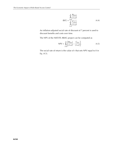$$
(B/C) = \frac{\sum_{i=0}^{n} \frac{B(t+i)}{(1+r)^{i}}}{\sum_{i=0}^{n} \frac{C(t+i)}{(1+r)^{i}}}
$$
(4.4)

An inflation-adjusted social rate of discount of 7 percent is used to discount benefits and costs over time.

The NPV of the NIST/ITL RBAC project can be computed as

NPV = 
$$
\sum_{i=0}^{n} \left[ \frac{B(t+i)}{(1+r)^{i}} - \frac{C_{t+i}}{(1+r)^{i}} \right].
$$
 (4.5)

The social rate of return is the value of r that sets NPV equal to 0 in Eq. (4.5).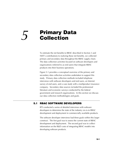# **Primary Data** *5* **Collection**

To estimate the net benefits to RBAC described in Section 3 and NIST's contributions to realizing these net benefits, we collected primary and secondary data throughout the RBAC supply chain. The data collection activities focused on software developers and organizations (referred to as end users) that integrate RBAC products into their business operations.

Figure 5-1 provides a conceptual overview of the primary and secondary data collection activities undertaken to support this study. Primary data collection methods included telephone interviews with software developers and end users, an Internet survey of end users, and a case study with a mulitproduct insurance company. Secondary data sources included the professional literature and economic surveys conducted by the federal government and research organizations. In this section we discuss our data collection methodologies and goals.

#### **5.1 RBAC SOFTWARE DEVELOPERS**

RTI conducted a series of detailed interviews with software developers to determine the state of the industry vis-à-vis RBAC development and deployment in commercially available products.

The software developer interviews had three goals within this larger construct. The first goal was to assess the current state of RBAC development and deployment. The second goal was to collect information on the R&D costs of integrating RBAC models into developing software products.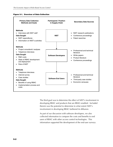



The third goal was to determine the effect of NIST's involvement in developing RBAC and products that are RBAC-enabled. Included therein was the potential to determine to what extent NIST's involvement in developing RBAC furthered its diffusion.

As part of our discussion with software developers, we also collected information to compare the costs and benefits to end users of RBAC with other access control technologies. This information supported the development of the end-user surveys.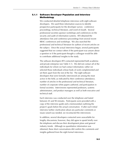#### **5.1.1 Software Developer Population and Interview Methodology**

We conducted detailed telephone interviews with eight software developers. We used three information sources to identify prospective participants for the developer survey: conference proceedings, technical literature, and word of mouth. Several professional societies sponsor workshops and conferences on the security and audit of information systems. RTI obtained the attendance lists and conference proceedings from several recent RBAC conferences and workshops. We also searched the professional and technical literature for authors of recent articles on the subject. Once the actual interviews began, several participants suggested that we contact others if the participant was unsure about a question or if the participant thought a colleague would be able to contribute additional insights to the study.

The software developers RTI contacted represented both academia and private enterprise (see Table 5-1). We did not contact all of the individuals for whom we had contact information; rather we selected those individuals whose body of work complemented and set them apart from the rest of the list. The eight software developers that were formally interviewed are among the most active in the field, as indicated by their conference attendance, number of articles in the professional and technical literature, number of corporate white papers authored, and participation in formal societies. Interviewees represented professors, systems administrators, and product managers as well as both executive and technical staff.

Each interview was conducted over the telephone and lasted between 45 and 90 minutes. Participants were provided with a copy of the interview guide and a memorandum outlining the project's goals before the actual conversation. If after each initial interview further clarification about any particular comments or issues raised was needed, we recontacted the interviewee.

In addition, several developers contacted were unavailable for lengthy discussions; however, they did agree to speak briefly over the telephone and discuss their development plans and general industry trends. Although no quantitative information was obtained, these short conversations did confirm the comments and insights gathered from the eight formal interviews.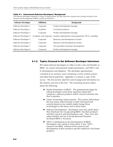#### **Table 5-1. Interviewed Software Developers' Background**

The software developers represent a variety of organizations, but they share the common trait of being involved in the research and development of RBAC models and products.

| <b>Software Developer</b> | <b>Affiliation</b>     | <b>Background</b>                                     |
|---------------------------|------------------------|-------------------------------------------------------|
| Software Developer 1      | Corporate              | Product development manager                           |
| Software Developer 2      | <b>Academic</b>        | University professor                                  |
| Software Developer 3      | Corporate              | Product development manager                           |
| Software Developer 4      | Academic and corporate | Systems administrator and programmer; Ph.D. candidate |
| Software Developer 5      | Corporate              | Research and development scientist                    |
| Software Developer 6      | Corporate              | Research and development scientist                    |
| Software Developer 7      | Corporate              | Vice president of product development                 |
| Software Developer 8      | Corporate              | Product development manager                           |

#### **5.1.2 Topics Covered in the Software Developer Interviews**

RTI asked software developers to reflect on the costs and benefits of RBAC, its current and potential market penetration, and NIST's role in development and adoption. The developer questionnaire consisted of six sections, each containing a series of short-answer and table-format questions. Appendix A contains a copy of the survey. The first section asked for some background information on the industry and size of the firm. The remaining sections asked about the following:

- $\blacktriangleright$  Market Penetration of RBAC: The questionnaire began by asking developers some basic questions about their company's software products and/or research interests and their customers.
- ▶ Future Technology Improvements: This section asked about the how future improvements in both role-based and nonrole-based access models might change those technologies in the future and to what extent.
- ▶ Software Development: Developers were also asked about their timeframe for incorporating RBAC into their products and their research and development costs. They were also asked whether articles in the professional literature facilitated RBAC's inclusion.
- $\triangleright$  NIST's Contributions to the Development of RBAC: Developers were asked to what extent, if any, NIST's research into RBAC influenced the research and development of their products and the market for role-based products.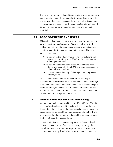The survey instrument contained in Appendix A was used primarily as a discussion guide. It was shared with respondents prior to the interviews and served as the general structure for the discussions. However, in many cases it was the unanticipated information and comments obtained during the interviews that proved most insightful.

#### **5.2 RBAC SOFTWARE END USERS**

RTI conducted an Internet survey of security administrators sent to subscribers of *Information Security Magazine,* a leading trade publication for information and systems security administrators. Ninety-two administrators responded to the survey. The Internet survey's goals were

- $\blacktriangleright$  to determine the administrative costs of establishing and changing user profiles when RBAC or other access control technologies are used;
- $\blacktriangleright$  to determine the frequency of security violations, both internal and external, when RBAC and other access control technologies are used; and
- $\blacktriangleright$  to determine the difficulty of altering or changing access control systems.

We also conducted telephone interviews with one major telecommunications firm and a large commercial bank. Although these interviews yielded little quantitative data, they were integral to understanding the benefits and implementation costs of RBAC. The information gathered from these interviews helped define the benefits and costs categories in Section 2.

#### **5.2.1 Internet Survey Population and Methodology**

We sent an e-mail message on December 19, 2000, to 9,530 of the magazine's subscribers to tell them about the survey and request their participation. The e-mail message was targeted to magazine subscribers who indicated they were responsible for network and systems security administration. It directed the recipient towards the RTI web page that housed the survey.

Ninety-two individual companies responded to the e-mail and completed some portion of the Internet survey. Although the overall response rate is low, this response rate is consistent with previous studies using this database of subscribers. Respondents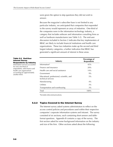were given the option to skip questions they did not wish to answer.

Because the magazine's subscriber base is not limited to any particular industry, we anticipated that companies that responded to the survey would represent an array of industries. One-third of the companies were in the information technology industry, a category that includes software and information consulting firms as well as hardware manufacturers (see Table 5-2). The end-user discussion included in Section 2 indicates that key implementers of RBAC are likely to include financial institutions and health care organizations. These two industries make up the second and third largest industry categories, a further indication that RBAC has generated a significant amount of interest in these areas.

#### **Table 5-2. End-User Internet Survey Respondents by Industry**

Information services accounted for over one-third of respondents, with finance and health care organizations accounting for approximately another third.

| <b>Industry</b>                                                  | Percentage of<br><b>Respondents</b> |
|------------------------------------------------------------------|-------------------------------------|
| Information <sup>a</sup>                                         | 42%                                 |
| Finance and insurance                                            | 20%                                 |
| Health care and social assistance                                | 14%                                 |
| Government                                                       | 9%                                  |
| Educational, professional, scientific, and<br>technical services | $5\%$                               |
| Manufacturing                                                    | 4%                                  |
| Utilities                                                        | 3%                                  |
| Transportation and warehousing                                   | $3\%$                               |
| Total                                                            | 100%                                |

a<sub>Includes</sub> telecommunications.

#### **5.2.2 Topics Covered in the Internet Survey**

The Internet survey asked systems administrators to reflect on the access control policies and procedures used within their respective companies' corporate information systems and intranet. The survey consisted of six sections, each containing short-answer and tableformat questions. Appendix B contains a copy of the survey. The first section asked for some background information on the industry and size of the firm. Other sections asked about the following: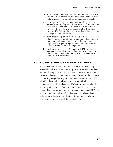- ▶ Access Control Technologies Used by Your Firm: The first portion of the survey asked about the respondents' current and previous access control technologies and products.
- $\triangleright$  RBAC System Design: If companies had designed their systems in-house, they were asked about development time, costs, and whether they were successful. Companies that purchase RBAC systems were asked whether they were aware of RBAC before the purchase and why they chose not to design a system in-house.
- $\blacktriangleright$  RBAC System Implementation: In this section, administrators answered questions related to the amount of time it took to implement the system, the number of employees managed using the system, and if other costs were incurred to support the migration.
- ▶ The Benefits and Costs of Maintaining RBAC Systems: This section asked for labor-hour estimates for a series of systems administration tasks and for comparisons between RBAC and non-RBAC technologies.

### **5.3 A CASE STUDY OF AN RBAC END USER**

To complete our overview of the state of RBAC in the marketplace, RTI conducted an end-user case study. The case study more deeply explores the impact RBAC has on organizations that use it. The case study differs from the Internet survey of systems administrators by focusing on systems migration and operations transitions. RTI identified those individuals who are involved in both the management decisions related to RBAC and the systems migration and integration process. Before the interview, each contact was provided with background information on the project and NIST and a list of discussion topics. RTI held conference calls and later followed up with one or two short emails and phone calls. A discussion of each case study follows in Section 5.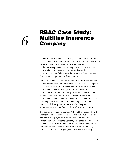## **RBAC Case Study: Multiline Insurance** *6* **Company**

As part of the data collection process, RTI conducted a case study of a company implementing RBAC. One of the primary goals of the case study was to learn more detail about the RBAC implementation process than can be gathered in one 30- to 45 minute telephone interview. The case study was also an opportunity to more fully explore the benefits and costs of RBAC from the vantage point of a software end user.

RTI conducted the case study with a multiline insurance company (herein referred to as "the Company"). RTI selected the Company for the case study for two principal reasons. First, the Company is implementing RBAC to manage both its employees' access permissions and its extranet users' permissions. The case study was able to capture, with one software end user, insights from implementing RBAC in these two environments. Second, because the Company's extranet users are contracting agencies, the case study would also capture insights related to delegated administration and other functionalities afforded RBAC users.

This section discusses the Company's line of business and how the Company intends to leverage RBAC to enrich its business model and improve employee productivity. The installation and implementation will cost the Company an estimated \$783,636 over the course of 12 to 18 months. Once fully implemented, however, RTI estimates that the annual administrative and productivity estimates will total nearly \$661,330. In addition, the Company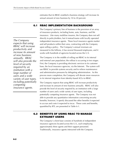estimates that its RBAC-enabled e-business strategy will increase its annual amount of new business by 10 to 20 percent.

#### **6.1 RBAC IMPLEMENTATION BACKGROUND**

The Company's primary line of business is the provision of an array of insurance products, including home, auto, business, and life insurance. Like many multiline insurers, the Company does not sell directly to policyholders, but it instead teams with locally operated independent insurance agents. These local insurance agents market and sell products within their area, contracting with the Company upon selling a policy. The Company's annual revenues are measured in the billions, it has several thousand employees, and it works with hundreds of agencies located across the U.S.

The Company is in the middle of rolling out RBAC to its internal and external user population; the rollout is occurring in two stages. First, the Company is providing electronic services to its customer base, the local insurance agencies, via the Internet. The system will use RBAC to provide systems security and to relieve maintenance and administrative pressures by delegating administration. As this process nears completion, the Company will devote more resources to its internal migration from identity-based ACLs to RBAC.

The Company expects that using RBAC will increase productivity and increase its amount of new business annually. RBAC will also provide the level of security required by an institution with a large number of users and a wide variety of user types, including potentially competing insurance agents. The Company was not able to provide any quantitative information concerning security benefits; however, it openly discussed the other benefits it expected to accrue and costs it expected to incur. These costs and benefits, quantified by RTI, are presented in Table 6-1.

#### **6.2 BENEFITS OF USING RBAC TO MANAGE EXTRANET USERS**

The Company's client base consists of hundreds of independent insurance agencies located across the U.S., each employing approximately three agents and their support personnel. Traditionally, insurance agents interacted with the Company

*The Company expects that using RBAC will increase productivity and increase its amount of new business annually. RBAC will also provide the level of security required by an institution with a large number of users and a wide variety of user types, including potentially competing insurance agents.*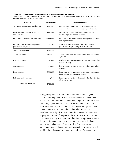#### **Table 6-1. Summary of the Company's Costs and Estimated Benefits**

The Company's strategy should save it at least \$661,330 annually, but to reap these benefits it must first outlay \$783,636 in labor, software, and hardware expenses.

| <b>Variable</b>                                             | <b>Dollar Value</b> | <b>Economic Metric</b>                                                                                   |
|-------------------------------------------------------------|---------------------|----------------------------------------------------------------------------------------------------------|
| Enhanced organizational productivity                        | \$471,040           | Reduced paper- and telephone-based workload for<br>insurance claims and policy-processing professionals. |
| Delegated administration of extranet<br>user accounts       | \$161,086           | Avoided cost of corporate systems administrators<br>maintaining extranet users' accounts.                |
| Reduction in new employee downtime                          | Undisclosed         | Reduction in the amount of time an employee is without<br>access permissions.                            |
| Improved management of employees'<br>permissions using RBAC | \$29,204            | The cost difference between RBAC and non-RBAC<br>policies to manager employees' user accounts.           |
| <b>Total Annual Benefits</b>                                | \$661,330           |                                                                                                          |
| Software expenses                                           | \$120,000           | Software purchases, including maintenance and support<br>agreements.                                     |
| Hardware expenses                                           | \$20,000            | Hardware purchases to support systems migration and e-<br>business strategy.                             |
| Consulting fees                                             | \$24,000            | Fees paid to consultants to assist in the implementation<br>process.                                     |
| Labor expenses                                              | \$608,088           | Labor expenses of employees tasked with implementing<br>RBAC systems and e-business strategy.            |
| Role engineering expenses                                   | \$14,548            | Labor expenses related to determining the characteristics<br>of roles to be used.                        |
| <b>Total One-time Costs</b>                                 | \$783,636           |                                                                                                          |

through telephone calls and written communication. Agents contact the Company directly to determine rates, receive quotes, and obtain other information. After receiving information from the Company, agents then recontact prospective policyholders to inform them of the results. The process of contacting the Company directly to determine rates and to gather other information translated into a significant amount of time between a customer's inquiry and the sale of the policy. If the customer should choose to purchase the policy, the agent must then initiate a process whereby the policy is enacted and the appropriate forms were filed at the agency and mailed to the Company. The Company would supplement its records with information obtained from agents in the additional mailings and other communications. The process of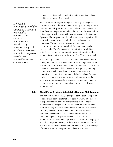*Delegated administration of the Company's agents is expected to decrease the systems administrator's workload by approximately 1.5 fulltime employees annually, compared to using an alternative access control model.* 

completely selling a policy, including mailing and final data entry, could take as long as 4 to 6 weeks.

RBAC is the technology enabling the Company's strategic ebusiness initiative. The RBAC software will grant or deny access to users to data and applications as users' roles dictate. In essence, the software is the platform to which data and applications will be linked. Agents will interact with the Company over the Internet. Agents will be assigned roles that allow them to enter policyholder information, examine rates, and sell products instantly to customers. The goal is to allow agents to maintain, access, determine, and interact with policy information and details electronically. The Company also estimates that the ability to instantly register and sell products to prospective policyholders will increase its amount of new business by 10 to 20 percent annually.

The Company could have selected an alternative access control model, but it would have been more costly, although the extent of the additional cost is unknown. What is known, however, is that a non-RBAC solution would have entailed a larger programming component, which would have increased installation and customization costs. The system would also have been far more costly to operate and less secure for several reasons related to systems administration and maintenance, such as user directory maintenance and user account maintenance (i.e., no delegated administration).

#### **6.2.1 Simplifying Systems Administration and Maintenance**

The company will use RBAC's delegated administration capability to establish an administrator at each agency who will be tasked with performing the basic systems administration and role maintenance for its agency. It will take the Company less than 1 hour per agency to establish administrators and set up the basic structure, a cost that is included in the labor cost estimates presented in Section 6.4. Delegated administration of the Company's agents is expected to decrease the systems administrator's workload by approximately 1.5 full-time employees annually, compared to using an alternative access control model. The Internet survey uncovered that the average, fully loaded wage of systems administrators performing these functions is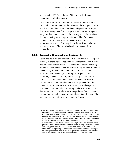approximately \$51.62 per hour.<sup>1</sup> At this wage, the Company would save \$161,086 annually.

Delegated administration does not push costs further down the supply chain, rather there may be benefits to those organizations to which account administration has been delegated. For example, the cost of having the office manager at a local insurance agency assign a role to a new agent may be outweighed by the benefit of that agent having his or her permissions quickly. If the office manager does not have to arrange account set-up and administration with the Company, he or she avoids the labor and lag time expenses. The agent is also able to assume his or her regular duties.

#### **6.2.2 Enhancing Organizational Productivity**

-

Policy and policyholder information is transmitted to the Company securely over the Internet, reducing the Company's administrative and data entry burden as well as the amount of paper circulating among its departments. The Company currently employs 40 people tasked solely to maintain the communication and data entry associated with managing relationships with agents in the mailroom, call center, support, and data entry departments. It estimated that the new initiative will make available about 20 percent of their time. Based on information gathered from the Bureau of Labor Statistics, the mean national loaded wage for insurance claims and policy processing clerks is estimated to be \$29.44 per hour.<sup>2</sup> The e-business strategy should free up 16,000 person-hours annually, given its current level of employment. The value of those hours is therefore at least \$471,040.

<sup>&</sup>lt;sup>1</sup> According to the 2000 National Occupational Employment and Wage Estimates published by the Bureau of Labor Statistics, the mean wage for network and computer systems administrators is \$25.81 per hour, or \$53,685 annually. This estimate was multiplied by 2.0 to estimate the additional cost to the employer for employee benefits, such as employer-sponsored health and dental insurance and 401(k) contributions, as well as administrative and overhead costs.

<sup>&</sup>lt;sup>2</sup> According to the 2000 National Occupational Employment and Wage Estimates published by the Bureau of Labor Statistics, the mean wage for insurance claims and policy processing clerks is \$14.72 per hour, or \$30,618 annually. This number was multiplied by 2.0 to estimate the additional cost to the employer for employee benefits, such as employer-sponsored health and dental insurance and 401(k) contributions, as well as administrative and overhead costs.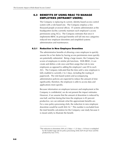### **6.3 BENEFITS OF USING RBAC TO MANAGE EMPLOYEES (INTRANET USERS)**

The Company is replacing its current, identity-based access control system with a role-based one. The Company employs a few thousand people at several offices. IT systems administrators at the headquarters facility currently maintain each employee's access permissions using ACLs. The Company estimates that once it implements RBAC its principal benefits will fall into two categories: reduced new employee downtime and simplified systems administration and maintenance.

#### **6.3.1 Reduction in New Employee Downtime**

The administrative benefits of allowing a new employee to quickly assume his or her duties by having access permissions more quickly are potentially substantial. Being a large insurer, the Company has scores of employees in similar job functions. With RBAC, it can create and define a role once and then assign that role to new employees as opposed to adding the employee's user ID to each ACL. The Company indicated that the time until a new employee is fully enabled is currently 2 to 3 days, including the routing of paperwork. The role-based system and accompanying administrative policies are expected to reduce the amount of time significantly; therefore, the employee is able to access data and applications more quickly.

Because information on employee turnover and employment at the Company is confidential, we do not present the impact estimates. However, if we assume that the amount of downtime is reduced by one-half, and that during that time the employee is 85 percent productive, we can estimate what the approximate benefits are. For a new policy-processing clerk, the reduction in new employee downtime would be worth \$44.16.3 This number is excluded from the total benefits calculation for the Company case study because it is meant solely to illustrate the benefit.

-

<sup>&</sup>lt;sup>3</sup>The reduction in downtime (50% of 2.5 days = 1.25 days = 10 hour) is multiplied by the loaded wage rate for policy-processing clerks (\$29.44 per hour) and the productivity loss (15%).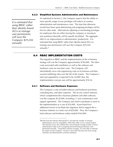#### **6.3.2 Simplified Systems Administration and Maintenance**

*It is estimated that using RBAC rather than identity-based ACLs to manage user permissions will save the Company \$29,204 annually.* 

As explained in Section 2, the Company expects that the ability to more quickly assign access privileges will reduce its systems administration and maintenance costs. The time that otherwise would have been spent determining and assigning privileges will be free for other tasks. Alternatively adjusting or terminating privileges for employees that are either leaving the company or moving to new positions internally will be equally facilitated. The aggregate effect is an improvement in administrators' productivity. It is estimated that using RBAC rather than identity-based ACLs to manage user permissions will save the Company \$29,204 annually.4

#### **6.4 RBAC IMPLEMENTATION COSTS**

The migration to RBAC and the implementation of the e-business strategy will cost the Company approximately \$784,000. The labor costs associated with installation as well as the software and hardware costs are one-time costs. The Company will intermittently incur role engineering costs as its business activities warrant redefining roles over the life of the system. The Company's total user population is expected to be 10,000; thus, the implementation cost per user will be approximately \$78.36.

#### **6.4.1 Software and Hardware Expenses**

j

The Company's costs included software and hardware purchases, consulting fees, and labor expenses. The access control software, which complements the e-business platform and other software, cost the company \$120,000, including a 1-year maintenance and support agreement. The Company also hired consultants to assist in the implementation at a cost of \$24,000. It purchased two additional servers to facilitate the migration and to support the ebusiness initiative at a total cost of \$20,000. Thus, the Company's total software and hardware outlay totaled \$164,000.

<sup>&</sup>lt;sup>4</sup>Results from the Internet allowed RTI to calculate the number of minutes administrators save by using RBAC rather than other access control models. The Internet survey also yielded data concerning the average number of times administrative tasks such as assigning and terminating permissions were performed annually. Using these national averages, we were able to estimate the impact to the Company. Section 6 more fully discusses the time-savings estimates and administrative activities estimates.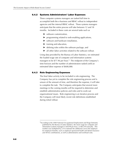#### **6.4.2 Systems Administrators' Labor Expenses**

Three computer systems managers are tasked full time to accomplish both the e-business and RBAC rollout to independent agencies and the internal RBAC rollout. These systems managers anticipate that the entire process will take between 12 and 18 months. Included in these costs are several tasks such as

- $\blacktriangleright$  software customization.
- $\blacktriangleright$  programming related to web-enabling applications,
- $\blacktriangleright$  software and hardware installation,
- $\blacktriangleright$  training and education,
- $\blacktriangleright$  defining roles within the software package, and
- $\blacktriangleright$  all other labor activities related to the software rollout.

Using data provided by the Bureau of Labor Statistics, we estimated the loaded wage rate of computer and information systems managers to be  $$77.96$  per hour.<sup>5</sup> The midpoint of the Company's time horizon and the number of administrators tasked yield an estimated labor expense of \$608,088.

#### **6.4.3 Role Engineering Expenses**

l

The final labor activity to be included is role engineering. The Company has yet to complete the role engineering process and is unsure of the amount of time, and therefore the expense, it will take to complete the task. The Company anticipates that several more meetings in the coming months will be required to determine and establish administrative policies and roles and to work out organizational issues. Role engineering is an iterative process and the Company will most likely revisit role definitions established during initial rollout.

<sup>5</sup>According to the 2000 National Occupational Employment and Wage Estimates published by the Bureau of Labor Statistics, the mean wage for computer and information systems managers is \$38.98 per hour, or \$81,078 annually. This number was multiplied by 2.0 to estimate the additional cost to the employer for employee benefits, such as employer-sponsored health and dental insurance and 401(k) contributions, as well as administrative and overhead costs.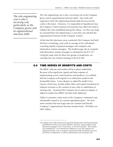*The role engineering cost is also a recurring cost, particularly as the Company grows and its organizational structure shifts.* 

The role engineering cost is also a recurring cost as the Company grows and its organizational structure shifts. New tools and experience with role engineering should make the process less costly in the future. However, it is impossible to hypothesize how the Company's future business environment may affect the need to redefine the roles established during the rollout. For this case study we assumed that role engineering is a one-time cost and that the organizational structure of the Company is fixed.

At the time the interviews were conducted, the Company had held 40 hours of meetings, each with an average of five individuals consisting equally of general managers and computer and information systems managers. The loaded wage rate of computer and information systems managers is estimated to be \$72.74.6 Using the wage rates for these two groups of employees, we calculate the cost of these meetings to be \$14,548.

#### **6.5 TIME SERIES OF BENEFITS AND COSTS**

The RBAC software and model will be in place indefinitely. Because of the significant capital and labor expense of implementing access control policies and products, it is unlikely that the Company will migrate to an alternative model in the foreseeable future. It may deepen or adjust the model it has chosen, which may include further labor and capital investment for software revisions or the creation of new roles or redefinition of existing ones. At present the Company has no plans to deepen or adjust its model once RBAC has been fully deployed.

Table 6-2 presents a time series of the Company's estimated costs and benefits, based on its current expenditure plans. The time series assumes that real wage rates are constant and that the Company's organizational structure remains fixed. All dollars are 2001 dollars.

l

<sup>&</sup>lt;sup>6</sup> According to the 2000 National Occupational Employment and Wage Estimates published by the Bureau of Labor Statistics, the mean wage for general and operations managers is \$33.76 per hour, or \$70,220 annually. This number was multiplied by 2.0 to estimate the additional cost to the employer for employee benefits, such as employer-sponsored health and dental insurance and 401(k) contributions, as well as administrative and overhead costs..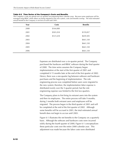#### **Table 6-2. Time Series of the Company's Costs and Benefits**

The Company's costs are spread over six quarters encompassing three calendar years. Because some employees will be managed using RBAC while others are being migrated to the new system, costs and benefits overlap. The total estimated annual benefit to the Company is not first accrued until 2003.

| Year | Costs     | <b>Benefits</b> |
|------|-----------|-----------------|
| 2000 | \$164,000 |                 |
| 2001 | \$501,018 | \$159,857       |
| 2002 | \$121,618 | \$659,505       |
| 2003 |           | \$661,330       |
| 2004 |           | \$661,330       |
| 2005 |           | \$661,330       |
| 2006 |           | \$661,330       |

Expenses are distributed over a six-quarter period. The Company purchased the hardware and RBAC software during the final quarter of 2000. The time series assumes the Company began implementation at the start of the first quarter of 2001 and completed it 15 months later at the end of the first quarter of 2002. Hence, there was a one-quarter lag between software and hardware purchases and the beginning of implementation. The role engineering process was completed before users were migrated to the new system; therefore, the implementation labor expense is distributed evenly over the 5-quarter period, but the role engineering expense was limited to the first two quarters.

The Company plans to first bring its extranet users into the system and then its employees. The entire process will take 9 months; during 3 months both extranet users and employees will be migrated. The process began in the third quarter of 2001 and will be completed at the end of the first quarter of 2002. Although some benefits will be accrued in 2001, the total estimated annual benefit does not begin to accrue until 2003.

Figure 6-1 illustrates the net benefits to the Company on a quarterly basis. Although the software and hardware costs were incurred solely during the fourth quarter of 2000, Figure 6-1 conceptualizes these particular costs over the entire 2000 calendar year. This adjustment was made because the labor costs were distributed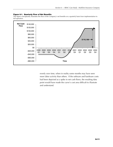#### **Figure 6-1. Quarterly Flow of Net Benefits**

This figure conceptually illustrates the flow of the Company's net benefits on a quarterly basis from implementation to full operation.



evenly over time, when in reality some months may have seen more labor activity than others. If the software and hardware costs had been depicted as a spike in net cash flows, the resulting data point would have made the curve's cost area difficult to illustrate and understand.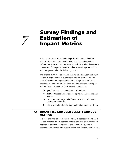## **Survey Findings and Estimation of** *7* **Impact Metrics**

This section summarizes the findings from the data collection activities in terms of the impact metrics and benefit equations defined in the Section 3. These metrics will be used to develop the time series of changes in benefits and costs resulting from NIST's activities presented in the following section.

The Internet survey, telephone interviews, and end-user case study yielded a large amount of quantitative data on the benefits and costs of developing, implementing, and using RBAC and RBACenabled products and services from both the software developer and end-user perspectives. In this section we discuss

- $\blacktriangleright$  quantified end-user benefit and cost metrics,
- ▶ R&D costs associated with developing RBAC products and services,
- $\blacktriangleright$  the current and projected diffusion of RBAC and RBACenabled products, and
- $\triangleright$  NIST's impact on the development and adoption of RBAC.

#### **7.1 QUANTIFIED END-USER BENEFIT AND COST METRICS**

We used the metrics described in Table 3-1 (repeated in Table 7-1 for convenience) to estimate the benefits of RBAC to end users. In addition to benefits, we estimated the costs borne by end-user companies associated with customization and implementation. We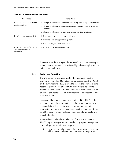| <b>Hypothesis</b>                                                    | <b>Impact Metric</b>                                                                    |  |  |
|----------------------------------------------------------------------|-----------------------------------------------------------------------------------------|--|--|
| RBAC reduces administrative                                          | 1. Change in administrative time for processing a new employee (minutes)                |  |  |
| processing time                                                      | 2. Change in administrative time to revise privileges for job reassignment<br>(minutes) |  |  |
|                                                                      | 3. Change in administrative time to terminate privileges (minutes)                      |  |  |
| RBAC increases productivity                                          | 1. Decreased downtime for new employees                                                 |  |  |
|                                                                      | 2. Reduced time for upper management                                                    |  |  |
|                                                                      | 3. Enhanced organizational structure                                                    |  |  |
| RBAC reduces the frequency<br>and severity of security<br>violations | 1. Elimination of security violations                                                   |  |  |

#### **Table 7-1. End-User Benefits of RBAC**

then normalize the average end-user benefits and costs by company employment so they could be weighted by industry employment to estimate national impacts.

#### **7.1.1 End-User Benefits**

The Internet survey provided most of the information used to estimate metrics related to systems administration benefits. Based on the survey results, RBAC is found to reduce the amount of time needed to perform several administrative activities, relative to alternative access control models. We also calculated benefits for employee downtime based on survey results. These estimates are discussed below.

However, although respondents also indicated that RBAC could generate organizational productivity, reduce upper management costs, and afford the security benefits, we had only sporadic information necessary to estimate these benefits. As a result these benefit categories are not included in our quantitative results and impact estimates.

Three realities hindered the collection of quantitative data on RBAC's impact on organizational productivity, upper management cost, and systems security and integrity:

 $\blacktriangleright$  First, most enterprises have unique organizational structures and business models and practices, even among firms in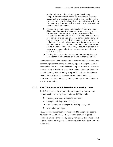similar industries. Thus, drawing and developing comparisons across firms based on hypothetical scenarios regarding the impact an administrative tool may have on a firm's business practices is difficult. Impacts vary widely by firm, and most firms are unable to estimate impacts without any real world experience.

- $\triangleright$  Second, firms, and indeed individuals within firms, have different definitions of what constitutes a business event. For example, Internet survey respondents were able to evaluate the amount of time needed to terminate and assign user permissions for a given access control technology, but they may have been unable to evaluate systems security violations. A security violation for one firm may be when a user attempts to access information to which that user does not have access. For another firm, a security violation may occur when an unauthorized user accesses and affects a system's integrity.
- $\blacktriangleright$  Finally, firms are hesitant to respond to questions that ask about sensitive information on their business operations.

For these reasons, we were not able to gather sufficient information concerning organizational productivity, upper management, and security benefits to develop defensible impact estimates. However, the case study in Section 5 does detail organizational productivity benefit that may be realized by using RBAC systems. In addition, several trade magazines have conducted annual reviews of information security managers, and key findings from these studies are discussed below.

#### **7.1.2 RBAC Reduces Administrative Processing Time**

Table 7-2 presents the amount of time required to perform four common activities using RBAC and non-RBAC models:

- $\blacktriangleright$  assigning existing privileges to new users,
- $\blacktriangleright$  changing existing users' privileges,
- $\blacktriangleright$  establishing new privileges for existing users, and
- $\blacktriangleright$  terminating privileges.

RBAC reduces the amount of time needed to assign privileges to new users by 5.5 minutes. RBAC reduces the time required to terminate a user's privileges by nearly 3 minutes. The time needed to alter a user's privileges is reduced by slightly more than 1 minute with RBAC.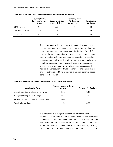|                     | <b>Assigning Existing</b><br><b>Privileges to New</b><br>Users | <b>Changing Existing</b><br><b>Users' Privileges</b> | <b>Establishing New</b><br><b>Privileges for</b><br><b>Existing Users</b> | <b>Terminating</b><br><b>Privileges</b> |
|---------------------|----------------------------------------------------------------|------------------------------------------------------|---------------------------------------------------------------------------|-----------------------------------------|
| <b>RBAC</b> systems | 6.9                                                            | 6.6                                                  | 8.0                                                                       | 4.7                                     |
| Non-RBAC systems    | 12.4                                                           | 7.8                                                  | 9.2                                                                       | 7.6                                     |
| Difference          | 5.5                                                            |                                                      | 1.2                                                                       | 29                                      |

|  |  |  |  |  |  | Table 7-2. Average Task Time (Minutes) by Access Control System |
|--|--|--|--|--|--|-----------------------------------------------------------------|
|--|--|--|--|--|--|-----------------------------------------------------------------|

These four basic tasks are performed repeatedly every year and encompass a large percentage of an organization's total annual number of hours spent on systems administration. Table 7-3 presents the average number of times survey respondents conduct each of the four activities on an annual basis, both in absolute terms and per employee. The Internet survey respondents were with little exception large firms, each employing thousands of employees and maintaining vast information resources and networks. Consequently, it was common for one respondent to provide activities and time estimates for several different access control technologies.

| Table 7-3. Number of Times Administrative Tasks Are Performed |  |
|---------------------------------------------------------------|--|
|---------------------------------------------------------------|--|

| <b>Administrative Task</b>                     | <b>Average Number of Times</b><br>per Year | Per Year, Per Employee |
|------------------------------------------------|--------------------------------------------|------------------------|
| Assigning existing privileges to new users     | 1,802                                      | 1.30                   |
| Changing existing users' privileges            | 1.975                                      | 1.50                   |
| Establishing new privileges for existing users | 1,000                                      | 1.06                   |
| Terminating privileges                         | 452                                        | 0.22                   |

It is important to distinguish between new users and new employees. New users may be new employees as well as current employees that are granted new permissions. Because many firms also maintain multiple access control systems and have many users with multiple user IDs the number of new users may significantly exceed the number of new employees hired annually. As such, the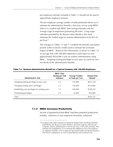per-employee estimate included in Table 7-3 should not be used to approximate employee turnover.

The per-employee average number of tasks performed allows us to estimate the administrative benefits a firm may accrue using RBAC when it is coupled with RBAC time-savings estimates and the average wage of employees performing the tasks. Using wage estimates provided by the Bureau Labor Statistics, this study estimates the loaded wage for systems administrators to be \$51.62 per hour.1

The averages in Tables 7-2 and 7-3 underlie the benefits calculation portion of the economic model used to estimate the economic impact of RBAC. Based on this information, as shown in Table 7-4, an average firm with 100,000 employees could expect to save approximately \$934,000 a year on systems administration using RBAC. Assigning existing privileges to new users accounts for over two-thirds of the administrative benefits.

| <b>Administrative Task</b>                     | <b>RBAC Time</b><br><b>Savings per Task</b><br>(minutes) | <b>Average Number</b><br>of Tasks per Year | <b>Annual Total</b><br><b>Benefit</b> |
|------------------------------------------------|----------------------------------------------------------|--------------------------------------------|---------------------------------------|
| Assigning existing privileges to new users     | 5.5                                                      | 130,000                                    | \$615,138                             |
| Changing existing users' privileges            | 1.2                                                      | 150,000                                    | \$154,860                             |
| Establishing new privileges for existing users | 1.2                                                      | 106,000                                    | \$109,434                             |
| Terminating privileges                         | 2.9                                                      | 22,000                                     | \$54,889                              |
| Total                                          |                                                          |                                            | \$934,321                             |

**Table 7-4. Systems Administration Benefit for a Typical Company with 100,000 Employees** 

#### **7.1.3 RBAC Increases Productivity**

l

Section 4 hypothesized that RBAC had three potential productivity benefits: reduction in new employee downtime, enhanced

<sup>&</sup>lt;sup>1</sup> According to the 2000 National Occupational Employment and Wage Estimates published by the Bureau of Labor Statistics, the mean wage for network and computer systems administrators is \$25.81 per hour, or \$53,685 annually. This estimate was multiplied by 2.0 to estimate the additional cost to the employer for employee benefits, such as employer-sponsored health and dental insurance and 401(k) contributions, as well as administrative and overhead costs.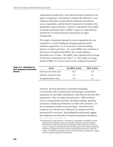organizational productivity, and reduced decision-making time for upper management. Information to estimate the reduction in new employee downtime was provided by telephone and Internet survey respondents, and this benefit component is included in the quantitative impact estimates. However, respondents were unable to provide quantitative data on RBAC's impact on organizational productivity or reduced decision-making time for upper management.

The length of downtime reported by survey respondents for new employees or current employees changing positions varied. Estimates ranged from 1 to 24 work hours, with most falling between 4 and 8 work hours. For current RBAC users and those in the process of implementing RBAC, the average employee downtime was 4.3 hours. Non-RBAC users experienced an average of 8.8 hours in downtime (see Table 7-5). This yields an average benefit of RBAC of 4.5 fewer hours of new employee downtime.<sup>2</sup>

| Table 7-5. Reduction in<br><b>New Employee Downtime</b> | <b>Metric</b>          | <b>Non-RBAC System</b> | <b>RBAC System</b> |
|---------------------------------------------------------|------------------------|------------------------|--------------------|
| (hours)                                                 | Maximum downtime value | 24.0                   | 8.0                |
|                                                         | Minimum downtime value | 0.5                    | 0.5                |
|                                                         | Average downtime value | 8.8                    | 4.3                |

However, the term downtime is somewhat misleading. Conversations with IT professionals and managers revealed that employees are not totally unproductive when they do not have their permissions—they are simply less productive. Other activities, such as reading printed materials, attending meetings, attending orientation, introducing themselves to clients and coworkers, can be accomplished without access privileges. Some firms have temporary user IDs that new employees are assigned until the permanent ID is received. Knowledgeable professionals suggest that employees are about 80 to 90 percent productive during this

-

 $2$ The downtime savings estimate is not directly comparable to the RBAC systems administration benefits because the downtime estimate represents elapsed business hours from the time the new employee starts to the time he receives access. Changes in administrative time include paperwork and processing time needed to complete the task of actually assigning the permissions within the system. The difference between the two is the time the new employee's request sits in the queue waiting to be processed.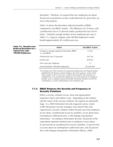downtime. Therefore, we assume that new employees are about 85 percent as productive as they could otherwise be, given they are new to the position.

Table 7-6 shows the downtime reduction benefits of RBAC compared to non-RBAC systems. The difference of 4.5 hours, with a productivity loss of 15 percent yields a productivity loss of 0.67 hours. Using the average number of new employees per user in Table 7-3, a typical company with 100,000 employees would benefit approximately \$3.4 million per year.

| fits from<br>ime for a | <b>Metric</b>                                              | <b>Non-RBAC System</b> |
|------------------------|------------------------------------------------------------|------------------------|
| th<br>ees              | Change in average employee downtime (RBAC<br>vs. non-RBAC) | $4.5$ hrs              |
|                        | Productivity loss (15 percent)                             | $0.67$ hrs             |
|                        | Hourly rate                                                | \$39.46 <sup>a</sup>   |
|                        | New users per employee                                     | 1.3                    |
|                        | Annual benefits (100,000 employees)                        | \$3,436,966            |

aAccording to the 2000 National Occupational Employment and Wage Estimates published by the Bureau of Labor Statistics, the mean wage for civilian white collar workers is \$19.73 per hour, or \$\$41,038 annually. This estimate was multiplied by 2.0 to estimate the additional cost to the employer for employee benefits, such as employer-sponsored health and dental insurance and 401(k) contributions, as well as administrative and overhead costs.

#### **7.1.4 RBAC Reduces the Severity and Frequency of Security Violations**

When a security violation occurs, firms and organizations experience direct and indirect costs. Depending on the industry and the nature of the security violation, the impacts are potentially large. In a 2000 *Information Security* magazine survey, nearly 2,000 information security managers were asked if they had experienced a security violation within the past year from employee access abuse, unauthorized access by outsiders, access abuse from nonemployee authorized users, or the leakage of proprietary information. According to *Information Security*, 58 percent of the respondents reported violations due to employee access abuse, 42 percent due to unauthorized access by outsiders, 14 percent due to access abuse by nonemployee authorized users, and 24 percent due to the leakage of proprietary information (Briney, 2000).

#### **Table 7-6. Bene Reduced Downti Typical Firm with 100,000 Employ**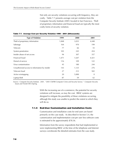Not only are security violations occurring with frequency, they are costly. Table 7-7 presents average cost per violation from the Computer Security Institute (2001) located in San Francisco. Theft of proprietary information and financial fraud are typically the most costly forms of security violation.

| <b>Type of Violation</b>                      | 1999  | 2000  | 2001             |
|-----------------------------------------------|-------|-------|------------------|
| Theft of proprietary information              | 1,848 | 3,033 | 4,448            |
| Sabotage                                      | 164   | 970   | 199              |
| Telecom                                       | 77    | 66    | 55               |
| System penetration                            | 103   | 245   | 454              |
| Insider abuse of net access                   | 94    | 307   | 357              |
| Financial fraud                               | 1,471 | 1,647 | 4,421            |
| Denial of service                             | 116   | 109   | 122              |
| Virus contamination                           | 45    | 180   | 244              |
| Unauthorized access to information by insider | 143   | 1,125 | 276              |
| Telecom fraud                                 | 27    | 212   | 502              |
| Active wiretapping                            | 20    | 5,000 | $\boldsymbol{0}$ |
| Laptop theft                                  | 87    | 59    | 62               |

#### **Table 7-7. Average Cost per Security Violation 1999 – 2001 (\$thousands)**

Source: Computer Security Institute. 2001. "2001 CSI/FBI Computer Crime and Security Survey." *Computer Security Issues and Trends* VII(1):Spring.

> With the increasing use of e-commerce, the potential for security violations will increase, as may the cost. RBAC systems are designed to mitigate the possibility of these violations occurring, although this study was unable to predict the extent to which they will do so.

#### **7.1.5 End-User Customization and Installation Costs**

Customization and installation costs for end users are based primarily on the case study. As described in Section 5.4, the customization and implementation cost per user less software costs is estimated to be approximately \$78.36.

Information from the survey respondents that had implemented or were implementing RBAC at the time of the telephone and Internet surveys corroborate the detailed estimates from the case study.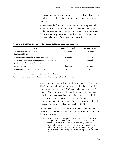However, information from the surveys was less detailed and it was not always clear what activities were being included in their cost estimates.

A summary of the findings from the Internet study are presented in Table 7-8. The details provided by respondents concerning their implementation and customization costs varied. Some companies fully disclosed the processes they used, whereas others provided only general estimates for a few of cost categories.

#### **Table 7-8. End-User Customization Costs, Evidence from Internet Survey**

| <b>Metric</b>                                                                           | <b>Internet Study Value</b> | <b>Case Study Value</b> |
|-----------------------------------------------------------------------------------------|-----------------------------|-------------------------|
| Average total amount of time needed to fully<br>implement RBAC                          | 12 months                   | 15 months               |
| Average time required to migrate user base to RBAC                                      | 6 months                    | 6 months <sup>a</sup>   |
| Average customization and implementation costs for<br>purchased system, consulting fees | \$100,000                   | \$44,000 <sup>b</sup>   |
| Hardware costs                                                                          | \$17,000                    | \$20,000                |
| Number or full-time employees required                                                  | 1 to 4                      |                         |

aExcludes staggered rollout of extranet users and internal users.

bSum of maintenance and support agreement and consulting fees less software costs.

Most of the survey respondents stated that the process of rolling out RBAC took or would take about 1 year, and that the process of bringing users online in the RBAC system takes approximately 6 months. They also indicated that hardware purchases were made to facilitate migration and implementation, and that they hired consultants, either the software vendor or a third-party organization, to assist in implementation. The expense attributable to consulting fees averaged approximately \$100,000.

We use the detailed cost per user estimates developed from the case study as the basis for typical firm cost in the empirical analysis for several reasons:

 $\blacktriangleright$  The case study results give a more complete picture of an average firm's implementation expenses. Many survey respondents left out one or more cost categories. It was possible to assemble a general impression of costs using their responses, but no one response yielded enough information to completely calculate costs per user for their firms.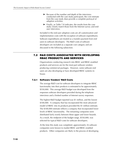- $\blacktriangleright$  Because of the number and depth of the interviews conducted with the case study participant, the cost estimate from the case study does provide a complete portrayal of adoption activities.
- $\blacktriangleright$  Finally, as Table 7-8 indicates, the results from the case study closely match those from the Internet survey and enduser interviews.

Included in the end-user adoption costs are all customization and implementation costs with the exception of software expenditures. Software expenditures are treated as a transfer payment from end users to software developers. The R&D costs of software developers are included as a separate cost category and are discussed in the following subsection.

## **7.2 R&D COSTS ASSOCIATED WITH DEVELOPING RBAC PRODUCTS AND SERVICES**

Organizations conducting research into RBAC and RBAC-enabled products and services are for the most part software vendors producing commercial packages. However, some software end users are also developing or have developed RBAC systems inhouse.

#### **7.2.1 Software Vendors' R&D Costs**

The average R&D cost for software developers to integrate RBAC functionality into their products is estimated to be approximately \$550,000. This average R&D budget was developed from the responses software developers provided during the telephone interviews and a limited number of Internet survey responses.

The highest R&D budget reported was \$1 million, and the lowest \$100,000. A company that has incorporated the most advanced model of RBAC into its products provided the \$1 million estimate. The \$100,000 estimate reflects a company that incorporated lower levels of RBAC functionality. The remaining companies were distributed fairly evenly between these upper and lower bounds. As a result, the midpoint of the budget range, \$550,000, was selected for typical R&D costs for software developers.

At the time this study was completed, approximately 26 software companies were known to market RBAC and RBAC-enabled products. Other companies are likely in the process of developing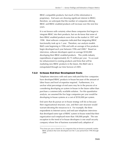RBAC-compatible products, but much of this information is proprietary. End users are showing significant interest in RBAC; therefore, we anticipate that the number of companies offering RBAC and RBAC-enabled products will increase over the next few years.

It is not known with certainty when these companies first began to integrate RBAC into their products, but we do know that some of their RBAC-enabled products were first on the market in 1997 and 1998. Most software companies indicated that integrating RBAC functionality took up to 1 year. Therefore, our analysis models R&D costs beginning in 1996 and with an average of five products begin developed each year between 1996 and 2000.<sup>3</sup> Based on interviews, software developers spent on average \$550,000 developing their RBAC-enabled products. This yields industry expenditures of approximately \$2.75 million per year. To account for enhancement to existing products and firms that will be marketing new RBAC products in the future, this R&D rate is extrapolated through our time horizon of 2005.

#### **7.2.2 In-house End-User Development Costs**

-

Telephone interviews with end users indicated that few companies have developed RBAC products in-house because of the amount of labor hours and level of expertise required. Furthermore, it is unclear what percentage of end users may be in the process of or considering developing an system in-house in the future rather than purchase a commercially available solution. For this quantitative analysis, we assumed the five large companies per year would be developing in-house systems at a cost of \$550,000 per system.

End users that do pursue an in-house strategy will do so because their organizational structure, size, and their user structure would warrant devoting the resources to it. For example, the three respondents to Internet survey and end-user telephone interviews that developed some type of RBAC system in-house noted that their organization each employed more than 100,000 people. The one exception to the trend of in-house developers is one small security company whose line of business warranted early adoption of

 $3$ Five firms per year is based on 26 companies that are known to presently market RBAC products that were developed over the 5 year period from 1996 through 2000.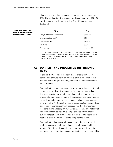RBAC. The sum of this company's employee and user base was 150. The total cost of development for this company was \$68,066 over the course of a 1-year period, or \$453.77 per user (see Table 7-9).

#### **Table 7-9. One End-User's In-House RBAC Development Costs**

| <b>Metric</b>                    | Cost     |
|----------------------------------|----------|
| Design and development cost      | \$25,000 |
| Implementation cost <sup>a</sup> | \$28,066 |
| Hardware costs                   | \$15,000 |
| Total cost                       | \$68,066 |
| Cost per user                    | \$453.77 |

<sup>a</sup>This respondent indicated that its implementation expense was 6 months at 60 labor hours a month. Using the standard \$77.96 loaded wage rate for systems administrators used through this report, the total implementation cost is estimated to be \$28,066.

#### **7.3 CURRENT AND PROJECTED DIFFUSION OF RBAC**

In general RBAC is still in the early stages of adoption. Most commercial products have only been available for a year or two and companies are just beginning to realize the potential savings RBAC presents.

Companies that responded to our survey varied with respect to their current stage of RBAC development. Respondents were asked if they were considering adopting an RBAC system, were in the process of designing one, were in the process of implementing one, currently operating one, or had no plans to change access control systems. Table 7-10 gives the share of respondents in each of these categories. The most common response was that their company was considering adopting an RBAC system. It should be noted that survey response bias may have an upward bias on the implied current penetration of RBAC. Firms that have no interest or have not heard of RBAC are less likely to complete the survey.

Companies that had systems in place or were in the process of implementation were all in the financial services and health case sectors. Other industries considering adoption were information technology, transportation, telecommunications, and electric utility.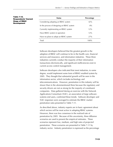| <b>Status</b>                              | <b>Percentage</b> |
|--------------------------------------------|-------------------|
| Considering adopting an RBAC system        | 42%               |
| In the process of designing an RBAC system | 8%                |
| Currently implementing an RBAC system      | 12%               |
| Have RBAC system in operation              | 12%               |
| Have no plans to adopt an RBAC system      | 27%               |
| Total                                      | $100\%$           |

**Table 7-10.** 

**Stage of RBAC Development** 

**Respondents' Current** 

Software developers believed that the greatest growth in the adoption of RBAC will continue to be in the health care, financial services and insurance, and information industries. These three industries currently conduct the majority of their information transactions electronically, and significant inefficiencies exist in current access control management.

Software developers also indicated that most industries, to some degree, would implement some form of RBAC-enabled system by 2005. They thought that substantial growth will be seen in the information sector, which includes technology and telecommunications. However, penetration in this industry will be slower than in the aforementioned three because the regulatory and security drivers are not as strong for the majority of constituent companies. Data gathered during an exercise with the Network Applications Consortium (NAC), an association of large softwaresystems end users, confirmed these trends. Software developer and NAC responses were averaged to estimate the RBAC market penetration rates presented in Table 7-11.

As described above, industry experts are in basic agreement about which sectors will be most active in adopting RBAC systems. However, there was less consensus in the realized rate of penetration by 2005. Because of this uncertainty, three diffusion scenarios are used to present the empirical estimates. These scenarios represent low, medium, and high rates of projected penetration. These scenarios are presented in Table 7-11 by industry sector. Industry penetration is expressed as the percentage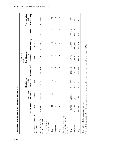|                                                                                                                | Information <sup>a</sup> | Finance and<br>Insurance | <b>Health Care</b><br>Assistance<br>and Social | Government <sup>b</sup>                                            | Scientific, and<br>Professional,<br>Educational<br>Technical<br>Services | Manufacturing   | Utilities      | Transportation<br>Warehousing<br>and |
|----------------------------------------------------------------------------------------------------------------|--------------------------|--------------------------|------------------------------------------------|--------------------------------------------------------------------|--------------------------------------------------------------------------|-----------------|----------------|--------------------------------------|
| Number of Firms (500+<br>Employees)                                                                            | 969                      | 1,640                    | 3,414                                          |                                                                    | 3,089                                                                    | 4,838           | 232            | 1,110                                |
| Employment in Firms<br>(500+ Employees)                                                                        | 2,238,831                | 3,889,704                | 7,304,840                                      | 2,425,898                                                          | 3,271,963                                                                | 9,931,342       | 578,717        | 1,955,724                            |
| Market Penetration<br>Rates by 2005                                                                            |                          |                          |                                                |                                                                    |                                                                          |                 |                |                                      |
| Low                                                                                                            | 20                       | 35                       | $\overline{Q}$                                 | LO                                                                 | $\overline{10}$                                                          | LO              | $\overline{1}$ | S                                    |
| Medium                                                                                                         | $30\,$                   | 45                       | 50                                             | $\overline{0}$                                                     | $\overline{1}$                                                           | $\overline{10}$ | 25             | 25                                   |
| High                                                                                                           | $\overline{Q}$           | 55                       | $\mathcal{S}$                                  | $\overline{1}$                                                     | 20                                                                       | $\overline{1}$  | 35             | 30                                   |
| Number of Employees<br>Managed Using RBAC<br>by $2005$                                                         |                          |                          |                                                |                                                                    |                                                                          |                 |                |                                      |
| Low                                                                                                            | 447,766                  | 96<br>1,361,39           | 2,921,936                                      | 121,295                                                            | 327,196                                                                  | 496,567         | 86,808         | 293,359                              |
| Medium                                                                                                         | 671,649                  | 67<br>1,750,36           | 3,652,420                                      | 242,590                                                            | 490,794                                                                  | 993,134         | 144,679        | 488,931                              |
| High                                                                                                           | 895,532                  | 37<br>2,139,3            | 4,382,904                                      | 363,885                                                            | 654,393                                                                  | 1,489,701       | 202,551        | 586,717                              |
| <sup>b</sup> This analysis assumes that by 2005 only departments<br>a Information includes telecommunications. |                          |                          |                                                | and agencies within the federal government will have adopted RBAC. |                                                                          |                 |                |                                      |

**7-14 Table 7-11. RBAC Penetration Rates by Industry, 2005**  Table 7-11. RBAC Penetration Rates by Industry, 2005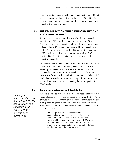of employees in companies with employment greater than 500 that will be managed by RBAC systems by the end of 2005. Note that the relative adoption trends across industry sectors are maintained in each of the three scenarios.

## **7.4 NIST'S IMPACT ON THE DEVELOPMENT AND ADOPTION OF RBAC**

This section presents software developers' understanding and valuation of NIST's contributions to the development of RBAC. Based on the telephone interviews, almost all software developers indicated that NIST's research and sponsorship have accelerated the RBAC development process. In addition, they indicated that NIST's activities have lowered the cost of integrating RBAC functionality into their products; however, they said that the cost impact was secondary.

All the developers interviewed were familiar with NIST's articles in the professional literature, and many have attended at least one workshop or conference that was either sponsored by NIST or contained a presentation or information by NIST on the subject. However, software developers also indicated that they believe NIST has had no measurable impact on reducing end-user customization and implementation costs and enhancing the overall quality of RBAC products.

#### **7.4.1 Accelerated Adoption and Availability**

*Developers interviewed agreed that without NIST's contributions and sponsorship RBAC would not be as evolved as it currently is.* 

Most developers believe that NIST's research accelerated the rate of RBAC adoption by 1 year and consequently the availability of RBAC products by 1 year. In other words, the market introduction for the average software product was moved forward 1 year because of NIST's research and RBAC awareness activities. One large software developer stated:

> The NIST prototype … demonstrated the practicability of role-based access control, serving as a reference point and galvanizing customer interest. This helped to validate the importance of RBAC with respect to other possible approaches. It also clarified which potential RBAC features were central and most useful in our particular environment.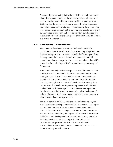A second developer stated that without NIST's research the state of RBAC development would not have been able to reach its current level of development until approximately 2004 or perhaps even 2005, but this developer was the only one of the eight to provide such a large acceleration estimate. The remaining developers were more conservative, stating that the time horizon was shifted forward by an average of one year. All developers interviewed agreed that without NIST's contributions and sponsorship RBAC would not be as evolved as it currently is.

#### **7.4.2 Reduced R&D Expenditures**

Most software developers interviewed indicated that NIST's contributions have lowered the R&D costs on integrating RBAC into their software products. However, many had difficulty quantifying the magnitude of the impact. Based on respondents that did provide quantitative changes in labor costs, we estimate that NIST's research reduced developers' R&D expenditures by an average of 8.2 percent.

NIST's work not only made developers aware of alternative access models, but it also provided a significant amount of research and prototype code. It may take some time before more developers include NIST's work on constraints and role hierarchies in their products, although a small subset of developers has already done so. But even the developers implementing lower levels of RBAC credited NIST with lowering R&D costs. Developers agree that benchmarks provided by NIST's research have had the benefit of reducing front-end R&D costs. Savings were expressed in terms of labor hours and computing resources.

The more complex an RBAC software product's features are, the more its software developer leverages NIST's research. Developers that included only the most basic RBAC functionality in their products do not directly leverage NIST's research into constraints and hierarchies. Therefore, the impact NIST's research has had on their design and development costs would not be as significant as for those developers that do incorporate those advanced capabilities. It is possible that as more advanced RBAC functionalities are included in more commercial products NIST's incremental impact will increase.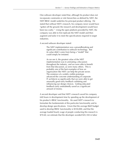One software developer noted that, although his product does not incorporate constraints or role hierarchies as defined by NIST, the NIST RBAC model underlies his principal product offering. He stated that without NIST's research, his company never would have "gotten off the ground; the research and development would have been too costly." Using the open platform provided by NIST, the company was able to first replicate the NIST model and then augment and tailor it to meet the specifications required in target industries.

A second software developer stated:

The NIST implementation was a groundbreaking and significant contribution to software technology. But its value didn't come from being a "model" that could simply be imitated.

As we see it, the greatest value of the NIST implementation was in animating a discussion throughout the industry, and we were able to benefit from that discussion, as were many others. This is probably one of the best examples of how an organization like NIST can help the private sector. The existence of a widely visible prototype advanced the concrete understanding of corporate IT architects so significantly that we were able to get unusually good early feedback validating and influencing our design choices. Getting educated feedback early undoubtedly saved us a significant amount of money.

A second developer said that NIST's research saved his company 640 hours in development time by speeding up the development of his product's RBAC functionality. He used NIST's research to formulate the fundamentals of this particular functionality and to develop design specifications. Given that the average R&D budget used to develop RBAC functionality is \$550,000, and that the average loaded hourly wage of people conducting this research is \$70.60, we estimate that the developer avoided \$45,184 in labor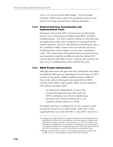costs, or 8.2 percent of their R&D budget.<sup>1</sup> This percentage reduction in R&D costs is used in the quantitative analysis as the typical cost savings experienced by software developers.

#### **7.4.3 Reduced End User Customization and Implementation Costs**

Developers indicate that NIST's activities have not affected the private cost of customizing and implementing RBAC and RBACenabled products. End users customize software to meet their data and applications needs and to configure it to correspond to their system's structure. End users indicated that accelerating the rate of the availability of RBAC products does not make the process of introducing them in the workplace any less time consuming or costly. The customization and implementation processes that end users experience would be no different under the without-NIST scenario than the with-NIST scenario. Likewise, the costs that end users incur in completing these tasks would be the same.

#### **7.4.4 RBAC Product Enhancement**

-

Although interviewees did agree that NIST publications and patents facilitated the R&D process, estimating the overall impact of NIST's research on the quality of RBAC-enabled products is difficult. None of the software developers interviewed felt that NIST's activities lead to better, higher quality, RBAC software products.<sup>2</sup> One software developer stated:

We had arrived independently at many of the concepts that appeared in the NIST work, but NIST's contribution was critical in establishing a taxonomy and a shared vocabulary for us, our customers and the industry as a whole.

Developers note that it is unlikely that any one company would incorporate 100 percent of a NIST model. Rather they would supplement their own work with NIST's, using NIST's research to

 $1$ According to the 2000 National Occupational Employment and Wage Estimates published by the Bureau of Labor Statistics, the mean wage for computer and information research scientists is \$35.30 per hour, or \$73,424 annually. This estimate was multiplied by 2.0 to estimate the additional cost to the employer for employee benefits, such as employer-sponsored health and dental insurance and 401(k) contributions, as well as administrative and overhead costs.

<sup>&</sup>lt;sup>2</sup>Although, at noted earlier, by NIST accelerating the introduction of RBAC, the quality of access control products in general has been improved.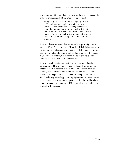form a portion of the foundation of their products or as an example of future product capabilities. One developer stated:

There are pieces in our model that don't exist in the NIST model—for example, the notion of "scope," which is very fundamental to solving the kinds of issues that present themselves in a highly distributed infrastructure such as Windows 2000. There are also things in the NIST model which we concluded were of limited application in the type of infrastructure we animate.

A second developer stated that software developers might use, -on average, 30 to 40 percent of a NIST model. This is in keeping with earlier findings that several components of NIST's models have not been incorporated into commercial product offerings. They deem NIST's research helpful, but as in the words of one developer, products "need to walk before they can run."

Software developers foresee the inclusion of advanced nesting, constraints, and hierarchies in future products. Their comments suggest that NIST research in these areas will increase product offerings and reduce the cost of these traits' inclusion. At present the NIST prototype code is considered too complicated. But as RBAC technologies and applications progress and more companies enter the market, software developers agree that the likelihood that more advanced components of NIST's research will be included in products will increase.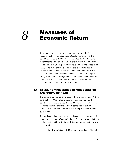# **Measures of** *8* **Economic Return**

To estimate the measures of economic return from the NIST/ITL RBAC project, we first developed a baseline time series of the benefits and costs of RBAC. We then shifted this baseline time series that includes NIST's contributions to reflect a counterfactual world without NIST's impact on the development and adoption of RBAC. The value of NIST's contributions is calculated as the change in the net benefits of RBAC with and without the NIST/ITL RBAC project. As presented in Section 6, the two NIST impact categories quantified through the data collection activities are the reduction in R&D expenditures and the acceleration of the development and adoption of RBAC systems.

#### **8.1 BASELINE TIME SERIES OF THE BENEFITS AND COSTS OF RBAC**

The baseline time series is the observed world that included NIST's contributions. Most industry experts agreed that significant penetration of existing products would be achieved by 2005. Thus, we model baseline benefits and costs associated with RBAC through 2006, one year after the penetration projections provided by industry.

The fundamental components of benefits and costs associated with RBAC are described in Section 3. Eq. (3.2) shows the calculation of the time series net benefits  $(NB_t)$ . This equation is repeated below for convenience.

 $NB_t = R&Dsd*Nsd_t + R&Dih*Nih_t + \sum [(OB_{it}+IC_{it})*Emp_{it}]$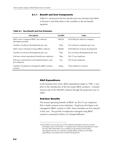#### **8.1.1 Benefit and Cost Components**

Table 8-1 summarizes the key benefit and cost estimates described in Section 6 and links them to the variables in the net benefit equation.

#### **Table 8-1. Key Benefit and Cost Estimates**

| <b>Description</b>                                              | <b>Variable</b>   | Value                               |
|-----------------------------------------------------------------|-------------------|-------------------------------------|
| R&D costs to integrate RBAC into software<br>developers product | R&Dsd             | \$550,000 per software company      |
| Number of software developments per year                        | Nsd <sub>t</sub>  | Five software companies per year    |
| R&D costs to develop in-house RBAC software                     | R&Dih             | \$550,000 per in-house development  |
| Number of in-house developments per year                        | $Nih_t$           | Five in-house developments per year |
| End-user annual operational benefits per employee               | $Ob_{it}$         | \$43.57 per employee                |
| End-user customization and implementation costs<br>per employee | $IC_{it}$         | \$78.36 per employee                |
| Number of employees managed by RBAC systems<br>at time t        | Emp <sub>it</sub> | Three diffusion scenarios           |

#### *R&D Expenditures*

In the baseline time series, R&D expenditures begin in 1996, 1 year prior to the introduction of the first major RBAC products. Constant annual costs of \$5,500,000 continue through the projection year of 2006.1

#### *End-User Benefits*

-

The annual operating benefits of RBAC are \$43.57 per employee. This is held constant across industries. Employees first begin to be managed by RBAC systems in 2001; hence benefits are first realized in this year. The growth of employees managed using RBAC systems is assumed to follow an S-shaped diffusion.

<sup>&</sup>lt;sup>1</sup>Annual R&D costs are the sum of five software developers and five in-house developers each at \$550,000. A constant level of annual expenditures is used because little information was available on the timing of the product development for the 26 currently available RBAC products or for R&D expenditures associated with in-house development.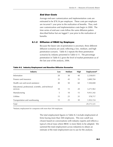#### *End User Costs*

Average end-user customization and implementation costs are estimated to be \$78.36 per employee. These costs per employee are incurred 1 year prior to the realization of benefits. Thus, enduser customization and implementation costs begin in 2000. The time series of end-user costs follow the same diffusion patters described below but are lagged 1 year prior to the realization of benefits.

#### **8.1.2 Diffusion of RBAC by Employee**

Because the future rate of penetration is uncertain, three different diffusion scenarios are used, reflecting a low, medium, and high penetration scenario. Table 8-2 repeats the three penetration scenarios by industry presented in Table 6-11. The percentage penetration in Table 8-2 gives the level of market penetration as of the last year of the analysis, 2006.

| <b>Industry</b>                                                  | Low | Medium | <b>High</b> | <b>Employment<sup>a</sup></b> |
|------------------------------------------------------------------|-----|--------|-------------|-------------------------------|
| Information                                                      | 20  | 30     | 40          | 2,238,831                     |
| Finance and insurance                                            | 35  | 45     | 55          | 3,889,704                     |
| Health care and social assistance                                | 40  | 50     | 60          | 7,304,840                     |
| Educational, professional, scientific, and technical<br>services | 10  | 15     | 20          | 3,271,963                     |
| Manufacturing                                                    | 5   | 10     | 15          | 9,931,342                     |
| Utilities                                                        | 15  | 25     | 35          | 578,717                       |
| Transportation and warehousing                                   | 15  | 25     | 30          | 1,955,724                     |
| Total                                                            |     |        |             | 29,171,121                    |

**Table 8-2. Industry Employment and Baseline Diffusion Scenarios** 

aIndustry employment for companies with more than 500 employees.

The total employment figures in Table 8-2 include employment of firms having more than 500 employees. This size cutoff was chosen based on conversations with industry experts and reflects a typical critical mass where RBAC is more likely to be adopted. We summed the total employment across industries to obtain an estimate of the total employment size to use for the analysis.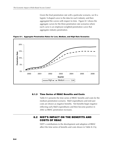Given the final penetration rate with a particular scenario, we fit a logistic S-shaped curve to the data for each industry and then aggregated the curves with respect to time. Figure 8-1 shows the aggregate curves for the three penetration rate scenarios where each curve is an employee-weighted penetration curve that aggregates industry penetration.

**Figure 8-1. Aggregate Penetration Rates for Low, Medium, and High Rate Scenarios** 



#### **8.1.3 Time Series of RBAC Benefits and Costs**

Table 8-3 presents the time series of RBAC benefits and costs for the medium penetration scenario. R&D expenditures and end-user costs are shown as negative benefits. Net benefits begin negative reflecting early R&D expenditures and then become positive in 2002 as RBAC penetration increases.

### **8.2 NIST'S IMPACT ON THE BENEFITS AND COSTS OF RBAC**

NIST's contributions to the development and adoption of RBAC affect the time series of benefits and costs shown in Table 8-3 by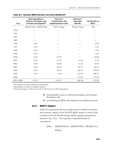| Year              | <b>R&amp;D Expenditures:</b><br><b>Software Developers and</b><br>In-House Development <sup>b</sup> | End-Users'<br><b>Customization and</b><br><b>Implementation Costsb</b> | End-Users'<br>Operation<br><b>Benefits</b>               | Net Benefits of<br><b>RBAC</b> |
|-------------------|-----------------------------------------------------------------------------------------------------|------------------------------------------------------------------------|----------------------------------------------------------|--------------------------------|
|                   | $R&Dsd^*Nsd_t + R&Dih^*Nih_t$                                                                       | $\Sigma$ IC <sub>it</sub> * Emp <sub>it</sub>                          | $\Sigma$ Ob <sub>it</sub> <sup>*</sup> Emp <sub>it</sub> | NB <sub>t</sub>                |
| 1992 <sup>c</sup> |                                                                                                     |                                                                        |                                                          |                                |
| 1993              |                                                                                                     |                                                                        |                                                          |                                |
| 1994              |                                                                                                     |                                                                        |                                                          |                                |
| 1995              |                                                                                                     |                                                                        |                                                          |                                |
| 1996              | $-5.05$                                                                                             |                                                                        |                                                          | $-5.05$                        |
| 1997              | $-5.05$                                                                                             |                                                                        |                                                          | $-5.05$                        |
| 1998              | $-5.05$                                                                                             |                                                                        |                                                          | $-5.05$                        |
| 1999              | $-5.05$                                                                                             |                                                                        |                                                          | $-5.05$                        |
| 2000              | $-5.05$                                                                                             | $-13.03$                                                               |                                                          | $-18.08$                       |
| 2001              | $-5.05$                                                                                             | $-19.72$                                                               | 24.41                                                    | $-0.36$                        |
| 2002              | $-5.05$                                                                                             | $-36.48$                                                               | 61.37                                                    | 19.84                          |
| 2003              | $-5.05$                                                                                             | $-64.40$                                                               | 129.71                                                   | 60.26                          |
| 2004              | $-5.05$                                                                                             | $-38.24$                                                               | 250.37                                                   | 207.08                         |
| 2005              | $-5.05$                                                                                             | $-8.45$                                                                | 322.01                                                   | 308.51                         |
| 2006              |                                                                                                     |                                                                        | 337.85                                                   | 337.85                         |
| NPV (2000)        | $-53.23$                                                                                            | $-161.67$                                                              | 885.98                                                   | 671.08                         |

**Table 8-3. Baseline RBAC Benefits and Costs (\$millions)a**

<sup>a</sup>All numbers have been adjusted to 2000 dollars.

bExpenditures are shown as negative benefits.

cTime series begins in 1992 because this is the first year of NIST expenditures.

- $\blacktriangleright$  lowering R&D costs for software developers and in-house developers and
- ▶ accelerating the RBAC development and adoption process.

#### **8.2.1 NIST's Impact**

Table 8-4 summarizes the key change metrics needed to estimate the economic impact of the NIST/ITL RBAC project in terms of the variables in the net benefit change  $(\Delta NB_t)$  equation presented in Section 4 (Eq. [4.2]). This equation is repeated below for convenience.

$$
\Delta NB_t = \Delta R \& Dsd^* \Delta N sd_t + \Delta R \& Dih^* \Delta Nih_t + \Sigma [(OB_{it} + IC_{it})^*]
$$

$$
\Delta Emp_{it} ]
$$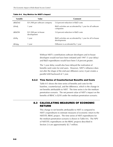| <b>Variable</b>            | Value                                | <b>Comment</b>                                                            |
|----------------------------|--------------------------------------|---------------------------------------------------------------------------|
| AR&Dsd                     | \$31,900 per software company        | 5.8 percent reduction in R&D costs                                        |
| $\Delta$ Nsd <sub>t</sub>  | 1 year                               | R&D activities are accelerated by 1 year for all software<br>companies    |
| AR&Dih                     | \$31,900 per in-house<br>development | 5.8 percent reduction in R&D costs                                        |
| $\Delta$ Niht              | 1 year                               | R&D activities are accelerated by 1 year for all in-house<br>developments |
| $\Delta$ Emp <sub>it</sub> | 1 year                               | Diffusion is accelerated by 1 year                                        |

**Table 8-4. Key Metrics for NIST's Impact** 

Without NIST's contributions software developers and in-house developers would not have been initiated until 1997 (1-year delay) and R&D expenditures would have been 5.8 percent greater.

The 1-year delay would also have delayed the realization of benefits (and costs) for end users. However, NIST's influence does not alter the shape of the end-user diffusion curve; it just creates a parallel shift backward of 1 year.

#### **8.2.2 Time Series of Counterfactual Benefits and Costs**

Table 8-5 shows the time series of benefits and costs for the baseline, counterfactual, and the difference, which is the change in net benefits attributable to NIST. The time series is for the medium penetration scenario. The net present value of NIST's impact on the benefits of RBAC is \$295 under the medium penetration scenario.

#### **8.3 CALCULATING MEASURES OF ECONOMIC RETURN**

This change in net benefits attributable to NIST is compared to NIST's expenditures to estimate measures of economic return to the NIST/ITL RBAC project. The time series of NIST expenditures for the medium penetration scenario is shown in Table 8-6. The NPV of NIST/ITL expenditures on the RBAC projects described in Section 2.6 are approximately \$2.7 million.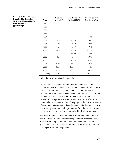| <b>Table 8-5. Time Series of</b><br><b>Industry Net Benefits</b><br><b>With and Without NIST's</b> | Year       | <b>Baseline</b><br>(with NIST) | Counterfactual<br>(without NIST) | <b>Total Change in Net</b><br>Benefits $(\Delta NB_f)$ |
|----------------------------------------------------------------------------------------------------|------------|--------------------------------|----------------------------------|--------------------------------------------------------|
| <b>Contributions</b>                                                                               | 1992       |                                |                                  |                                                        |
| (\$millions) <sup>a</sup>                                                                          | 1993       |                                |                                  |                                                        |
|                                                                                                    | 1994       |                                |                                  |                                                        |
|                                                                                                    | 1995       |                                |                                  |                                                        |
|                                                                                                    | 1996       | $-5.05$                        |                                  | $-5.05$                                                |
|                                                                                                    | 1997       | $-5.05$                        | $-5.50$                          | 0.45                                                   |
|                                                                                                    | 1998       | $-5.05$                        | $-5.50$                          | 0.45                                                   |
|                                                                                                    | 1999       | $-5.05$                        | $-5.50$                          | 0.45                                                   |
|                                                                                                    | 2000       | $-18.08$                       | $-5.50$                          | $-12.58$                                               |
|                                                                                                    | 2001       | $-0.36$                        | $-16.90$                         | 16.54                                                  |
|                                                                                                    | 2002       | 19.84                          | $-0.33$                          | 20.17                                                  |
|                                                                                                    | 2003       | 60.26                          | 18.54                            | 41.72                                                  |
|                                                                                                    | 2004       | 207.08                         | 56.32                            | 150.76                                                 |
|                                                                                                    | 2005       | 308.51                         | 193.53                           | 114.97                                                 |
|                                                                                                    | 2006       | 337.85                         | 288.33                           | 49.52                                                  |
|                                                                                                    | NPV (2000) | 671.08                         | 376.31                           | 294.77                                                 |

aAll numbers have been adjusted to 2000 dollars.

We used NIST's expenditures and their related impact on the net benefits of RBAC to calculate a net present value (NPV), benefit-cost ratio, and an internal rate of return (IRR). The NPV of NIST's expenditures is the difference between the NPV of the change in the net benefits to RBAC less the NPV of NIST's expenditures. The benefit-cost ratio provides the NPV measure of the benefits of the project relative to the NPV costs of the project. The IRR is a measure of what the interest rate would need to be to make the initial costs of the project greater than the long-run return from the project. These measures of economic return are described in detail in Section 4.

The three measures of economic return are presented in Table 8-7. The measures are shown for the three penetration scenarios. The NPV of NIST's impact under the medium penetration scenario is \$292 million. The benefit-cost ratio ranges from 69 to 158, and the IRR ranges from 39 to 90 percent.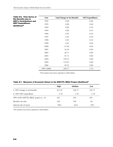| Table 8-6. Time Series of<br><b>Net Benefits due to</b> | Year       | <b>Total Change in Net Benefits</b> | <b>NIST Expenditures</b> |  |  |  |
|---------------------------------------------------------|------------|-------------------------------------|--------------------------|--|--|--|
| <b>NIST's Contributions and</b>                         | 1992       | 0.00                                | 0.06                     |  |  |  |
| <b>NIST Expenditures</b>                                | 1993       | 0.00                                | 0.06                     |  |  |  |
| (\$millions) <sup>a</sup>                               | 1994       | 0.00                                | 0.19                     |  |  |  |
|                                                         | 1995       | 0.00                                | 0.47                     |  |  |  |
|                                                         | 1996       | $-5.05$                             | 0.45                     |  |  |  |
|                                                         | 1997       | 0.45                                | 0.39                     |  |  |  |
|                                                         | 1998       | 0.45                                | 0.34                     |  |  |  |
|                                                         | 1999       | 0.45                                | 0.04                     |  |  |  |
|                                                         | 2000       | $-12.58$                            | 0.04                     |  |  |  |
|                                                         | 2001       | 16.54                               | 0.04                     |  |  |  |
|                                                         | 2002       | 20.17                               | 0.00                     |  |  |  |
|                                                         | 2003       | 41.72                               | 0.00                     |  |  |  |
|                                                         | 2004       | 150.76                              | 0.00                     |  |  |  |
|                                                         | 2005       | 114.97                              | 0.00                     |  |  |  |
|                                                         | 2006       | 49.52                               | 0.00                     |  |  |  |
|                                                         | NPV (2000) | 294.77                              | 2.70                     |  |  |  |

<sup>a</sup>All numbers have been adjusted to 2000 dollars.

#### **Table 8-7. Measures of Economic Return to the NIST/ITL RBAC Project (\$millions)a**

|                                            | <b>High</b> | Medium | Low    |
|--------------------------------------------|-------------|--------|--------|
| a. NPV change in net benefits              | 427.42      | 294.77 | 185.71 |
| b. NPV NIST expenditure                    | 2.70        | 2.70   | 2.70   |
| NPV of the NIST/ITL RBAC project $(a - b)$ | 425         | 292    | 183    |
| Benefit-cost ratio                         | 158         | 109    | 69     |
| Internal rate of return                    | 90%         | 62%    | 39%    |

aAll numbers have been adjusted to 2000 dollars.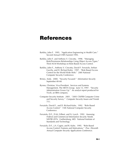## **References**

- Barkley, John F. 1995. "Application Engineering in Health Care." Second Annual CHIN Summit 1995.
- Barkley, John F. and Anthony V. Cincotta. 1998. "Managing Role/Permission Relationships Using Object Access Types." Third ACM Workshop on Role-Based Access Control.
- Barkley, John F., Anthony V. Cincotta, David F. Ferraiolo, Serban Gavrila, and D. Richard Kuhn. 1997. "Role Based Access Control for the World Wide Web." 20th National Computer Security Conference.
- Briney, Andy. 2000. "Security Focused." *Information Security* September:40-68.
- Byrnes, Christian, Vice-President: Services and Systems Management, The META Group. June 13, 1997. "Security Administration Grows Up." An analyst report produced for Tivoli, an IBM company.
- Computer Security Institute. 2001. "2001 CSI/FBI Computer Crime and Security Survey." *Computer Security Issues and Trends*  7(1).
- Ferraiolo, David F., and D. Richard Kuhn. 1992. "Role Based Access Control." 15th National Computer Security Conference.
- Ferraiolo, D.F., D.M. Gilbert, and N. Lynch. 1992. *Assessing Federal and Commercial Information Security Needs*. NISTIR 4976. Gaithersburg, MD: National Institute of Standards and Technology.
- Ferraiolo, D.F., J.A. Cugini, and R. Kuhn. 1995. "Role Based Access Control: Features and Motivations." *Proc. Eleventh Annual Computer Security Applications Conference*.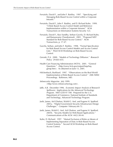- Ferraiolo, David F., and John F. Barkley. 1997. "Specifying and Managing Role-Based Access Control within a Corporate Intranet."
- Ferraiolo, David F., John F. Barkley, and D. Richard Kuhn. 1999. "A Role Based Access Control Model and Reference Implementation within a Corporate Intranet." ACM Transactions on Information Systems Security 1(2).
- Ferraiolo, David F., Ravi Sandhu, Serban Gavrila, D. Richard Kuhn, and Ramaswamy Chandramouli. 2001. "Proposed NIST Standard for Role-Based Access Control." ACM-Transactions, p. 17-47.
- Gavrila, Serban, and John F. Barkley. 1998. "Formal Specification for Role Based Access Control Models and Access Control Lists." Third ACM Workshop on Role-Based Access Control.
- Geroski, P.A. 2000. "Models of Technology Diffusion." *Research Policy* 29:603-655.
- Health Care Financing Administration (HCFA). 2001. "General Questions." <http://www.hcfa.gov/extpart/faqs/faqgenqt.htm>. As obtained on June 13, 2001.
- Hilchenbach, Burkhard. 1997. "Observations on the Real-World Implementation of Role-Based Access Control." 20th NISSC Proceedings. Baltimore, MD.
- *Infosecurity Magazine*. July 1999. <http://www.infosecuritymag.com>.
- Jaffe, A.B. December 1996. *Economic Impact Analysis of Research Spillovers: Implications for the Advanced Technology Program*. NIST GCR 97-708. Prepared for the U.S. Department of Commerce, National Institute of Standards and Technology, Advanced Technology Program.
- Joshi, James, Arif Ghafoor, Walid G. Aref, and Eugene H. Spafford. 2001a. "Digital Government Security Infrastructure Design Challenges." *Computer* February:66-72.
- Joshi, James, Walid G. Aref, Arif Ghafoor, and Eugene H. Spafford. 2001b. "Security Models for Web-Based Applications." *Communications of the ACM* 44(2):38-44.
- Kuhn, D. Richard. 1997. "Mutual Exclusion of Roles as Means of Implementing Separation of Duty in Role-Based Access Control Systems." Second ACM Workshop on Role-Based Access Control.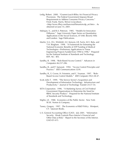- Ledig, Robert. 2000. "Gramm-Leach-Bliley Act Financial Privacy Provisions: The Federal Government Imposes Broad Requirements to Address Consumer Privacy Concerns." Fried, Frank, Harris, Shriver & Jacobson. <http://www.ffhsj.com/bancmail/bmarts/ecdp\_art.htm>. As obtained on June 14, 2001.
- Mahajan, V., and R.A. Peterson. 1985. "Models for Innovation Diffusion." Sage University Paper Series on Quantitative Applications in the Social Sciences, 07-048. Beverly Hills and London: Sage Publications.
- Martin, S.A., D.L. Winfield, A.E. Kenyon, J.R. Farris, M.V. Bala, and T.H. Bingham. 1998. "A Framework for Estimating the National Economic Benefits of ATP Funding of Medical Technologies—Preliminary Applications to Tissue Engineering Projects Funded from 1990 to 1996." Prepared for the National Institute of Standards and Technology. RTP, NC: RTI.
- Sandhu, R. 1998. "Role-Based Access Control." *Advances in Computers* 46:237-286.
- Sandhu, R., and P. Samarati. 1994. "Access Control Principles and Practice." *IEEE Communications* 32(9).
- Sandhu, R., E. Covne, H. Feinstein, and C. Youman. 1997. "Role-Based Access Control Models." *IEEE Computer* 29(2):38-47.
- Scott, John T. 1999. "The Service Sector's Acquisition and Development of Information Technology: Infrastructure and Productivity." *Journal of Technology Transfer* 24:37-54.
- SETA Corporation. 1996. "A Marketing Survey of Civil Federal Government Organizations to Determine the Need for RBAC Security Product." Prepared for the National Institute of Standards and Technology.
- Stiglitz, J.E. 1988. *Economics of the Public Sector*. New York: W.W. Norton & Company.
- Tassey, Gregory. 1997. *The Economics of R&D Policy*. Westport, CT: Quorum Books.
- U.S. General Accounting Office (GAO). July 2001. "Information Security: Weak Controls Place Interior's Financial and Other Data at Risk." Report to the Secretary of the Interior. GAO-01-615.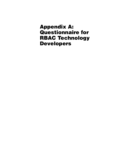## **Appendix A: Questionnaire for RBAC Technology Developers**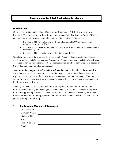#### **Questionnaire for RBAC Technology Developers**

#### **Introduction**

On behalf of the National Institute of Standards and Technology (NIST), Research Triangle Institute (RTI) is investigating the benefits and costs of using Role-Based Access Control (RBAC) as an alternative to existing access control techniques. Specific issues of interest are

- the effect of NIST's involvement on the development of RBAC and commercial products incorporating RBAC,
- a comparison of the costs and benefits to end users of RBAC with other access control technologies, and
- the effect of NIST's involvement on the diffusion of RBAC.

Our study would benefit a great deal from your input. Please read and consider the enclosed questions as they relate to your company's products. We encourage you to collaborate with your colleagues when answering these questions, because several questions span a variety of aspects of the product design and development process.

*Any information you provide will remain strictly confidential*. In the published results of this study, information that you provide that is specific to your organization will not be presented explicitly and will not be attributed to your organization without your permission. Your name will not be shown. However, your organization's name will be acknowledged with appreciation in a list of survey participants.

You may complete the questionnaire online at https://public.rti.org/rbac/. All information transferred electronically will be encrypted. Alternatively, you can e-mail or fax your responses to us at bkropp@rti.org or (919) 541-6683. At any time, if you have any questions, please feel free to contact either Brian Kropp at (919) 485-5584 or Mike Gallaher at (919) 541-5935. Thank you for your input to our study.

#### **1. Contact and Company Information**

| <b>Contact Name:</b> |  |
|----------------------|--|
| Company Name:        |  |
| Mailing Address:     |  |
| Title:               |  |
| Phone Number:        |  |
| E-mail:              |  |
|                      |  |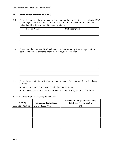#### **2. Market Penetration of RBAC**

2.1 Please list and describe your company's software products and systems that embody RBAC technology. In particular, we are interested in additional or linked ACL functionalities (other than RBAC) incorporated into your products.

| <b>Product Name</b> | <b>Brief Description</b> |
|---------------------|--------------------------|
|                     |                          |
|                     |                          |
|                     |                          |
|                     |                          |
|                     |                          |

2.2 Please describe how your RBAC technology product is used by firms or organizations to control and manage access to information and system resources?

- 2.3 Please list the major industries that use your product in Table 2-1 and, for each industry, indicate
	- what competing technologies exist in these industries and
	- the percentage of firms that are currently using an RBAC system in each industry.

#### **Table 2-1. Industry Sectors Using Your Product**

| Industry                | <b>Competing Technologies</b> | <b>Current Percentage of Firms Using</b><br><b>Role-Based Access Control</b> |
|-------------------------|-------------------------------|------------------------------------------------------------------------------|
| <b>Example: Banking</b> | <b>Identity-Based ACL</b>     | 5%                                                                           |
|                         |                               |                                                                              |
|                         |                               |                                                                              |
|                         |                               |                                                                              |
|                         |                               |                                                                              |
|                         |                               |                                                                              |
|                         |                               |                                                                              |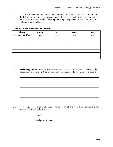2.4 We are also interested in the penetration/adoption rate of RBAC into the near future. In Table 2-2, for the years listed, please estimate the percentage of firms that will be using an RBAC or RBAC-based product. Please provide separate penetration estimates for each industry listed in Table 2-1.

| Industry                | <b>Current</b> | 2003 | 2006 | 2009 |
|-------------------------|----------------|------|------|------|
| <b>Example: Banking</b> | 10%            | 65%  | 70%  | 75%  |
|                         |                |      |      |      |
|                         |                |      |      |      |
|                         |                |      |      |      |
|                         |                |      |      |      |
|                         |                |      |      |      |
|                         |                |      |      |      |
|                         |                |      |      |      |

**Table 2-2. Penetration/Adoption of RBAC** 

2.5 *Technology Choice:* What factors are most important to your customers in choosing the access control technology they use (e.g., political support, administrative costs, other)?

2.6 How long does it typically take your customers to install and make fully operational a new system with RBAC technology?

**months** 

**total person-hours**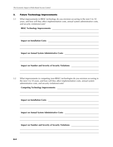#### **3. Future Technology Improvements**

3.1 What improvements in RBAC technology do you envision occurring in the next 5 to 10 years, and how will they affect implementation costs, annual system administrative costs, and security violations/costs?

| <b>RBAC Technology Improvements:</b>                                                                                                                                                                                                |
|-------------------------------------------------------------------------------------------------------------------------------------------------------------------------------------------------------------------------------------|
|                                                                                                                                                                                                                                     |
| <b>Impact on Annual System Administrative Costs:</b>                                                                                                                                                                                |
| Impact on Number and Severity of Security Violations: __________________________                                                                                                                                                    |
| What improvements in competing (non-RBAC) technologies do you envision occurring in<br>the next 5 to 10 years, and how will they affect implementation costs, annual system<br>administrative costs, and security violations/costs? |
| <b>Impact on Installation Costs:</b>                                                                                                                                                                                                |
| <b>Impact on Annual System Administrative Costs:</b>                                                                                                                                                                                |
| <b>Impact on Number and Severity of Security Violations:</b>                                                                                                                                                                        |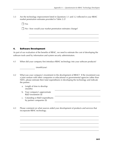- 3.3 Are the technology improvement listed in Questions 3.1 and 3.2 reflected in your RBAC market penetration estimates provided in Table 2-2?
	- Yes

 $\Box$  No—how would your market penetration estimates change?

#### **4. Software Development**

As part of our evaluation of the benefits of RBAC, we need to estimate the cost of developing the software tools used by information and system security administrators.

4.1 When did your company first introduce RBAC technology into your software products?

(month/year)

- 4.2 What was your company's investment in the development of RBAC? If the investment was a joint venture with other companies or educational or governmental agencies (other than NIST), please estimate their total expenditures in developing the technology and indicate the partner.
	- a. Length of time to develop (months)
	- b. Your company's approximate R&D investment (\$)
	- c. Cofunding or R&D expenditures by partner companies (\$)
- 4.3 Please comment on what sources aided your development of products and services that incorporate RBAC technology.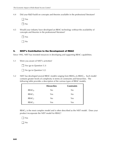4.4 Did your R&D build on concepts and theories available in the professional literature?

 Yes  $\Box$  No

4.5 Would your industry have developed an RBAC technology without the availability of concepts and theories in the professional literature?

Yes

 $\Box$  No

#### **5. NIST's Contribution to the Development of RBAC**

Since 1992, NIST has invested resources in developing and supporting RBAC capabilities.

5.1 Were you aware of NIST's activities?

Yes (go to Question 5.3)

No (go to Question 5.2)

5.2 NIST has developed several RBAC models ranging from  $RBAC<sub>0</sub>$  to  $RBAC<sub>3</sub>$ . Each model contains greater levels of complexity in terms of constraints and hierarchies. The following table provides a description of the various types of RBAC models.

|                   | <b>Hierarchies</b> | <b>Constraints</b> |
|-------------------|--------------------|--------------------|
| RBAC <sub>0</sub> | No                 | No                 |
| RBAC <sub>1</sub> | Yes                | N <sub>0</sub>     |
| RBAC <sub>2</sub> | N <sub>0</sub>     | Yes                |
| RBAC <sub>3</sub> | Yes                | Yes                |

 $RBAC<sub>3</sub>$  is the most complex model and is often described as the NIST model. Does your product incorporate the NIST model for RBAC?

 $\Box$  Yes

 $\Box$  No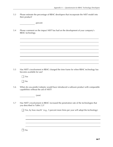5.3 Please estimate the percentage of RBAC developers that incorporate the NIST model into their product?

percent

5.4 Please comment on the impact NIST has had on the development of your company's RBAC technology.

5.5 Has NIST's involvement in RBAC changed the time frame for when RBAC technology has become available for use?

Yes

 $\Box$  No

5.6 When do you predict industry would have introduced a software product with comparable capabilities without the aid of NIST?

 $\frac{1}{\sqrt{2\pi}}$  (year)

5.7 Has NIST's involvement in RBAC increased the penetration rate of the technologies that you described in Table 2.2?

| $\Box$ Yes, by how much? (e.g., 5 percent more firms per year will adopt the technology) |  |  |  |  |  |  |  |
|------------------------------------------------------------------------------------------|--|--|--|--|--|--|--|
|------------------------------------------------------------------------------------------|--|--|--|--|--|--|--|

 $\Box$  No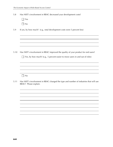5.8 Has NIST's involvement in RBAC decreased your development costs?

| es |
|----|
| J  |

5.9 If yes, by how much? (e.g., total development costs were 5 percent less)

5.10 Has NIST's involvement in RBAC improved the quality of your product for end users?

```
\Box Yes, by how much? (e.g., 5 percent easier to move users in and out of roles)
```

```
\Box No
```
5.11 Has NIST's involvement in RBAC changed the type and number of industries that will use RBAC? Please explain.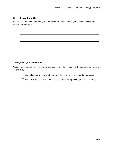#### **6. Other Benefits**

Please describe other issues that you think are important in assessing the benefits or costs of an access control system.



#### *Thank you for your participation!*

Check one or both of the following boxes if you would like to receive a draft and/or final versions on the study:

□ Yes—please send me a draft version of the report to review prior to publication.

 $\Box$  Yes—please send me the final version of the report upon completion of the study.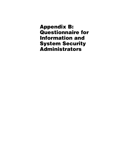**Appendix B: Questionnaire for Information and System Security Administrators**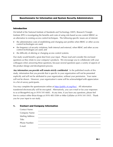#### **Questionnaire for Information and System Security Administrators**

#### **Introduction**

On behalf of the National Institute of Standards and Technology (NIST), Research Triangle Institute (RTI) is investigating the benefits and costs of using role-based access control (RBAC) as an alternative to existing access control techniques. The following specific issues are of interest:

- the administrative costs of establishing and changing user profiles when RBAC or other access control technologies are used;
- the frequency of security violations, both internal and external, when RBAC and other access control technologies are used; and
- the difficulty of altering or changing access control systems.

Our study would benefit a great deal from your input. Please read and consider the enclosed questions as they relate to your company's products. We encourage you to collaborate with your colleagues when answering these questions, because several questions span a variety of aspects of the product design and development process.

*Any information you provide will remain strictly confidential*. In the published results of this study, information that you provide that is specific to your organization will not be presented explicitly and will not be attributed to your organization, without your permission. Your name will not be shown. However, your organization's name will be acknowledged with appreciation in a list of survey participants.

You may complete the questionnaire online at https://public.rti.org/rbac/. All information transferred electronically will be encrypted. Alternatively, you can e-mail or fax your responses to us at bkropp@rti.org or (919) 541-6683. At any time, if you have any questions, please feel free to contact either Brian Kropp at (919) 485-5584 or Mike Gallaher at (919) 541-5935. Thank you for your input to our study.

#### **1. Contact and Company Information**

| <b>Contact Name:</b> |  |  |
|----------------------|--|--|
| Company Name:        |  |  |
| Mailing Address:     |  |  |
| Title:               |  |  |
| Phone Number:        |  |  |
| E-mail:              |  |  |
|                      |  |  |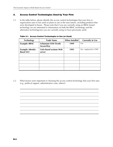#### **2. Access Control Technologies Used by Your Firm**

2.1 In the table below, please identify the access control technologies that your firm or organization uses or has used (or plans to use in the near future), including products that were developed in-house. Please note that if you are currently using an RBAC-based technology we are interested in information on both the RBAC technology and the alternative technology(ies) you are currently using (or have previously used).

| <b>Technology</b>                             | <b>Trade Name</b>                               | <b>When Installed</b> | <b>Currently in Use</b> |
|-----------------------------------------------|-------------------------------------------------|-----------------------|-------------------------|
| <b>Example: RBAC</b>                          | <b>Schumann SAM Tivolie</b><br><b>SecureWay</b> | 1999                  | Yes                     |
| <b>Example: Identity-</b><br><b>Based ACL</b> | Unix-based systems Web<br>server                | 1995                  | No-replaced in 1999     |
|                                               |                                                 |                       |                         |
|                                               |                                                 |                       |                         |
|                                               |                                                 |                       |                         |
|                                               |                                                 |                       |                         |
|                                               |                                                 |                       |                         |

**Table 2-1. Access Control Technologies in Use (or Used)** 

2.2 What factors were important in choosing the access control technology that your firm uses (e.g., political support, administrative costs, others)?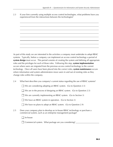2.3 If your firm currently using multiple access control technologies, what problems have you experienced from the interactions between the technologies?

As part of this study we are interested in the activities a company must undertake to adopt RBAC systems. Typically, before a company can implement an access control technology a period of **system design** must occur. This period consists of creating the system and defining all appropriate roles and the privileges for each of those roles. Following this step, **system implementation** occurs where users are migrated from the previous access control technology to the current technology. Once all users have been placed into the correct roles, **system maintenance** occurs where information and system administrators move users in and out of existing roles as they change roles within the company.

2.4 What best describes you company's current status regarding the use of RBAC systems?

 $\Box$  We are considering adopting an RBAC system. (Go to Question 2.5)

We are in the process of designing an RBAC system. (Go to Question 2.5)

 $\Box$  We are currently implementing an RBAC system. (Go to Section 3)

We have an RBAC system in operation. (Go to Section 3)

| $\Box$ We have no plans to adopt an RBAC system. (Go to Question 2.9) |  |
|-----------------------------------------------------------------------|--|
|-----------------------------------------------------------------------|--|

2.5 Does your company plan to develop an in-house RBAC technology or purchase a commercial system, such as an enterprise management package?

 $\Box$  In-house

Commercial system. What package are you considering? \_\_\_\_\_\_\_\_\_\_\_\_\_\_\_\_\_\_\_\_\_\_\_\_\_\_\_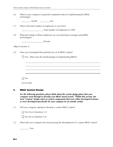| 2.6 | What is your company's projected completion data for implementing the RBAC<br>technology?                                                                                                                                                                                                                                              |  |  |  |
|-----|----------------------------------------------------------------------------------------------------------------------------------------------------------------------------------------------------------------------------------------------------------------------------------------------------------------------------------------|--|--|--|
|     |                                                                                                                                                                                                                                                                                                                                        |  |  |  |
| 2.7 | What is the total number of employees in your firm?                                                                                                                                                                                                                                                                                    |  |  |  |
|     | Total number of employees in 1999                                                                                                                                                                                                                                                                                                      |  |  |  |
| 2.8 | What percentage of those employees are you planning to manage using RBAC<br>technologies?                                                                                                                                                                                                                                              |  |  |  |
|     |                                                                                                                                                                                                                                                                                                                                        |  |  |  |
|     | (Skip to Section 5)                                                                                                                                                                                                                                                                                                                    |  |  |  |
| 2.9 | Have you investigated the potential use of an RBAC system?                                                                                                                                                                                                                                                                             |  |  |  |
|     | $\Box$ Yes: What were the disadvantages of implementing RBAC?                                                                                                                                                                                                                                                                          |  |  |  |
|     |                                                                                                                                                                                                                                                                                                                                        |  |  |  |
|     |                                                                                                                                                                                                                                                                                                                                        |  |  |  |
|     |                                                                                                                                                                                                                                                                                                                                        |  |  |  |
|     | <b>No</b>                                                                                                                                                                                                                                                                                                                              |  |  |  |
|     | (Go to End)                                                                                                                                                                                                                                                                                                                            |  |  |  |
| 3.  | <b>RBAC System Design</b>                                                                                                                                                                                                                                                                                                              |  |  |  |
|     | For the following questions, please think about the system design phase that your<br>company went through to develop your RBAC-based system. Within this section, the<br>term "custom" design refers to system components that were either developed in-house<br>or were developed specifically for your company by an outside vendor. |  |  |  |

3.1 Did your company attempt to develop a custom RBAC system?

Yes (Go to Question 3.2)

No (Go to Question 3.6)

3.2 When did your company first start pursuing the development of a custom RBAC system?

\_\_\_\_\_\_\_\_\_ Year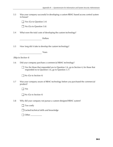3.3 Was your company successful in developing a custom RBAC-based access control system in-house?

|  |  |  |  | $\Box$ Yes (Go to Question 3.4) |  |
|--|--|--|--|---------------------------------|--|
|--|--|--|--|---------------------------------|--|

No (Go to Question 3.6)

3.4 What were the total costs of developing the custom technology?

Dollars

3.5 How long did it take to develop the custom technology?

Years

*(Skip to Section 4)* 

3.6 Did your company purchase a commercial RBAC technology?

 $\Box$  Yes (for those that responded yes to Question 3.6, go to Section 4, for those that responded no to Question 3.6, go to Question 3.7)

| $\Box$ No (Go to Section 4) |  |
|-----------------------------|--|
|-----------------------------|--|

3.7 Was your company aware of RBAC technology before you purchased the commercial product?

Yes

| $\Box$ No (Go to Section 4) |  |
|-----------------------------|--|
|-----------------------------|--|

3.8 Why did your company not pursue a custom-designed RBAC system?

| Too costly |
|------------|
|------------|

 $\Box$  Lacked technical skills and knowledge

□ Other \_\_\_\_\_\_\_\_\_\_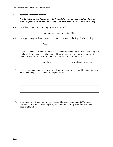#### **4. System Implementation**

*For the following questions, please think about the system implementation phase that your company went through in installing your most recent access control technology.* 

4.1 What is the total number of employees in your firm?

Total number of employees in 1999

4.2 What percentage of those employees are currently managed using RBAC technologies?

**Percent** 

4.3 When you changed from your previous access control technology to RBAC, how long did it take for these employees to be migrated from your old access control technology (e.g., identity-based ACL to RBAC) and what was the level of effort involved?

Months @ person-hours per month

4.4 Did your company purchase any new software or hardware to support the migration to an RBAC technology? What were your expenditures?

4.4a Does the new software you purchased support functions other than RBAC, such as password synchronization or single sign-on functions? If so, please describe these additional functions.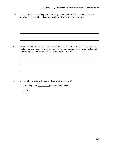4.5 Did you use a systems integration company to help with installing the RBAC feature? If so, what was their role and approximately what were your expenditures?

4.6 In addition to basic software, hardware, and installation costs, for each change that was made, what other costs (external or internal) did your organization incur associated with transferring from one access control technology to another?

4.7 Do you plan to expand the use of RBAC in the near future?

Yes, expand to \_\_\_\_\_\_\_\_\_\_ percent of employees

 $\Box$  No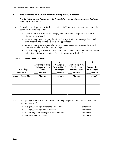#### **5. The Benefits and Costs of Maintaining RBAC Systems**

*For the following questions, please think about the system maintenance phase that your company is currently in.* 

- 5.1 For each technology listed in Table 2-1, indicate in Table 5-1 the average time required to complete the following tasks:
	- a. When a new hire is made, on average, how much time is required to establish his/her user privileges?
	- b. When an employee changes jobs within the organization, on average, how much time is required to change his/her existing privileges?
	- c. When an employee changes jobs within the organization, on average, how much time is required to establish new privileges?
	- d. When an employee leaves the organization, on average, how much time is required to terminate his/her user profile? Please list responses in Table 5-1.

|                           | a.                        | b.                     | $\mathbf{c}$ .          | d.                 |
|---------------------------|---------------------------|------------------------|-------------------------|--------------------|
|                           | <b>Assigning Existing</b> | Changing               | <b>Establishing New</b> |                    |
|                           | <b>Privileges to New</b>  | <b>Existing Users'</b> | <b>Privileges to</b>    | <b>Termination</b> |
| <b>Technology</b>         | <b>Users</b>              | <b>Privileges</b>      | <b>Existing Users</b>   | of Privileges      |
| <b>Example: RBAC</b>      | <b>Minutes</b>            | <b>Minutes</b>         | <b>Minutes</b>          | <b>Minutes</b>     |
| <b>Identity-based ACL</b> | <b>Minutes</b>            | <b>Minutes</b>         | <b>Minutes</b>          | <b>Minutes</b>     |
|                           |                           |                        |                         |                    |
|                           |                           |                        |                         |                    |
|                           |                           |                        |                         |                    |
|                           |                           |                        |                         |                    |
|                           |                           |                        |                         |                    |

#### **Table 5-1. Time to Complete Tasks**

- 5.2 In a typical year, how many times does your company perform the administrative tasks listed in Table 5-1?
	- a. Assigning Existing Privileges to New Users the times/year

- b. Changing Existing Users' Privileges the state of times/year
	-
- c. Establishing New Privileges to Existing Users the state of times/year
	-
- d. Termination of Privileges times/year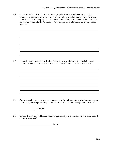5.3 When a new hire is made or a user changes roles, how much downtime does that employee experience while waiting for access to be granted or changed (i.e., how many hours or days is the employee unproductive while waiting for access)? Is the amount of downtime different for RBAC-based systems compared to alternative technology-based systems?

5.4 For each technology listed in Table 2-1, are there any future improvements that you anticipate occurring in the next 5 to 10 years that will affect administrative costs?

5.5 Approximately how many person-hours per year (or full-time staff equivalents) does your company spend on performing access control (authorization) management functions?

hours/year

5.6 What is the average full loaded hourly wage rate of your systems and information security administrative staff?

\$/hour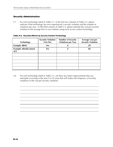#### *Security Administration*

5.7 For each technology listed in Table 2-1, in the first two columns of Table 5-2, please indicate if that technology has ever experienced a security violation and the number of violations per year. In the third column of Table 5-2, please estimate the cost per security violation to the average firm in your industry using each access control technology.

| Table 5-2. Security Effects by Access Control Technology |
|----------------------------------------------------------|
|----------------------------------------------------------|

| <b>Technology</b>                            | <b>Security Violation</b><br>(Yes/No) | <b>Number of Security</b><br><b>Violations per Year</b> | <b>Average Cost per</b><br><b>Security Violation</b> |
|----------------------------------------------|---------------------------------------|---------------------------------------------------------|------------------------------------------------------|
| <b>Example: RBAC</b>                         | Yes                                   | $\boldsymbol{X}$                                        | \$Ү                                                  |
| <b>Example: Identity-based</b><br><b>ACL</b> | Yes                                   | Z                                                       | \$ <sub>U</sub>                                      |
|                                              |                                       |                                                         |                                                      |
|                                              |                                       |                                                         |                                                      |
|                                              |                                       |                                                         |                                                      |
|                                              |                                       |                                                         |                                                      |
|                                              |                                       |                                                         |                                                      |

5.8 For each technology listed in Table 2-1, are there any future improvements that you anticipate occurring in the next 5 to 10 years that will reduce the frequency of security violations or the cost per security violation?